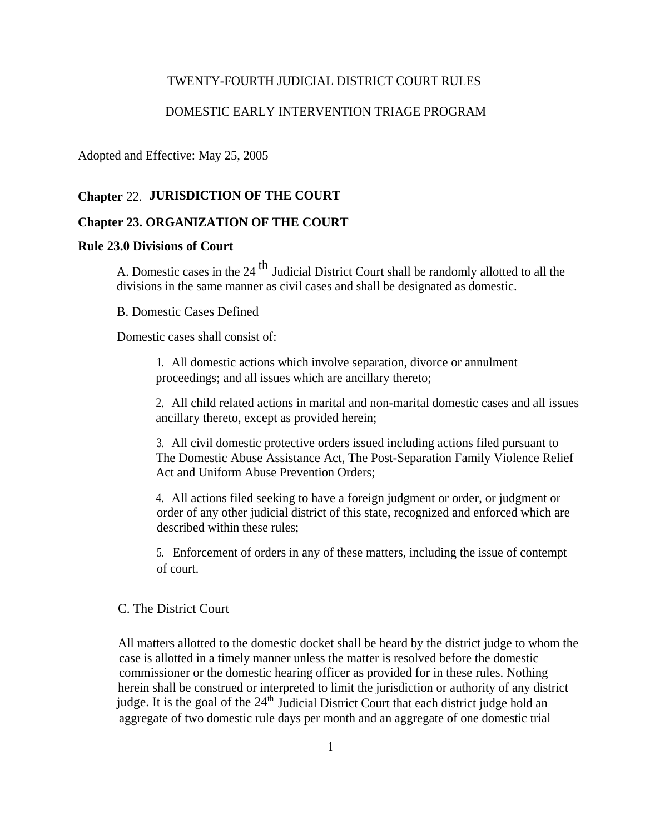#### TWENTY-FOURTH JUDICIAL DISTRICT COURT RULES

#### DOMESTIC EARLY INTERVENTION TRIAGE PROGRAM

Adopted and Effective: May 25, 2005

#### **Chapter** 22. **JURISDICTION OF THE COURT**

#### **Chapter 23. ORGANIZATION OF THE COURT**

#### **Rule 23.0 Divisions of Court**

A. Domestic cases in the 24<sup>th</sup> Judicial District Court shall be randomly allotted to all the divisions in the same manner as civil cases and shall be designated as domestic.

#### B. Domestic Cases Defined

Domestic cases shall consist of:

1. All domestic actions which involve separation, divorce or annulment proceedings; and all issues which are ancillary thereto;

2. All child related actions in marital and non-marital domestic cases and all issues ancillary thereto, except as provided herein;

3. All civil domestic protective orders issued including actions filed pursuant to The Domestic Abuse Assistance Act, The Post-Separation Family Violence Relief Act and Uniform Abuse Prevention Orders;

4. All actions filed seeking to have a foreign judgment or order, or judgment or order of any other judicial district of this state, recognized and enforced which are described within these rules;

5. Enforcement of orders in any of these matters, including the issue of contempt of court.

#### C. The District Court

All matters allotted to the domestic docket shall be heard by the district judge to whom the case is allotted in a timely manner unless the matter is resolved before the domestic commissioner or the domestic hearing officer as provided for in these rules. Nothing herein shall be construed or interpreted to limit the jurisdiction or authority of any district judge. It is the goal of the  $24<sup>th</sup>$  Judicial District Court that each district judge hold an aggregate of two domestic rule days per month and an aggregate of one domestic trial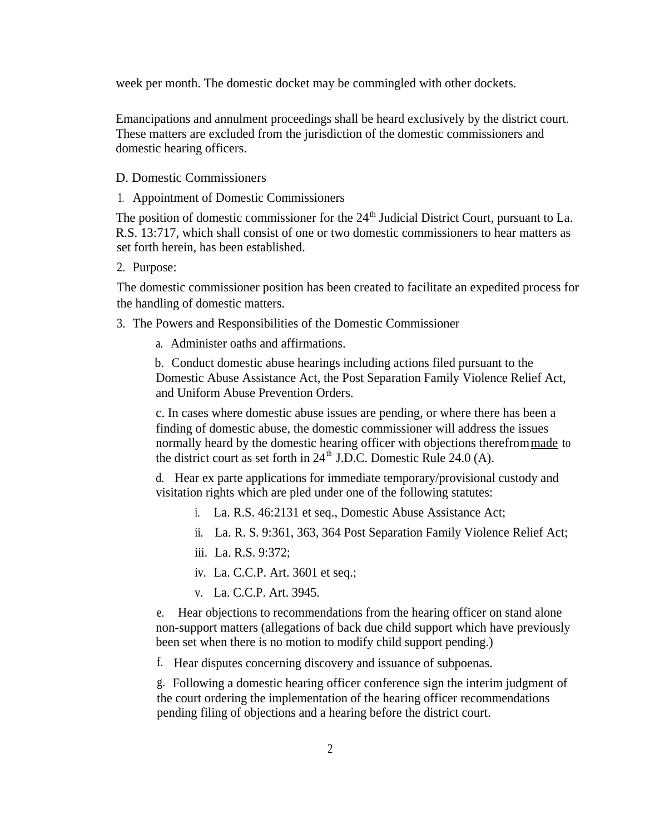week per month. The domestic docket may be commingled with other dockets.

Emancipations and annulment proceedings shall be heard exclusively by the district court. These matters are excluded from the jurisdiction of the domestic commissioners and domestic hearing officers.

#### D. Domestic Commissioners

1. Appointment of Domestic Commissioners

The position of domestic commissioner for the  $24<sup>th</sup>$  Judicial District Court, pursuant to La. R.S. 13:717, which shall consist of one or two domestic commissioners to hear matters as set forth herein, has been established.

2. Purpose:

The domestic commissioner position has been created to facilitate an expedited process for the handling of domestic matters.

- 3. The Powers and Responsibilities of the Domestic Commissioner
	- a. Administer oaths and affirmations.

b. Conduct domestic abuse hearings including actions filed pursuant to the Domestic Abuse Assistance Act, the Post Separation Family Violence Relief Act, and Uniform Abuse Prevention Orders.

c. In cases where domestic abuse issues are pending, or where there has been a finding of domestic abuse, the domestic commissioner will address the issues normally heard by the domestic hearing officer with objections therefrom made to the district court as set forth in  $24<sup>th</sup>$  J.D.C. Domestic Rule 24.0 (A).

d. Hear ex parte applications for immediate temporary/provisional custody and visitation rights which are pled under one of the following statutes:

- i. La. R.S. 46:2131 et seq., Domestic Abuse Assistance Act;
- ii. La. R. S. 9:361, 363, 364 Post Separation Family Violence Relief Act;
- iii. La. R.S. 9:372;
- iv. La. C.C.P. Art. 3601 et seq.;
- v. La. C.C.P. Art. 3945.

e. Hear objections to recommendations from the hearing officer on stand alone non-support matters (allegations of back due child support which have previously been set when there is no motion to modify child support pending.)

f. Hear disputes concerning discovery and issuance of subpoenas.

g. Following a domestic hearing officer conference sign the interim judgment of the court ordering the implementation of the hearing officer recommendations pending filing of objections and a hearing before the district court.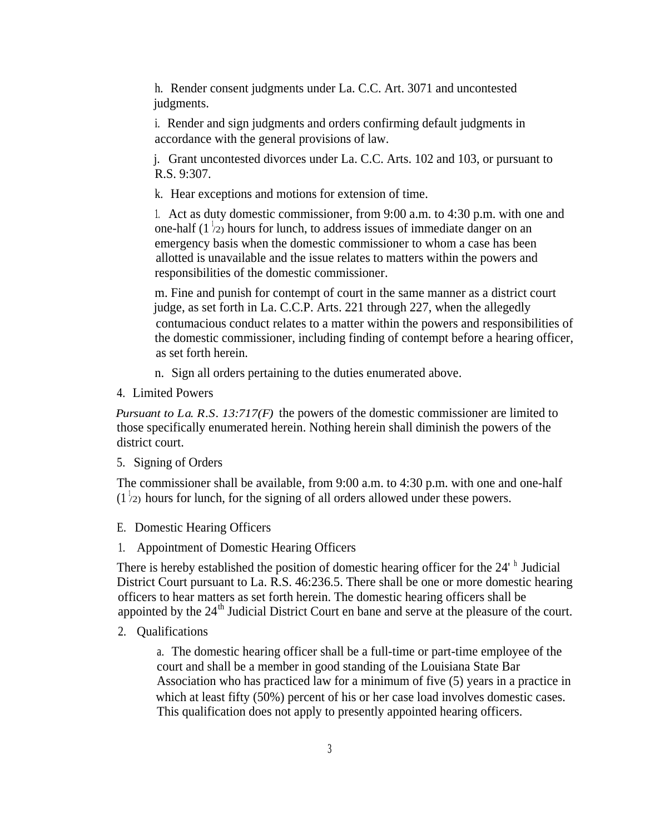h. Render consent judgments under La. C.C. Art. 3071 and uncontested judgments.

i. Render and sign judgments and orders confirming default judgments in accordance with the general provisions of law.

j. Grant uncontested divorces under La. C.C. Arts. 102 and 103, or pursuant to R.S. 9:307.

k. Hear exceptions and motions for extension of time.

1. Act as duty domestic commissioner, from 9:00 a.m. to 4:30 p.m. with one and one-half  $(1/2)$  hours for lunch, to address issues of immediate danger on an emergency basis when the domestic commissioner to whom a case has been allotted is unavailable and the issue relates to matters within the powers and responsibilities of the domestic commissioner.

m. Fine and punish for contempt of court in the same manner as a district court judge, as set forth in La. C.C.P. Arts. 221 through 227, when the allegedly contumacious conduct relates to a matter within the powers and responsibilities of the domestic commissioner, including finding of contempt before a hearing officer, as set forth herein.

n. Sign all orders pertaining to the duties enumerated above.

4. Limited Powers

*Pursuant to La. R.S. 13:717(F)* the powers of the domestic commissioner are limited to those specifically enumerated herein. Nothing herein shall diminish the powers of the district court.

5. Signing of Orders

The commissioner shall be available, from 9:00 a.m. to 4:30 p.m. with one and one-half  $(1<sup>1</sup>/2)$  hours for lunch, for the signing of all orders allowed under these powers.

- E. Domestic Hearing Officers
- 1. Appointment of Domestic Hearing Officers

There is hereby established the position of domestic hearing officer for the 24' h Judicial District Court pursuant to La. R.S. 46:236.5. There shall be one or more domestic hearing officers to hear matters as set forth herein. The domestic hearing officers shall be appointed by the  $24<sup>th</sup>$  Judicial District Court en bane and serve at the pleasure of the court.

2. Qualifications

a. The domestic hearing officer shall be a full-time or part-time employee of the court and shall be a member in good standing of the Louisiana State Bar Association who has practiced law for a minimum of five (5) years in a practice in which at least fifty (50%) percent of his or her case load involves domestic cases. This qualification does not apply to presently appointed hearing officers.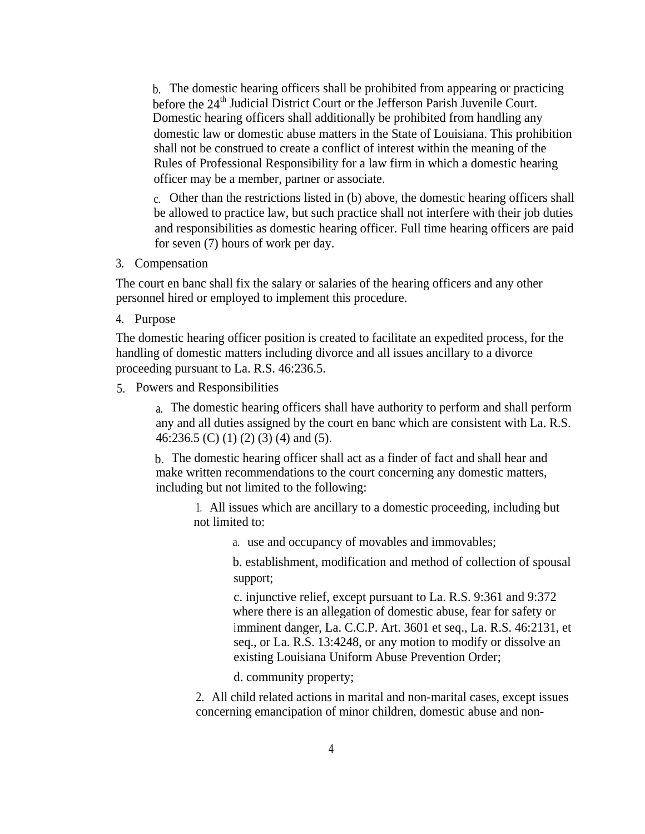b. The domestic hearing officers shall be prohibited from appearing or practicing before the 24<sup>th</sup> Judicial District Court or the Jefferson Parish Juvenile Court. Domestic hearing officers shall additionally be prohibited from handling any domestic law or domestic abuse matters in the State of Louisiana. This prohibition shall not be construed to create a conflict of interest within the meaning of the Rules of Professional Responsibility for a law firm in which a domestic hearing officer may be a member, partner or associate.

c. Other than the restrictions listed in (b) above, the domestic hearing officers shall be allowed to practice law, but such practice shall not interfere with their job duties and responsibilities as domestic hearing officer. Full time hearing officers are paid for seven (7) hours of work per day.

3. Compensation

The court en banc shall fix the salary or salaries of the hearing officers and any other personnel hired or employed to implement this procedure.

4. Purpose

The domestic hearing officer position is created to facilitate an expedited process, for the handling of domestic matters including divorce and all issues ancillary to a divorce proceeding pursuant to La. R.S. 46:236.5.

5. Powers and Responsibilities

a. The domestic hearing officers shall have authority to perform and shall perform any and all duties assigned by the court en banc which are consistent with La. R.S. 46:236.5 (C) (1) (2) (3) (4) and (5).

b. The domestic hearing officer shall act as a finder of fact and shall hear and make written recommendations to the court concerning any domestic matters, including but not limited to the following:

1. All issues which are ancillary to a domestic proceeding, including but not limited to:

a. use and occupancy of movables and immovables;

b. establishment, modification and method of collection of spousal support;

c. injunctive relief, except pursuant to La. R.S. 9:361 and 9:372 where there is an allegation of domestic abuse, fear for safety or imminent danger, La. C.C.P. Art. 3601 et seq., La. R.S. 46:2131, et seq., or La. R.S. 13:4248, or any motion to modify or dissolve an existing Louisiana Uniform Abuse Prevention Order;

d. community property;

2. All child related actions in marital and non-marital cases, except issues concerning emancipation of minor children, domestic abuse and non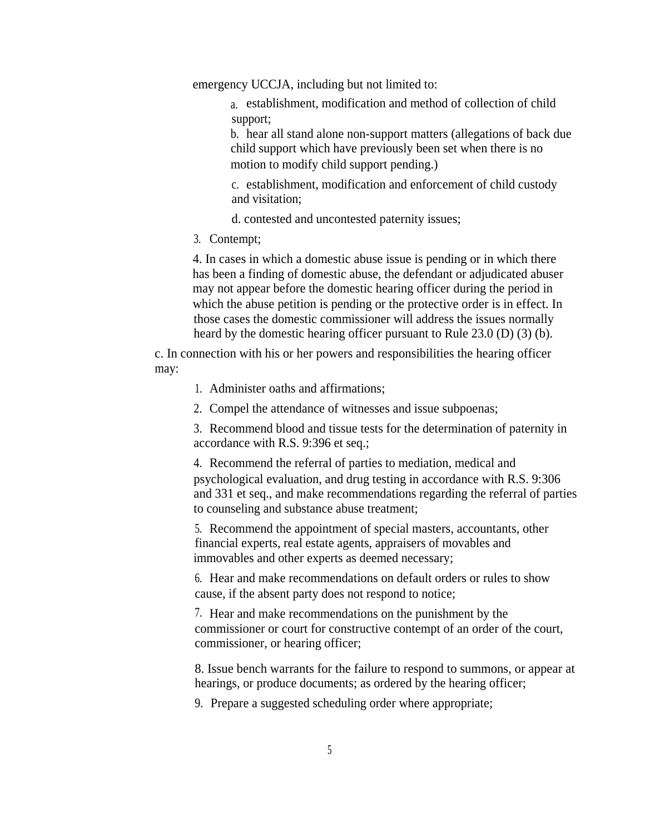emergency UCCJA, including but not limited to:

a. establishment, modification and method of collection of child support;

b. hear all stand alone non-support matters (allegations of back due child support which have previously been set when there is no motion to modify child support pending.)

c. establishment, modification and enforcement of child custody and visitation;

d. contested and uncontested paternity issues;

3. Contempt;

4. In cases in which a domestic abuse issue is pending or in which there has been a finding of domestic abuse, the defendant or adjudicated abuser may not appear before the domestic hearing officer during the period in which the abuse petition is pending or the protective order is in effect. In those cases the domestic commissioner will address the issues normally heard by the domestic hearing officer pursuant to Rule 23.0 (D) (3) (b).

c. In connection with his or her powers and responsibilities the hearing officer may:

- 1. Administer oaths and affirmations;
- 2. Compel the attendance of witnesses and issue subpoenas;

3. Recommend blood and tissue tests for the determination of paternity in accordance with R.S. 9:396 et seq.;

4. Recommend the referral of parties to mediation, medical and psychological evaluation, and drug testing in accordance with R.S. 9:306 and 331 et seq., and make recommendations regarding the referral of parties to counseling and substance abuse treatment;

5. Recommend the appointment of special masters, accountants, other financial experts, real estate agents, appraisers of movables and immovables and other experts as deemed necessary;

6. Hear and make recommendations on default orders or rules to show cause, if the absent party does not respond to notice;

7. Hear and make recommendations on the punishment by the commissioner or court for constructive contempt of an order of the court, commissioner, or hearing officer;

8. Issue bench warrants for the failure to respond to summons, or appear at hearings, or produce documents; as ordered by the hearing officer;

9. Prepare a suggested scheduling order where appropriate;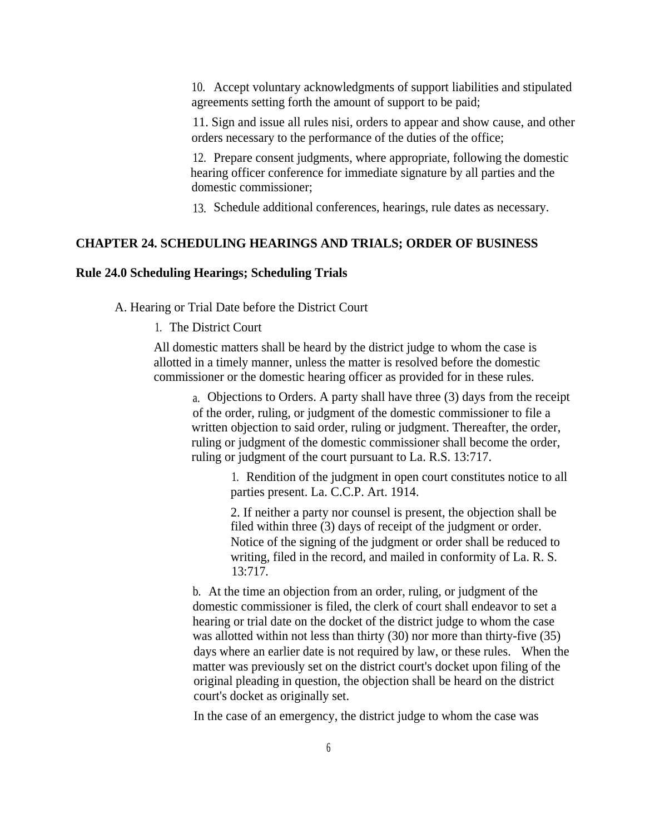10. Accept voluntary acknowledgments of support liabilities and stipulated agreements setting forth the amount of support to be paid;

11. Sign and issue all rules nisi, orders to appear and show cause, and other orders necessary to the performance of the duties of the office;

12. Prepare consent judgments, where appropriate, following the domestic hearing officer conference for immediate signature by all parties and the domestic commissioner;

13. Schedule additional conferences, hearings, rule dates as necessary.

#### **CHAPTER 24. SCHEDULING HEARINGS AND TRIALS; ORDER OF BUSINESS**

#### **Rule 24.0 Scheduling Hearings; Scheduling Trials**

A. Hearing or Trial Date before the District Court

1. The District Court

All domestic matters shall be heard by the district judge to whom the case is allotted in a timely manner, unless the matter is resolved before the domestic commissioner or the domestic hearing officer as provided for in these rules.

a. Objections to Orders. A party shall have three (3) days from the receipt of the order, ruling, or judgment of the domestic commissioner to file a written objection to said order, ruling or judgment. Thereafter, the order, ruling or judgment of the domestic commissioner shall become the order, ruling or judgment of the court pursuant to La. R.S. 13:717.

> 1. Rendition of the judgment in open court constitutes notice to all parties present. La. C.C.P. Art. 1914.

2. If neither a party nor counsel is present, the objection shall be filed within three (3) days of receipt of the judgment or order. Notice of the signing of the judgment or order shall be reduced to writing, filed in the record, and mailed in conformity of La. R. S. 13:717.

b. At the time an objection from an order, ruling, or judgment of the domestic commissioner is filed, the clerk of court shall endeavor to set a hearing or trial date on the docket of the district judge to whom the case was allotted within not less than thirty (30) nor more than thirty-five (35) days where an earlier date is not required by law, or these rules. When the matter was previously set on the district court's docket upon filing of the original pleading in question, the objection shall be heard on the district court's docket as originally set.

In the case of an emergency, the district judge to whom the case was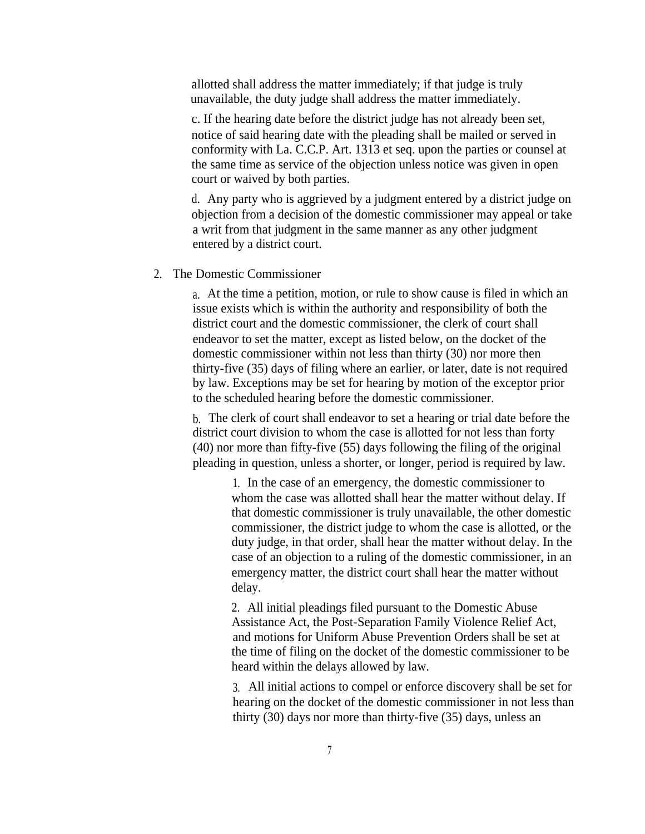allotted shall address the matter immediately; if that judge is truly unavailable, the duty judge shall address the matter immediately.

c. If the hearing date before the district judge has not already been set, notice of said hearing date with the pleading shall be mailed or served in conformity with La. C.C.P. Art. 1313 et seq. upon the parties or counsel at the same time as service of the objection unless notice was given in open court or waived by both parties.

d. Any party who is aggrieved by a judgment entered by a district judge on objection from a decision of the domestic commissioner may appeal or take a writ from that judgment in the same manner as any other judgment entered by a district court.

#### 2. The Domestic Commissioner

a. At the time a petition, motion, or rule to show cause is filed in which an issue exists which is within the authority and responsibility of both the district court and the domestic commissioner, the clerk of court shall endeavor to set the matter, except as listed below, on the docket of the domestic commissioner within not less than thirty (30) nor more then thirty-five (35) days of filing where an earlier, or later, date is not required by law. Exceptions may be set for hearing by motion of the exceptor prior to the scheduled hearing before the domestic commissioner.

b. The clerk of court shall endeavor to set a hearing or trial date before the district court division to whom the case is allotted for not less than forty (40) nor more than fifty-five (55) days following the filing of the original pleading in question, unless a shorter, or longer, period is required by law.

> 1. In the case of an emergency, the domestic commissioner to whom the case was allotted shall hear the matter without delay. If that domestic commissioner is truly unavailable, the other domestic commissioner, the district judge to whom the case is allotted, or the duty judge, in that order, shall hear the matter without delay. In the case of an objection to a ruling of the domestic commissioner, in an emergency matter, the district court shall hear the matter without delay.

> 2. All initial pleadings filed pursuant to the Domestic Abuse Assistance Act, the Post-Separation Family Violence Relief Act, and motions for Uniform Abuse Prevention Orders shall be set at the time of filing on the docket of the domestic commissioner to be heard within the delays allowed by law.

3. All initial actions to compel or enforce discovery shall be set for hearing on the docket of the domestic commissioner in not less than thirty (30) days nor more than thirty-five (35) days, unless an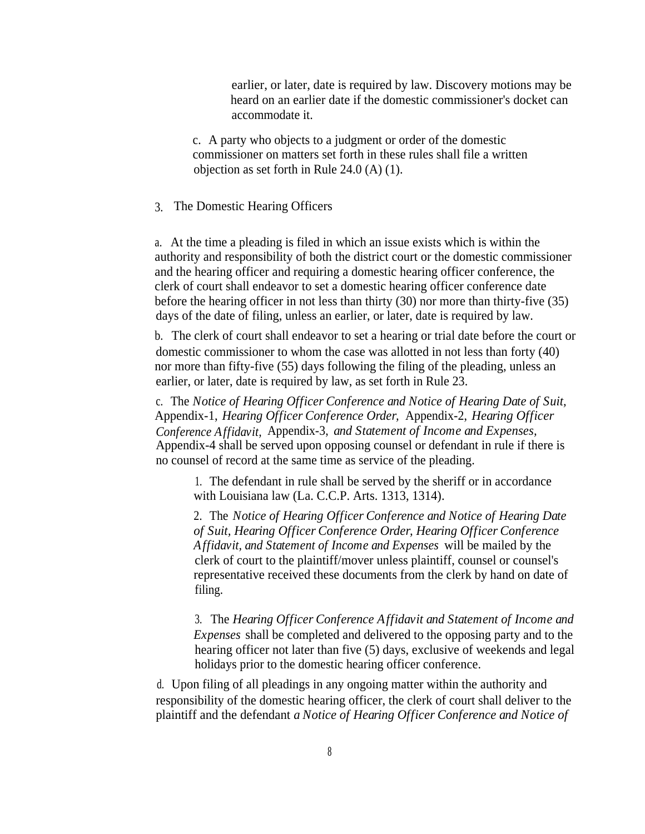earlier, or later, date is required by law. Discovery motions may be heard on an earlier date if the domestic commissioner's docket can accommodate it.

c. A party who objects to a judgment or order of the domestic commissioner on matters set forth in these rules shall file a written objection as set forth in Rule 24.0 (A) (1).

#### 3. The Domestic Hearing Officers

a. At the time a pleading is filed in which an issue exists which is within the authority and responsibility of both the district court or the domestic commissioner and the hearing officer and requiring a domestic hearing officer conference, the clerk of court shall endeavor to set a domestic hearing officer conference date before the hearing officer in not less than thirty (30) nor more than thirty-five (35) days of the date of filing, unless an earlier, or later, date is required by law.

b. The clerk of court shall endeavor to set a hearing or trial date before the court or domestic commissioner to whom the case was allotted in not less than forty (40) nor more than fifty-five (55) days following the filing of the pleading, unless an earlier, or later, date is required by law, as set forth in Rule 23.

c. The *Notice of Hearing Officer Conference and Notice of Hearing Date of Suit,* Appendix-1, *Hearing Officer Conference Order,* Appendix-2, *Hearing Officer Conference Affidavit,* Appendix-3, *and Statement of Income and Expenses,* Appendix-4 shall be served upon opposing counsel or defendant in rule if there is no counsel of record at the same time as service of the pleading.

1. The defendant in rule shall be served by the sheriff or in accordance with Louisiana law (La. C.C.P. Arts. 1313, 1314).

2. The *Notice of Hearing Officer Conference and Notice of Hearing Date of Suit, Hearing Officer Conference Order, Hearing Officer Conference Affidavit, and Statement of Income and Expenses* will be mailed by the clerk of court to the plaintiff/mover unless plaintiff, counsel or counsel's representative received these documents from the clerk by hand on date of filing.

3. The *Hearing Officer Conference Affidavit and Statement of Income and Expenses* shall be completed and delivered to the opposing party and to the hearing officer not later than five (5) days, exclusive of weekends and legal holidays prior to the domestic hearing officer conference.

d. Upon filing of all pleadings in any ongoing matter within the authority and responsibility of the domestic hearing officer, the clerk of court shall deliver to the plaintiff and the defendant *a Notice of Hearing Officer Conference and Notice of*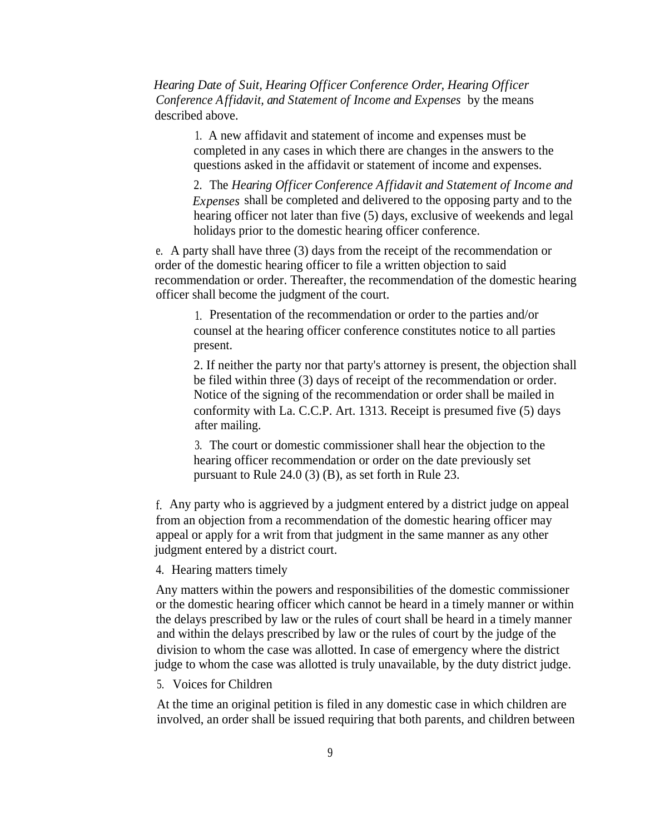*Hearing Date of Suit, Hearing Officer Conference Order, Hearing Officer Conference Affidavit, and Statement of Income and Expenses* by the means described above.

> 1. A new affidavit and statement of income and expenses must be completed in any cases in which there are changes in the answers to the questions asked in the affidavit or statement of income and expenses.

2. The *Hearing Officer Conference Affidavit and Statement of Income and Expenses* shall be completed and delivered to the opposing party and to the hearing officer not later than five (5) days, exclusive of weekends and legal holidays prior to the domestic hearing officer conference.

e. A party shall have three (3) days from the receipt of the recommendation or order of the domestic hearing officer to file a written objection to said recommendation or order. Thereafter, the recommendation of the domestic hearing officer shall become the judgment of the court.

1. Presentation of the recommendation or order to the parties and/or counsel at the hearing officer conference constitutes notice to all parties present.

2. If neither the party nor that party's attorney is present, the objection shall be filed within three (3) days of receipt of the recommendation or order. Notice of the signing of the recommendation or order shall be mailed in conformity with La. C.C.P. Art. 1313. Receipt is presumed five (5) days after mailing.

3. The court or domestic commissioner shall hear the objection to the hearing officer recommendation or order on the date previously set pursuant to Rule 24.0 (3) (B), as set forth in Rule 23.

f. Any party who is aggrieved by a judgment entered by a district judge on appeal from an objection from a recommendation of the domestic hearing officer may appeal or apply for a writ from that judgment in the same manner as any other judgment entered by a district court.

4. Hearing matters timely

Any matters within the powers and responsibilities of the domestic commissioner or the domestic hearing officer which cannot be heard in a timely manner or within the delays prescribed by law or the rules of court shall be heard in a timely manner and within the delays prescribed by law or the rules of court by the judge of the division to whom the case was allotted. In case of emergency where the district judge to whom the case was allotted is truly unavailable, by the duty district judge.

#### 5. Voices for Children

At the time an original petition is filed in any domestic case in which children are involved, an order shall be issued requiring that both parents, and children between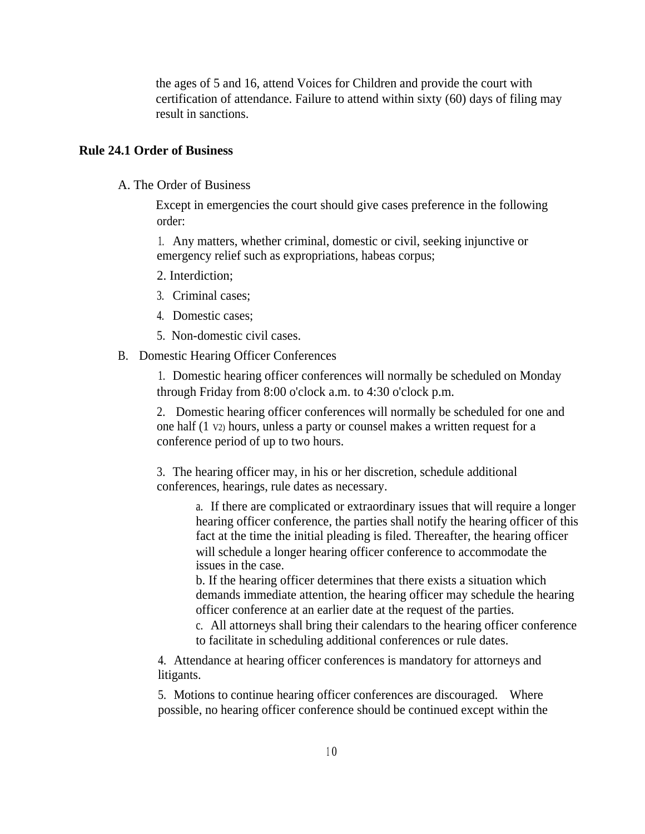the ages of 5 and 16, attend Voices for Children and provide the court with certification of attendance. Failure to attend within sixty (60) days of filing may result in sanctions.

#### **Rule 24.1 Order of Business**

A. The Order of Business

Except in emergencies the court should give cases preference in the following order:

1. Any matters, whether criminal, domestic or civil, seeking injunctive or emergency relief such as expropriations, habeas corpus;

- 2. Interdiction;
- 3. Criminal cases;
- 4. Domestic cases;
- 5. Non-domestic civil cases.
- B. Domestic Hearing Officer Conferences

1. Domestic hearing officer conferences will normally be scheduled on Monday through Friday from 8:00 o'clock a.m. to 4:30 o'clock p.m.

2. Domestic hearing officer conferences will normally be scheduled for one and one half (1 V2) hours, unless a party or counsel makes a written request for a conference period of up to two hours.

3. The hearing officer may, in his or her discretion, schedule additional conferences, hearings, rule dates as necessary.

> a. If there are complicated or extraordinary issues that will require a longer hearing officer conference, the parties shall notify the hearing officer of this fact at the time the initial pleading is filed. Thereafter, the hearing officer will schedule a longer hearing officer conference to accommodate the issues in the case.

b. If the hearing officer determines that there exists a situation which demands immediate attention, the hearing officer may schedule the hearing officer conference at an earlier date at the request of the parties.

c. All attorneys shall bring their calendars to the hearing officer conference to facilitate in scheduling additional conferences or rule dates.

4. Attendance at hearing officer conferences is mandatory for attorneys and litigants.

5. Motions to continue hearing officer conferences are discouraged. Where possible, no hearing officer conference should be continued except within the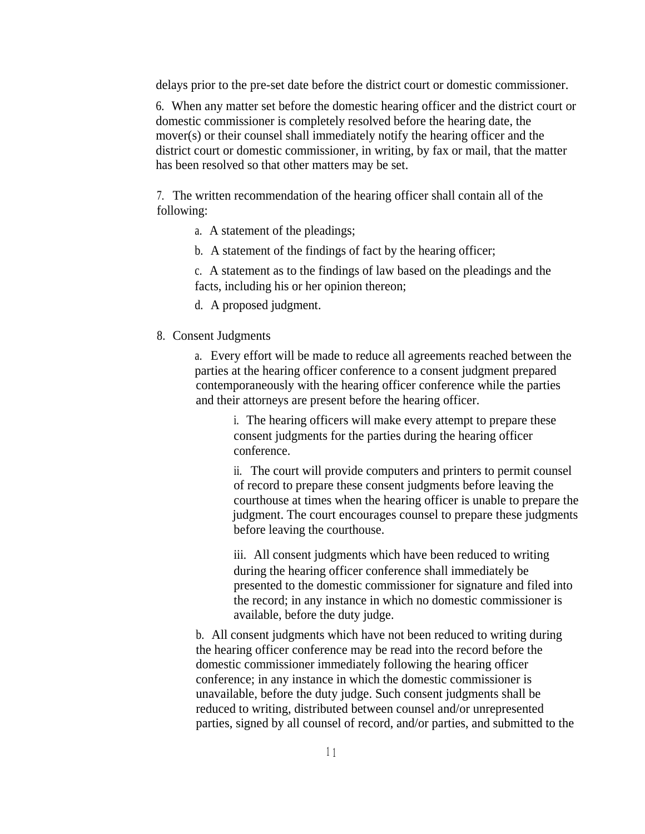delays prior to the pre-set date before the district court or domestic commissioner.

6. When any matter set before the domestic hearing officer and the district court or domestic commissioner is completely resolved before the hearing date, the mover(s) or their counsel shall immediately notify the hearing officer and the district court or domestic commissioner, in writing, by fax or mail, that the matter has been resolved so that other matters may be set.

7. The written recommendation of the hearing officer shall contain all of the following:

- a. A statement of the pleadings;
- b. A statement of the findings of fact by the hearing officer;

c. A statement as to the findings of law based on the pleadings and the facts, including his or her opinion thereon;

- d. A proposed judgment.
- 8. Consent Judgments

a. Every effort will be made to reduce all agreements reached between the parties at the hearing officer conference to a consent judgment prepared contemporaneously with the hearing officer conference while the parties and their attorneys are present before the hearing officer.

> i. The hearing officers will make every attempt to prepare these consent judgments for the parties during the hearing officer conference.

ii. The court will provide computers and printers to permit counsel of record to prepare these consent judgments before leaving the courthouse at times when the hearing officer is unable to prepare the judgment. The court encourages counsel to prepare these judgments before leaving the courthouse.

iii. All consent judgments which have been reduced to writing during the hearing officer conference shall immediately be presented to the domestic commissioner for signature and filed into the record; in any instance in which no domestic commissioner is available, before the duty judge.

b. All consent judgments which have not been reduced to writing during the hearing officer conference may be read into the record before the domestic commissioner immediately following the hearing officer conference; in any instance in which the domestic commissioner is unavailable, before the duty judge. Such consent judgments shall be reduced to writing, distributed between counsel and/or unrepresented parties, signed by all counsel of record, and/or parties, and submitted to the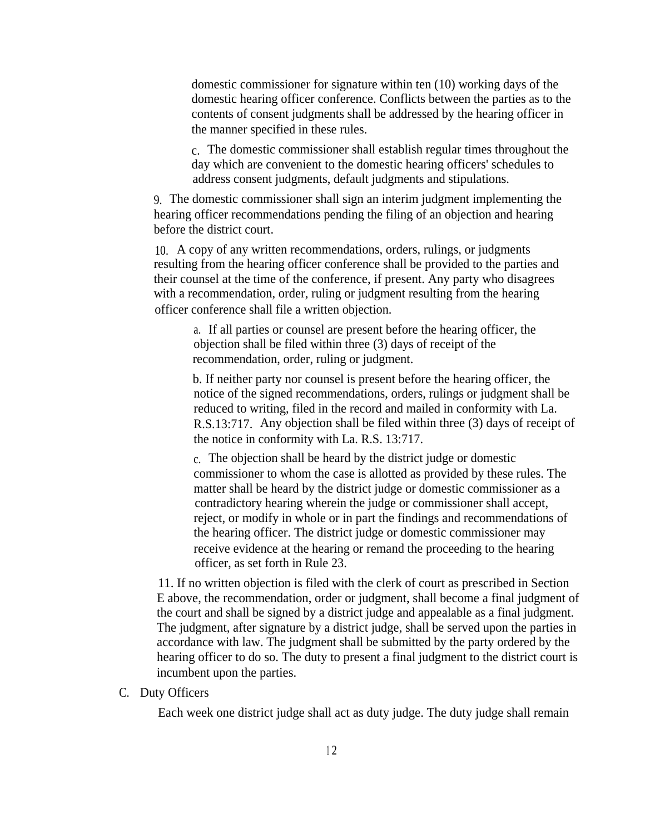domestic commissioner for signature within ten (10) working days of the domestic hearing officer conference. Conflicts between the parties as to the contents of consent judgments shall be addressed by the hearing officer in the manner specified in these rules.

c. The domestic commissioner shall establish regular times throughout the day which are convenient to the domestic hearing officers' schedules to address consent judgments, default judgments and stipulations.

9. The domestic commissioner shall sign an interim judgment implementing the hearing officer recommendations pending the filing of an objection and hearing before the district court.

10. A copy of any written recommendations, orders, rulings, or judgments resulting from the hearing officer conference shall be provided to the parties and their counsel at the time of the conference, if present. Any party who disagrees with a recommendation, order, ruling or judgment resulting from the hearing officer conference shall file a written objection.

a. If all parties or counsel are present before the hearing officer, the objection shall be filed within three (3) days of receipt of the recommendation, order, ruling or judgment.

b. If neither party nor counsel is present before the hearing officer, the notice of the signed recommendations, orders, rulings or judgment shall be reduced to writing, filed in the record and mailed in conformity with La. R.S.13:717. Any objection shall be filed within three (3) days of receipt of the notice in conformity with La. R.S. 13:717.

c. The objection shall be heard by the district judge or domestic commissioner to whom the case is allotted as provided by these rules. The matter shall be heard by the district judge or domestic commissioner as a contradictory hearing wherein the judge or commissioner shall accept, reject, or modify in whole or in part the findings and recommendations of the hearing officer. The district judge or domestic commissioner may receive evidence at the hearing or remand the proceeding to the hearing officer, as set forth in Rule 23.

11. If no written objection is filed with the clerk of court as prescribed in Section E above, the recommendation, order or judgment, shall become a final judgment of the court and shall be signed by a district judge and appealable as a final judgment. The judgment, after signature by a district judge, shall be served upon the parties in accordance with law. The judgment shall be submitted by the party ordered by the hearing officer to do so. The duty to present a final judgment to the district court is incumbent upon the parties.

#### C. Duty Officers

Each week one district judge shall act as duty judge. The duty judge shall remain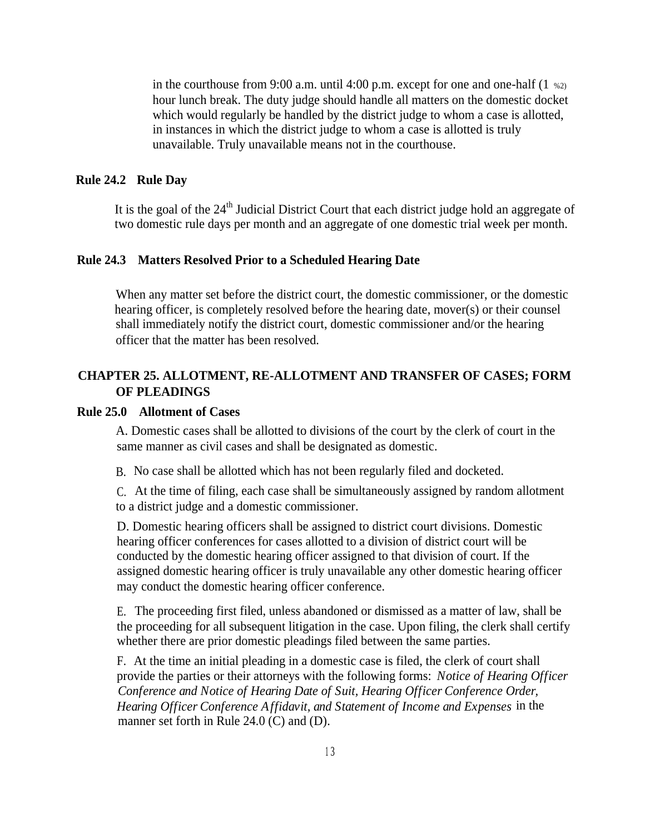in the courthouse from 9:00 a.m. until 4:00 p.m. except for one and one-half  $(1 \text{ %2})$ hour lunch break. The duty judge should handle all matters on the domestic docket which would regularly be handled by the district judge to whom a case is allotted, in instances in which the district judge to whom a case is allotted is truly unavailable. Truly unavailable means not in the courthouse.

#### **Rule 24.2 Rule Day**

It is the goal of the  $24<sup>th</sup>$  Judicial District Court that each district judge hold an aggregate of two domestic rule days per month and an aggregate of one domestic trial week per month.

#### **Rule 24.3 Matters Resolved Prior to a Scheduled Hearing Date**

When any matter set before the district court, the domestic commissioner, or the domestic hearing officer, is completely resolved before the hearing date, mover(s) or their counsel shall immediately notify the district court, domestic commissioner and/or the hearing officer that the matter has been resolved.

#### **CHAPTER 25. ALLOTMENT, RE-ALLOTMENT AND TRANSFER OF CASES; FORM OF PLEADINGS**

#### **Rule 25.0 Allotment of Cases**

A. Domestic cases shall be allotted to divisions of the court by the clerk of court in the same manner as civil cases and shall be designated as domestic.

B. No case shall be allotted which has not been regularly filed and docketed.

C. At the time of filing, each case shall be simultaneously assigned by random allotment to a district judge and a domestic commissioner.

D. Domestic hearing officers shall be assigned to district court divisions. Domestic hearing officer conferences for cases allotted to a division of district court will be conducted by the domestic hearing officer assigned to that division of court. If the assigned domestic hearing officer is truly unavailable any other domestic hearing officer may conduct the domestic hearing officer conference.

E. The proceeding first filed, unless abandoned or dismissed as a matter of law, shall be the proceeding for all subsequent litigation in the case. Upon filing, the clerk shall certify whether there are prior domestic pleadings filed between the same parties.

F. At the time an initial pleading in a domestic case is filed, the clerk of court shall provide the parties or their attorneys with the following forms: *Notice of Hearing Officer Conference and Notice of Hearing Date of Suit, Hearing Officer Conference Order, Hearing Officer Conference Affidavit, and Statement of Income and Expenses* in the manner set forth in Rule 24.0 (C) and (D).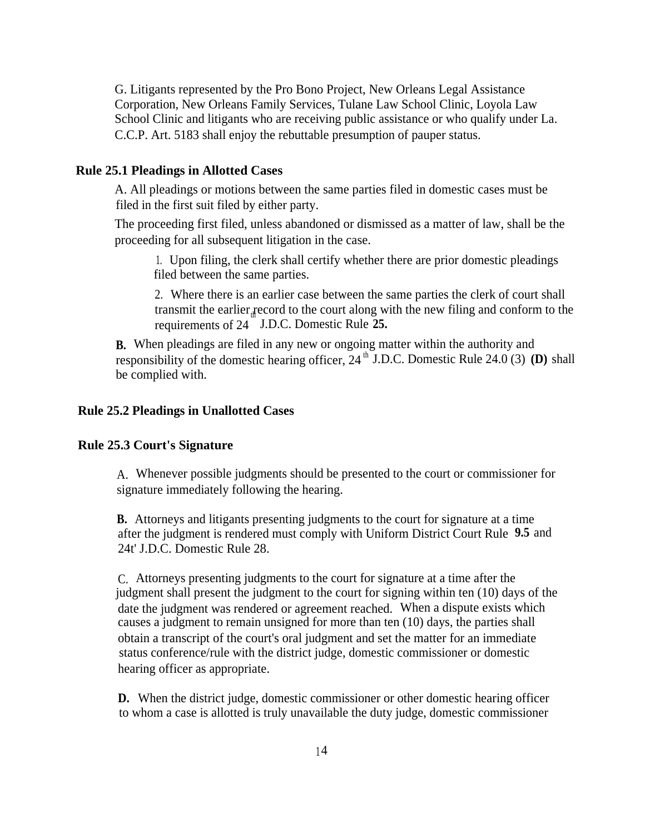G. Litigants represented by the Pro Bono Project, New Orleans Legal Assistance Corporation, New Orleans Family Services, Tulane Law School Clinic, Loyola Law School Clinic and litigants who are receiving public assistance or who qualify under La. C.C.P. Art. 5183 shall enjoy the rebuttable presumption of pauper status.

#### **Rule 25.1 Pleadings in Allotted Cases**

A. All pleadings or motions between the same parties filed in domestic cases must be filed in the first suit filed by either party.

The proceeding first filed, unless abandoned or dismissed as a matter of law, shall be the proceeding for all subsequent litigation in the case.

1. Upon filing, the clerk shall certify whether there are prior domestic pleadings filed between the same parties.

2. Where there is an earlier case between the same parties the clerk of court shall transmit the earlier record to the court along with the new filing and conform to the requirements of 24 J.D.C. Domestic Rule 25.

**B.** When pleadings are filed in any new or ongoing matter within the authority and responsibility of the domestic hearing officer,  $24^{th}$  J.D.C. Domestic Rule 24.0 (3) (D) shall be complied with.

#### **Rule 25.2 Pleadings in Unallotted Cases**

#### **Rule 25.3 Court's Signature**

A. Whenever possible judgments should be presented to the court or commissioner for signature immediately following the hearing.

**B.** Attorneys and litigants presenting judgments to the court for signature at a time after the judgment is rendered must comply with Uniform District Court Rule **9.5** and 24t' J.D.C. Domestic Rule 28.

C. Attorneys presenting judgments to the court for signature at a time after the judgment shall present the judgment to the court for signing within ten (10) days of the date the judgment was rendered or agreement reached. When a dispute exists which causes a judgment to remain unsigned for more than ten (10) days, the parties shall obtain a transcript of the court's oral judgment and set the matter for an immediate status conference/rule with the district judge, domestic commissioner or domestic hearing officer as appropriate.

**D.** When the district judge, domestic commissioner or other domestic hearing officer to whom a case is allotted is truly unavailable the duty judge, domestic commissioner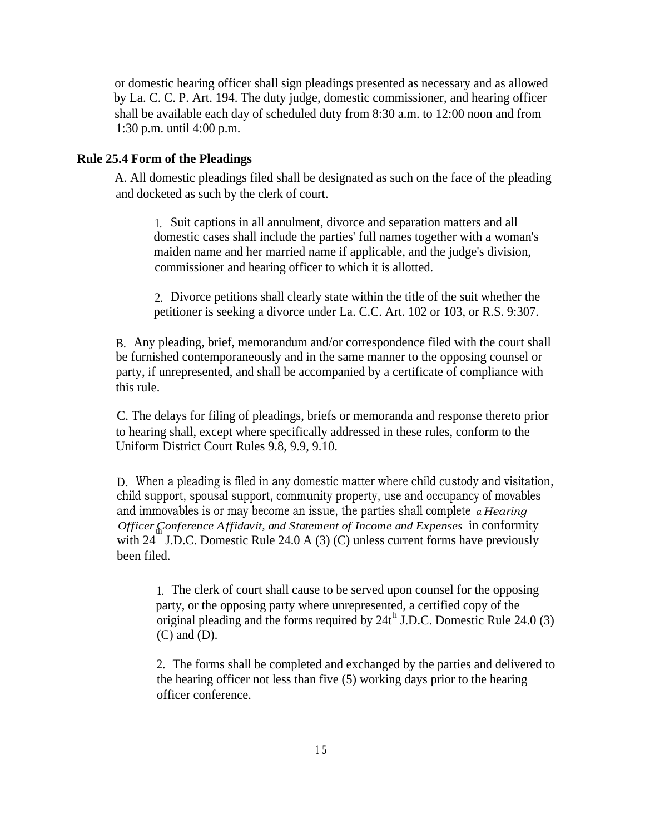or domestic hearing officer shall sign pleadings presented as necessary and as allowed by La. C. C. P. Art. 194. The duty judge, domestic commissioner, and hearing officer shall be available each day of scheduled duty from 8:30 a.m. to 12:00 noon and from 1:30 p.m. until 4:00 p.m.

#### **Rule 25.4 Form of the Pleadings**

A. All domestic pleadings filed shall be designated as such on the face of the pleading and docketed as such by the clerk of court.

1. Suit captions in all annulment, divorce and separation matters and all domestic cases shall include the parties' full names together with a woman's maiden name and her married name if applicable, and the judge's division, commissioner and hearing officer to which it is allotted.

2. Divorce petitions shall clearly state within the title of the suit whether the petitioner is seeking a divorce under La. C.C. Art. 102 or 103, or R.S. 9:307.

B. Any pleading, brief, memorandum and/or correspondence filed with the court shall be furnished contemporaneously and in the same manner to the opposing counsel or party, if unrepresented, and shall be accompanied by a certificate of compliance with this rule.

C. The delays for filing of pleadings, briefs or memoranda and response thereto prior to hearing shall, except where specifically addressed in these rules, conform to the Uniform District Court Rules 9.8, 9.9, 9.10.

D. When a pleading is filed in any domestic matter where child custody and visitation, child support, spousal support, community property, use and occupancy of movables and immovables is or may become an issue, the parties shall complete *a Hearing Officer Conference Affidavit, and Statement of Income and Expenses* in conformity th with 24 J.D.C. Domestic Rule 24.0 A (3) (C) unless current forms have previously been filed.

1. The clerk of court shall cause to be served upon counsel for the opposing party, or the opposing party where unrepresented, a certified copy of the original pleading and the forms required by  $24t^h$  J.D.C. Domestic Rule 24.0 (3) (C) and (D).

2. The forms shall be completed and exchanged by the parties and delivered to the hearing officer not less than five (5) working days prior to the hearing officer conference.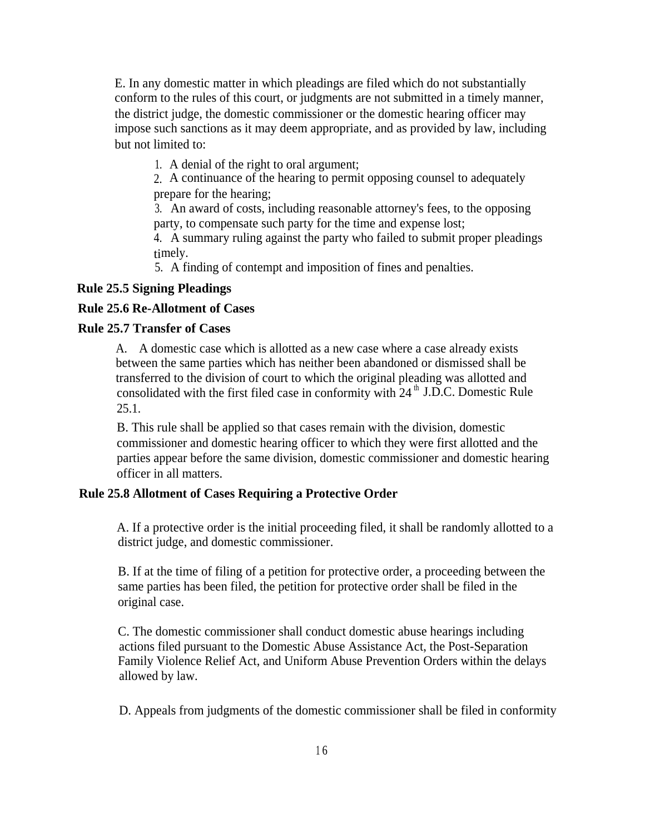E. In any domestic matter in which pleadings are filed which do not substantially conform to the rules of this court, or judgments are not submitted in a timely manner, the district judge, the domestic commissioner or the domestic hearing officer may impose such sanctions as it may deem appropriate, and as provided by law, including but not limited to:

1. A denial of the right to oral argument;

2. A continuance of the hearing to permit opposing counsel to adequately prepare for the hearing;

3. An award of costs, including reasonable attorney's fees, to the opposing party, to compensate such party for the time and expense lost;

4. A summary ruling against the party who failed to submit proper pleadings timely.

5. A finding of contempt and imposition of fines and penalties.

#### **Rule 25.5 Signing Pleadings**

#### **Rule 25.6 Re-Allotment of Cases**

#### **Rule 25.7 Transfer of Cases**

A. A domestic case which is allotted as a new case where a case already exists between the same parties which has neither been abandoned or dismissed shall be transferred to the division of court to which the original pleading was allotted and consolidated with the first filed case in conformity with  $24<sup>th</sup>$  J.D.C. Domestic Rule 25.1.

B. This rule shall be applied so that cases remain with the division, domestic commissioner and domestic hearing officer to which they were first allotted and the parties appear before the same division, domestic commissioner and domestic hearing officer in all matters.

#### **Rule 25.8 Allotment of Cases Requiring a Protective Order**

A. If a protective order is the initial proceeding filed, it shall be randomly allotted to a district judge, and domestic commissioner.

B. If at the time of filing of a petition for protective order, a proceeding between the same parties has been filed, the petition for protective order shall be filed in the original case.

C. The domestic commissioner shall conduct domestic abuse hearings including actions filed pursuant to the Domestic Abuse Assistance Act, the Post-Separation Family Violence Relief Act, and Uniform Abuse Prevention Orders within the delays allowed by law.

D. Appeals from judgments of the domestic commissioner shall be filed in conformity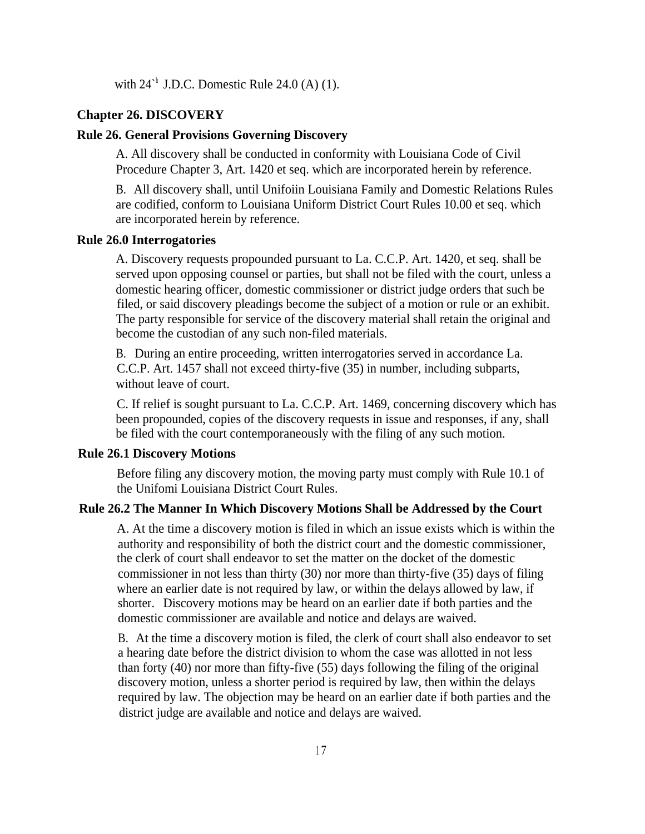with  $24<sup>h</sup>$  J.D.C. Domestic Rule 24.0 (A) (1).

#### **Chapter 26. DISCOVERY**

#### **Rule 26. General Provisions Governing Discovery**

A. All discovery shall be conducted in conformity with Louisiana Code of Civil Procedure Chapter 3, Art. 1420 et seq. which are incorporated herein by reference.

B. All discovery shall, until Unifoiin Louisiana Family and Domestic Relations Rules are codified, conform to Louisiana Uniform District Court Rules 10.00 et seq. which are incorporated herein by reference.

#### **Rule 26.0 Interrogatories**

A. Discovery requests propounded pursuant to La. C.C.P. Art. 1420, et seq. shall be served upon opposing counsel or parties, but shall not be filed with the court, unless a domestic hearing officer, domestic commissioner or district judge orders that such be filed, or said discovery pleadings become the subject of a motion or rule or an exhibit. The party responsible for service of the discovery material shall retain the original and become the custodian of any such non-filed materials.

B. During an entire proceeding, written interrogatories served in accordance La. C.C.P. Art. 1457 shall not exceed thirty-five (35) in number, including subparts, without leave of court.

C. If relief is sought pursuant to La. C.C.P. Art. 1469, concerning discovery which has been propounded, copies of the discovery requests in issue and responses, if any, shall be filed with the court contemporaneously with the filing of any such motion.

#### **Rule 26.1 Discovery Motions**

Before filing any discovery motion, the moving party must comply with Rule 10.1 of the Unifomi Louisiana District Court Rules.

#### **Rule 26.2 The Manner In Which Discovery Motions Shall be Addressed by the Court**

A. At the time a discovery motion is filed in which an issue exists which is within the authority and responsibility of both the district court and the domestic commissioner, the clerk of court shall endeavor to set the matter on the docket of the domestic commissioner in not less than thirty (30) nor more than thirty-five (35) days of filing where an earlier date is not required by law, or within the delays allowed by law, if shorter. Discovery motions may be heard on an earlier date if both parties and the domestic commissioner are available and notice and delays are waived.

B. At the time a discovery motion is filed, the clerk of court shall also endeavor to set a hearing date before the district division to whom the case was allotted in not less than forty (40) nor more than fifty-five (55) days following the filing of the original discovery motion, unless a shorter period is required by law, then within the delays required by law. The objection may be heard on an earlier date if both parties and the district judge are available and notice and delays are waived.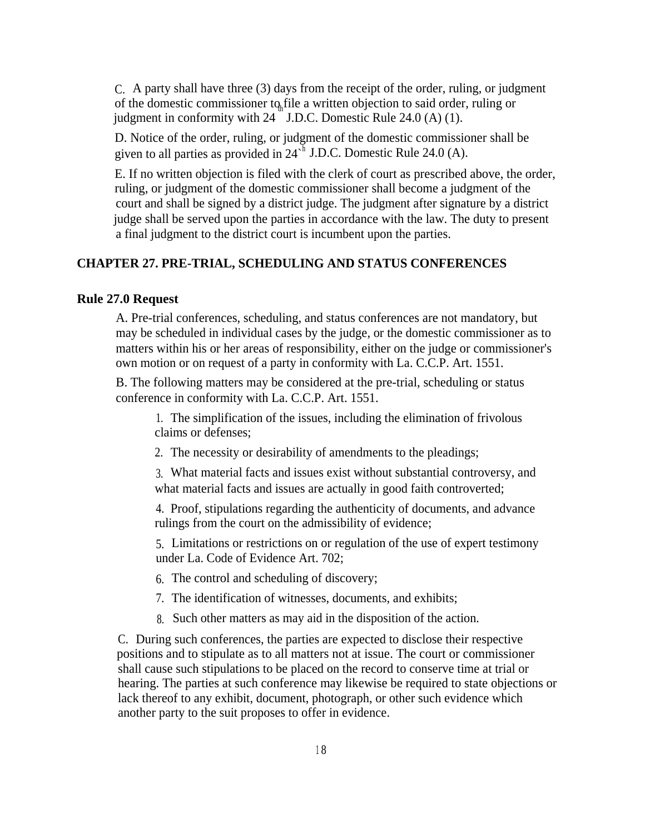C. A party shall have three (3) days from the receipt of the order, ruling, or judgment of the domestic commissioner to file a written objection to said order, ruling or judgment in conformity with 24 J.D.C. Domestic Rule 24.0 (A) (1).

D. Notice of the order, ruling, or judgment of the domestic commissioner shall be given to all parties as provided in  $24<sup>h</sup>$  J.D.C. Domestic Rule 24.0 (A).

E. If no written objection is filed with the clerk of court as prescribed above, the order, ruling, or judgment of the domestic commissioner shall become a judgment of the court and shall be signed by a district judge. The judgment after signature by a district judge shall be served upon the parties in accordance with the law. The duty to present a final judgment to the district court is incumbent upon the parties.

#### **CHAPTER 27. PRE-TRIAL, SCHEDULING AND STATUS CONFERENCES**

#### **Rule 27.0 Request**

A. Pre-trial conferences, scheduling, and status conferences are not mandatory, but may be scheduled in individual cases by the judge, or the domestic commissioner as to matters within his or her areas of responsibility, either on the judge or commissioner's own motion or on request of a party in conformity with La. C.C.P. Art. 1551.

B. The following matters may be considered at the pre-trial, scheduling or status conference in conformity with La. C.C.P. Art. 1551.

1. The simplification of the issues, including the elimination of frivolous claims or defenses;

2. The necessity or desirability of amendments to the pleadings;

3. What material facts and issues exist without substantial controversy, and what material facts and issues are actually in good faith controverted;

4. Proof, stipulations regarding the authenticity of documents, and advance rulings from the court on the admissibility of evidence;

5. Limitations or restrictions on or regulation of the use of expert testimony under La. Code of Evidence Art. 702;

6. The control and scheduling of discovery;

- 7. The identification of witnesses, documents, and exhibits;
- 8. Such other matters as may aid in the disposition of the action.

C. During such conferences, the parties are expected to disclose their respective positions and to stipulate as to all matters not at issue. The court or commissioner shall cause such stipulations to be placed on the record to conserve time at trial or hearing. The parties at such conference may likewise be required to state objections or lack thereof to any exhibit, document, photograph, or other such evidence which another party to the suit proposes to offer in evidence.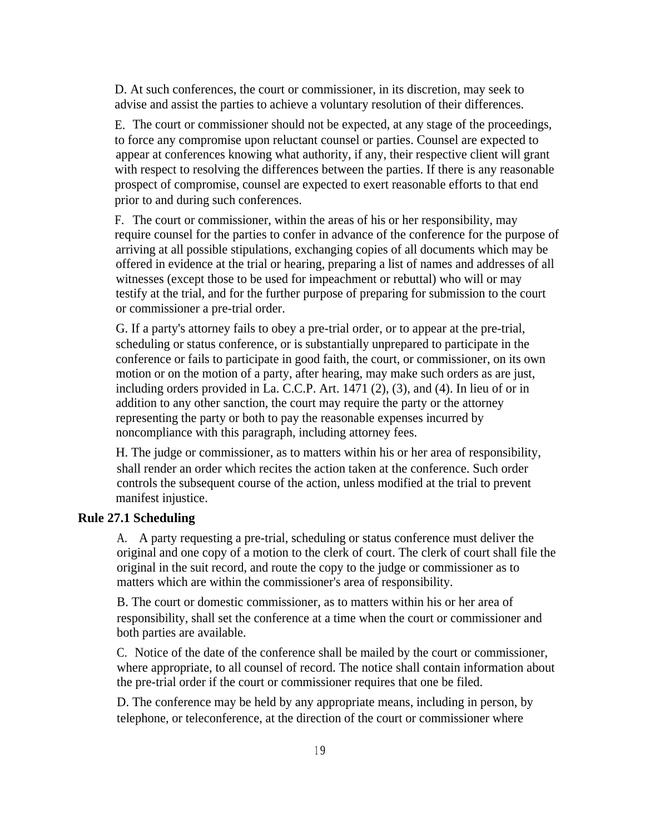D. At such conferences, the court or commissioner, in its discretion, may seek to advise and assist the parties to achieve a voluntary resolution of their differences.

E. The court or commissioner should not be expected, at any stage of the proceedings, to force any compromise upon reluctant counsel or parties. Counsel are expected to appear at conferences knowing what authority, if any, their respective client will grant with respect to resolving the differences between the parties. If there is any reasonable prospect of compromise, counsel are expected to exert reasonable efforts to that end prior to and during such conferences.

F. The court or commissioner, within the areas of his or her responsibility, may require counsel for the parties to confer in advance of the conference for the purpose of arriving at all possible stipulations, exchanging copies of all documents which may be offered in evidence at the trial or hearing, preparing a list of names and addresses of all witnesses (except those to be used for impeachment or rebuttal) who will or may testify at the trial, and for the further purpose of preparing for submission to the court or commissioner a pre-trial order.

G. If a party's attorney fails to obey a pre-trial order, or to appear at the pre-trial, scheduling or status conference, or is substantially unprepared to participate in the conference or fails to participate in good faith, the court, or commissioner, on its own motion or on the motion of a party, after hearing, may make such orders as are just, including orders provided in La. C.C.P. Art. 1471 (2), (3), and (4). In lieu of or in addition to any other sanction, the court may require the party or the attorney representing the party or both to pay the reasonable expenses incurred by noncompliance with this paragraph, including attorney fees.

H. The judge or commissioner, as to matters within his or her area of responsibility, shall render an order which recites the action taken at the conference. Such order controls the subsequent course of the action, unless modified at the trial to prevent manifest injustice.

#### **Rule 27.1 Scheduling**

A. A party requesting a pre-trial, scheduling or status conference must deliver the original and one copy of a motion to the clerk of court. The clerk of court shall file the original in the suit record, and route the copy to the judge or commissioner as to matters which are within the commissioner's area of responsibility.

B. The court or domestic commissioner, as to matters within his or her area of responsibility, shall set the conference at a time when the court or commissioner and both parties are available.

C. Notice of the date of the conference shall be mailed by the court or commissioner, where appropriate, to all counsel of record. The notice shall contain information about the pre-trial order if the court or commissioner requires that one be filed.

D. The conference may be held by any appropriate means, including in person, by telephone, or teleconference, at the direction of the court or commissioner where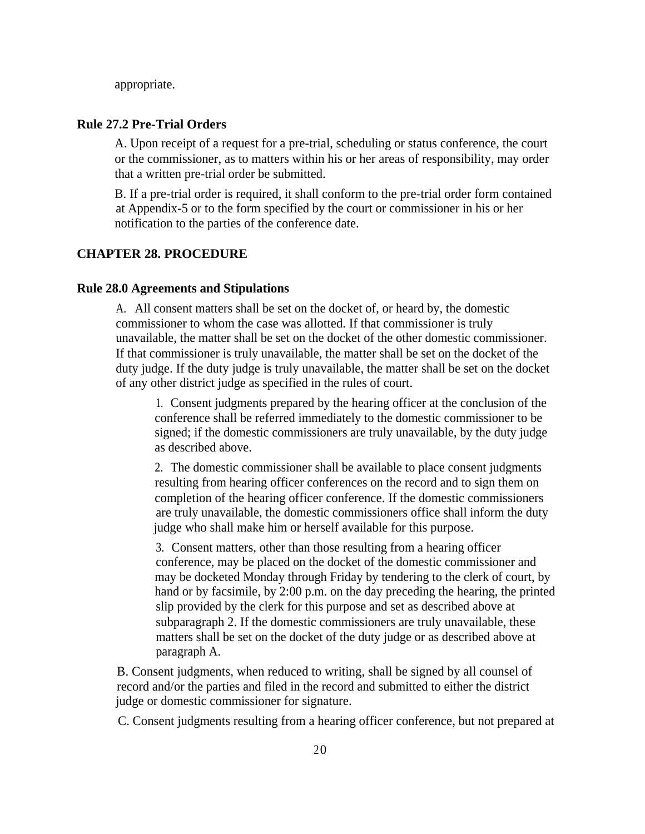appropriate.

#### **Rule 27.2 Pre-Trial Orders**

A. Upon receipt of a request for a pre-trial, scheduling or status conference, the court or the commissioner, as to matters within his or her areas of responsibility, may order that a written pre-trial order be submitted.

B. If a pre-trial order is required, it shall conform to the pre-trial order form contained at Appendix-5 or to the form specified by the court or commissioner in his or her notification to the parties of the conference date.

#### **CHAPTER 28. PROCEDURE**

#### **Rule 28.0 Agreements and Stipulations**

A. All consent matters shall be set on the docket of, or heard by, the domestic commissioner to whom the case was allotted. If that commissioner is truly unavailable, the matter shall be set on the docket of the other domestic commissioner. If that commissioner is truly unavailable, the matter shall be set on the docket of the duty judge. If the duty judge is truly unavailable, the matter shall be set on the docket of any other district judge as specified in the rules of court.

1. Consent judgments prepared by the hearing officer at the conclusion of the conference shall be referred immediately to the domestic commissioner to be signed; if the domestic commissioners are truly unavailable, by the duty judge as described above.

2. The domestic commissioner shall be available to place consent judgments resulting from hearing officer conferences on the record and to sign them on completion of the hearing officer conference. If the domestic commissioners are truly unavailable, the domestic commissioners office shall inform the duty judge who shall make him or herself available for this purpose.

3. Consent matters, other than those resulting from a hearing officer conference, may be placed on the docket of the domestic commissioner and may be docketed Monday through Friday by tendering to the clerk of court, by hand or by facsimile, by 2:00 p.m. on the day preceding the hearing, the printed slip provided by the clerk for this purpose and set as described above at subparagraph 2. If the domestic commissioners are truly unavailable, these matters shall be set on the docket of the duty judge or as described above at paragraph A.

B. Consent judgments, when reduced to writing, shall be signed by all counsel of record and/or the parties and filed in the record and submitted to either the district judge or domestic commissioner for signature.

C. Consent judgments resulting from a hearing officer conference, but not prepared at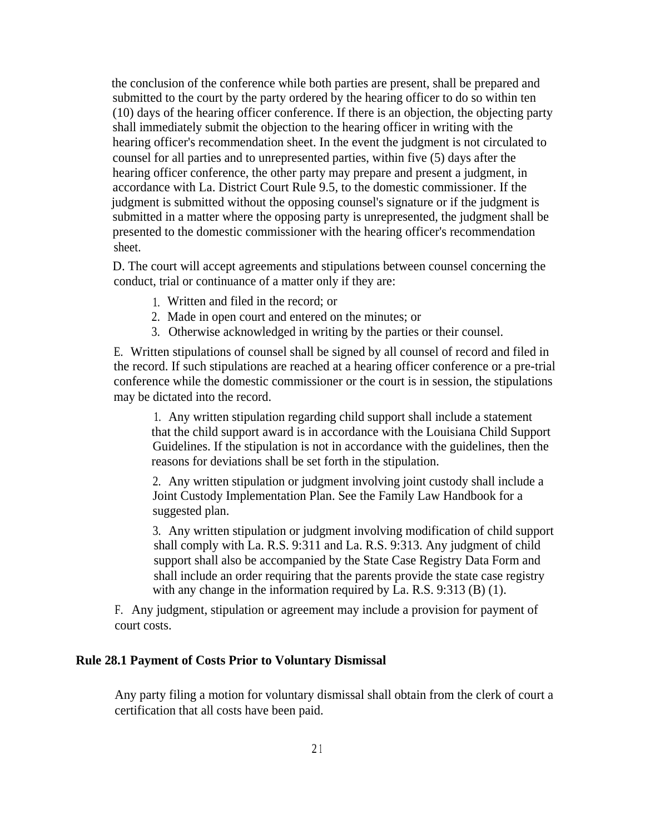the conclusion of the conference while both parties are present, shall be prepared and submitted to the court by the party ordered by the hearing officer to do so within ten (10) days of the hearing officer conference. If there is an objection, the objecting party shall immediately submit the objection to the hearing officer in writing with the hearing officer's recommendation sheet. In the event the judgment is not circulated to counsel for all parties and to unrepresented parties, within five (5) days after the hearing officer conference, the other party may prepare and present a judgment, in accordance with La. District Court Rule 9.5, to the domestic commissioner. If the judgment is submitted without the opposing counsel's signature or if the judgment is submitted in a matter where the opposing party is unrepresented, the judgment shall be presented to the domestic commissioner with the hearing officer's recommendation sheet.

D. The court will accept agreements and stipulations between counsel concerning the conduct, trial or continuance of a matter only if they are:

- 1. Written and filed in the record; or
- 2. Made in open court and entered on the minutes; or
- 3. Otherwise acknowledged in writing by the parties or their counsel.

E. Written stipulations of counsel shall be signed by all counsel of record and filed in the record. If such stipulations are reached at a hearing officer conference or a pre-trial conference while the domestic commissioner or the court is in session, the stipulations may be dictated into the record.

1. Any written stipulation regarding child support shall include a statement that the child support award is in accordance with the Louisiana Child Support Guidelines. If the stipulation is not in accordance with the guidelines, then the reasons for deviations shall be set forth in the stipulation.

2. Any written stipulation or judgment involving joint custody shall include a Joint Custody Implementation Plan. See the Family Law Handbook for a suggested plan.

3. Any written stipulation or judgment involving modification of child support shall comply with La. R.S. 9:311 and La. R.S. 9:313. Any judgment of child support shall also be accompanied by the State Case Registry Data Form and shall include an order requiring that the parents provide the state case registry with any change in the information required by La. R.S. 9:313 (B) (1).

F. Any judgment, stipulation or agreement may include a provision for payment of court costs.

#### **Rule 28.1 Payment of Costs Prior to Voluntary Dismissal**

Any party filing a motion for voluntary dismissal shall obtain from the clerk of court a certification that all costs have been paid.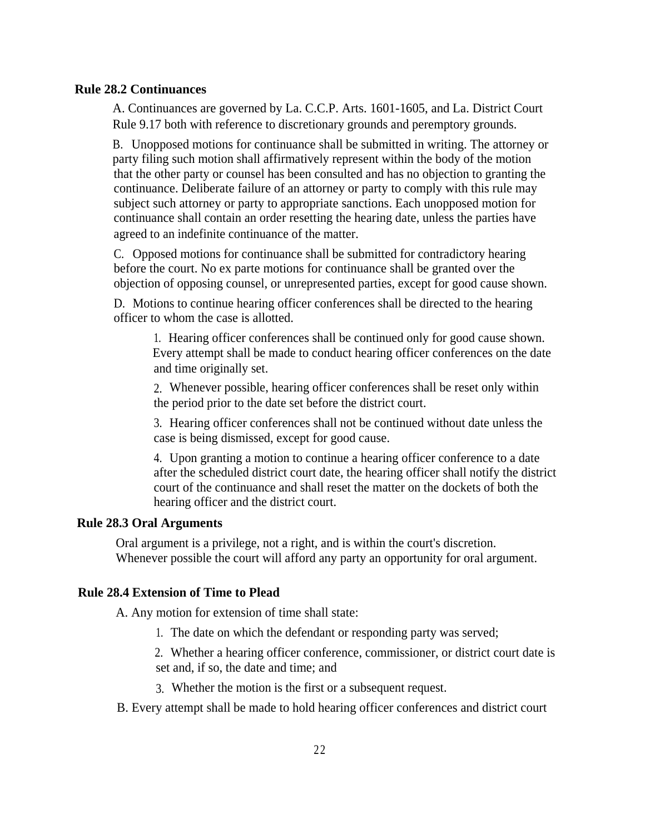#### **Rule 28.2 Continuances**

A. Continuances are governed by La. C.C.P. Arts. 1601-1605, and La. District Court Rule 9.17 both with reference to discretionary grounds and peremptory grounds.

B. Unopposed motions for continuance shall be submitted in writing. The attorney or party filing such motion shall affirmatively represent within the body of the motion that the other party or counsel has been consulted and has no objection to granting the continuance. Deliberate failure of an attorney or party to comply with this rule may subject such attorney or party to appropriate sanctions. Each unopposed motion for continuance shall contain an order resetting the hearing date, unless the parties have agreed to an indefinite continuance of the matter.

C. Opposed motions for continuance shall be submitted for contradictory hearing before the court. No ex parte motions for continuance shall be granted over the objection of opposing counsel, or unrepresented parties, except for good cause shown.

D. Motions to continue hearing officer conferences shall be directed to the hearing officer to whom the case is allotted.

1. Hearing officer conferences shall be continued only for good cause shown. Every attempt shall be made to conduct hearing officer conferences on the date and time originally set.

2. Whenever possible, hearing officer conferences shall be reset only within the period prior to the date set before the district court.

3. Hearing officer conferences shall not be continued without date unless the case is being dismissed, except for good cause.

4. Upon granting a motion to continue a hearing officer conference to a date after the scheduled district court date, the hearing officer shall notify the district court of the continuance and shall reset the matter on the dockets of both the hearing officer and the district court.

#### **Rule 28.3 Oral Arguments**

Oral argument is a privilege, not a right, and is within the court's discretion. Whenever possible the court will afford any party an opportunity for oral argument.

#### **Rule 28.4 Extension of Time to Plead**

A. Any motion for extension of time shall state:

1. The date on which the defendant or responding party was served;

2. Whether a hearing officer conference, commissioner, or district court date is set and, if so, the date and time; and

- 3. Whether the motion is the first or a subsequent request.
- B. Every attempt shall be made to hold hearing officer conferences and district court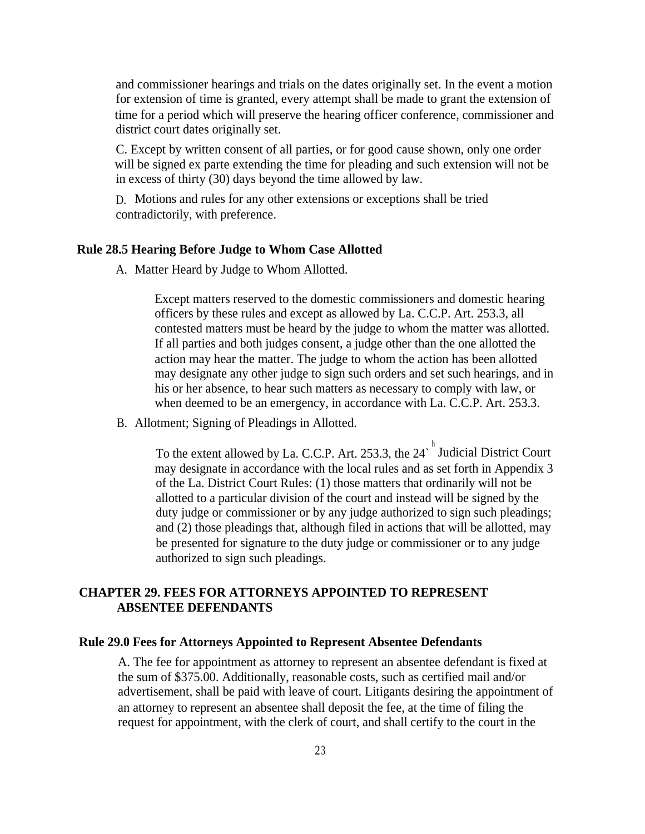and commissioner hearings and trials on the dates originally set. In the event a motion for extension of time is granted, every attempt shall be made to grant the extension of time for a period which will preserve the hearing officer conference, commissioner and district court dates originally set.

C. Except by written consent of all parties, or for good cause shown, only one order will be signed ex parte extending the time for pleading and such extension will not be in excess of thirty (30) days beyond the time allowed by law.

D. Motions and rules for any other extensions or exceptions shall be tried contradictorily, with preference.

#### **Rule 28.5 Hearing Before Judge to Whom Case Allotted**

A. Matter Heard by Judge to Whom Allotted.

Except matters reserved to the domestic commissioners and domestic hearing officers by these rules and except as allowed by La. C.C.P. Art. 253.3, all contested matters must be heard by the judge to whom the matter was allotted. If all parties and both judges consent, a judge other than the one allotted the action may hear the matter. The judge to whom the action has been allotted may designate any other judge to sign such orders and set such hearings, and in his or her absence, to hear such matters as necessary to comply with law, or when deemed to be an emergency, in accordance with La. C.C.P. Art. 253.3.

B. Allotment; Signing of Pleadings in Allotted.

To the extent allowed by La. C.C.P. Art. 253.3, the 24<sup> $^h$ </sup> Judicial District Court may designate in accordance with the local rules and as set forth in Appendix 3 of the La. District Court Rules: (1) those matters that ordinarily will not be allotted to a particular division of the court and instead will be signed by the duty judge or commissioner or by any judge authorized to sign such pleadings; and (2) those pleadings that, although filed in actions that will be allotted, may be presented for signature to the duty judge or commissioner or to any judge authorized to sign such pleadings.

#### **CHAPTER 29. FEES FOR ATTORNEYS APPOINTED TO REPRESENT ABSENTEE DEFENDANTS**

#### **Rule 29.0 Fees for Attorneys Appointed to Represent Absentee Defendants**

A. The fee for appointment as attorney to represent an absentee defendant is fixed at the sum of \$375.00. Additionally, reasonable costs, such as certified mail and/or advertisement, shall be paid with leave of court. Litigants desiring the appointment of an attorney to represent an absentee shall deposit the fee, at the time of filing the request for appointment, with the clerk of court, and shall certify to the court in the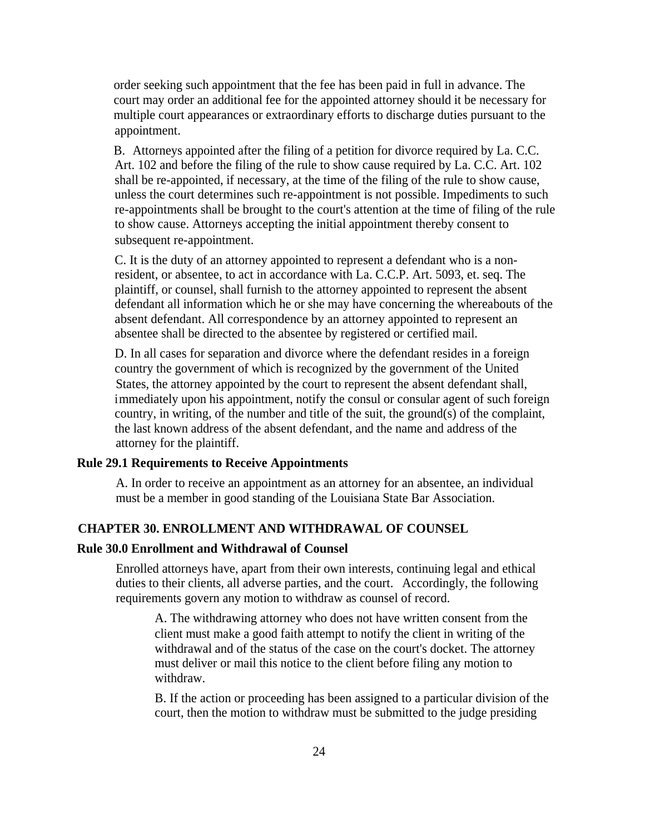order seeking such appointment that the fee has been paid in full in advance. The court may order an additional fee for the appointed attorney should it be necessary for multiple court appearances or extraordinary efforts to discharge duties pursuant to the appointment.

B. Attorneys appointed after the filing of a petition for divorce required by La. C.C. Art. 102 and before the filing of the rule to show cause required by La. C.C. Art. 102 shall be re-appointed, if necessary, at the time of the filing of the rule to show cause, unless the court determines such re-appointment is not possible. Impediments to such re-appointments shall be brought to the court's attention at the time of filing of the rule to show cause. Attorneys accepting the initial appointment thereby consent to subsequent re-appointment.

C. It is the duty of an attorney appointed to represent a defendant who is a nonresident, or absentee, to act in accordance with La. C.C.P. Art. 5093, et. seq. The plaintiff, or counsel, shall furnish to the attorney appointed to represent the absent defendant all information which he or she may have concerning the whereabouts of the absent defendant. All correspondence by an attorney appointed to represent an absentee shall be directed to the absentee by registered or certified mail.

D. In all cases for separation and divorce where the defendant resides in a foreign country the government of which is recognized by the government of the United States, the attorney appointed by the court to represent the absent defendant shall, immediately upon his appointment, notify the consul or consular agent of such foreign country, in writing, of the number and title of the suit, the ground(s) of the complaint, the last known address of the absent defendant, and the name and address of the attorney for the plaintiff.

#### **Rule 29.1 Requirements to Receive Appointments**

A. In order to receive an appointment as an attorney for an absentee, an individual must be a member in good standing of the Louisiana State Bar Association.

#### **CHAPTER 30. ENROLLMENT AND WITHDRAWAL OF COUNSEL**

#### **Rule 30.0 Enrollment and Withdrawal of Counsel**

Enrolled attorneys have, apart from their own interests, continuing legal and ethical duties to their clients, all adverse parties, and the court. Accordingly, the following requirements govern any motion to withdraw as counsel of record.

A. The withdrawing attorney who does not have written consent from the client must make a good faith attempt to notify the client in writing of the withdrawal and of the status of the case on the court's docket. The attorney must deliver or mail this notice to the client before filing any motion to withdraw.

B. If the action or proceeding has been assigned to a particular division of the court, then the motion to withdraw must be submitted to the judge presiding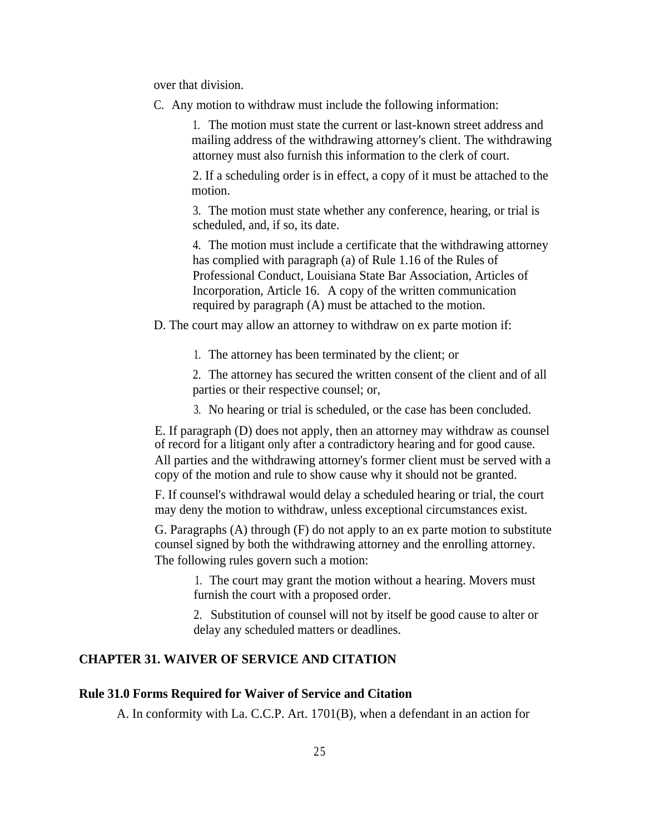over that division.

C. Any motion to withdraw must include the following information:

1. The motion must state the current or last-known street address and mailing address of the withdrawing attorney's client. The withdrawing attorney must also furnish this information to the clerk of court.

2. If a scheduling order is in effect, a copy of it must be attached to the motion.

3. The motion must state whether any conference, hearing, or trial is scheduled, and, if so, its date.

4. The motion must include a certificate that the withdrawing attorney has complied with paragraph (a) of Rule 1.16 of the Rules of Professional Conduct, Louisiana State Bar Association, Articles of Incorporation, Article 16. A copy of the written communication required by paragraph (A) must be attached to the motion.

D. The court may allow an attorney to withdraw on ex parte motion if:

1. The attorney has been terminated by the client; or

2. The attorney has secured the written consent of the client and of all parties or their respective counsel; or,

3. No hearing or trial is scheduled, or the case has been concluded.

E. If paragraph (D) does not apply, then an attorney may withdraw as counsel of record for a litigant only after a contradictory hearing and for good cause. All parties and the withdrawing attorney's former client must be served with a copy of the motion and rule to show cause why it should not be granted.

F. If counsel's withdrawal would delay a scheduled hearing or trial, the court may deny the motion to withdraw, unless exceptional circumstances exist.

G. Paragraphs (A) through (F) do not apply to an ex parte motion to substitute counsel signed by both the withdrawing attorney and the enrolling attorney. The following rules govern such a motion:

1. The court may grant the motion without a hearing. Movers must furnish the court with a proposed order.

2. Substitution of counsel will not by itself be good cause to alter or delay any scheduled matters or deadlines.

#### **CHAPTER 31. WAIVER OF SERVICE AND CITATION**

#### **Rule 31.0 Forms Required for Waiver of Service and Citation**

A. In conformity with La. C.C.P. Art. 1701(B), when a defendant in an action for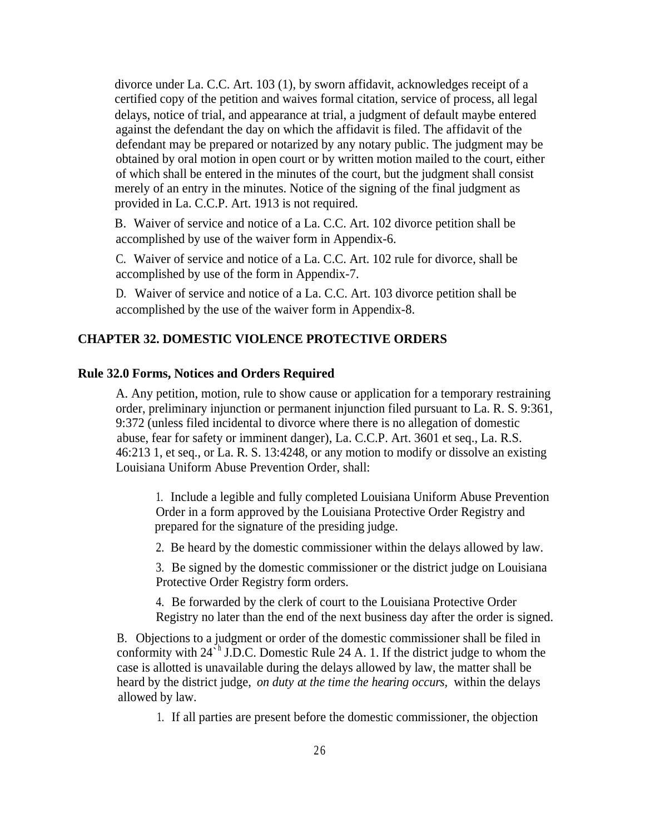divorce under La. C.C. Art. 103 (1), by sworn affidavit, acknowledges receipt of a certified copy of the petition and waives formal citation, service of process, all legal delays, notice of trial, and appearance at trial, a judgment of default maybe entered against the defendant the day on which the affidavit is filed. The affidavit of the defendant may be prepared or notarized by any notary public. The judgment may be obtained by oral motion in open court or by written motion mailed to the court, either of which shall be entered in the minutes of the court, but the judgment shall consist merely of an entry in the minutes. Notice of the signing of the final judgment as provided in La. C.C.P. Art. 1913 is not required.

B. Waiver of service and notice of a La. C.C. Art. 102 divorce petition shall be accomplished by use of the waiver form in Appendix-6.

C. Waiver of service and notice of a La. C.C. Art. 102 rule for divorce, shall be accomplished by use of the form in Appendix-7.

D. Waiver of service and notice of a La. C.C. Art. 103 divorce petition shall be accomplished by the use of the waiver form in Appendix-8.

#### **CHAPTER 32. DOMESTIC VIOLENCE PROTECTIVE ORDERS**

#### **Rule 32.0 Forms, Notices and Orders Required**

A. Any petition, motion, rule to show cause or application for a temporary restraining order, preliminary injunction or permanent injunction filed pursuant to La. R. S. 9:361, 9:372 (unless filed incidental to divorce where there is no allegation of domestic abuse, fear for safety or imminent danger), La. C.C.P. Art. 3601 et seq., La. R.S. 46:213 1, et seq., or La. R. S. 13:4248, or any motion to modify or dissolve an existing Louisiana Uniform Abuse Prevention Order, shall:

1. Include a legible and fully completed Louisiana Uniform Abuse Prevention Order in a form approved by the Louisiana Protective Order Registry and prepared for the signature of the presiding judge.

2. Be heard by the domestic commissioner within the delays allowed by law.

3. Be signed by the domestic commissioner or the district judge on Louisiana Protective Order Registry form orders.

4. Be forwarded by the clerk of court to the Louisiana Protective Order Registry no later than the end of the next business day after the order is signed.

B. Objections to a judgment or order of the domestic commissioner shall be filed in conformity with  $24^h$  J.D.C. Domestic Rule 24 A. 1. If the district judge to whom the case is allotted is unavailable during the delays allowed by law, the matter shall be heard by the district judge, *on duty at the time the hearing occurs,* within the delays allowed by law.

1. If all parties are present before the domestic commissioner, the objection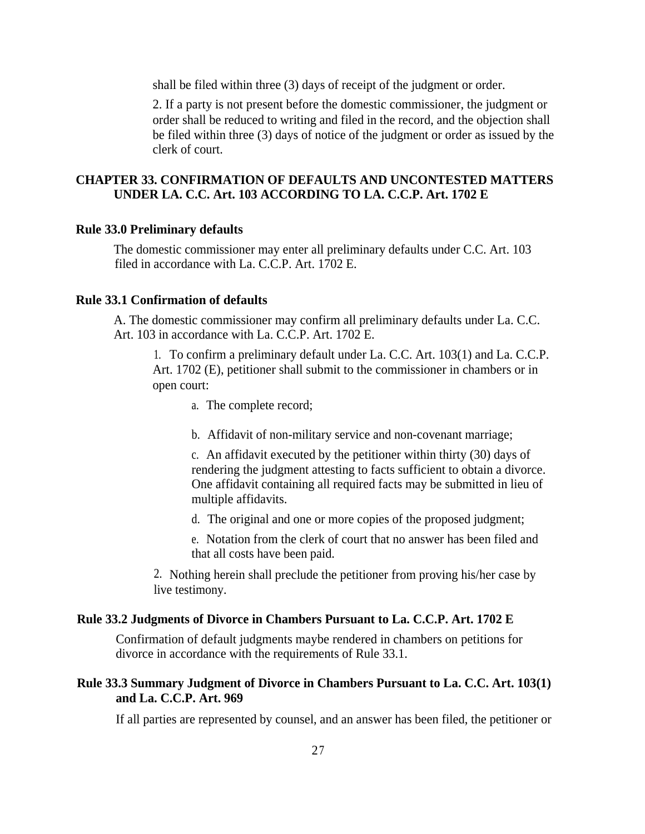shall be filed within three (3) days of receipt of the judgment or order.

2. If a party is not present before the domestic commissioner, the judgment or order shall be reduced to writing and filed in the record, and the objection shall be filed within three (3) days of notice of the judgment or order as issued by the clerk of court.

#### **CHAPTER 33. CONFIRMATION OF DEFAULTS AND UNCONTESTED MATTERS UNDER LA. C.C. Art. 103 ACCORDING TO LA. C.C.P. Art. 1702 E**

#### **Rule 33.0 Preliminary defaults**

The domestic commissioner may enter all preliminary defaults under C.C. Art. 103 filed in accordance with La. C.C.P. Art. 1702 E.

#### **Rule 33.1 Confirmation of defaults**

A. The domestic commissioner may confirm all preliminary defaults under La. C.C. Art. 103 in accordance with La. C.C.P. Art. 1702 E.

1. To confirm a preliminary default under La. C.C. Art. 103(1) and La. C.C.P. Art. 1702 (E), petitioner shall submit to the commissioner in chambers or in open court:

- a. The complete record;
- b. Affidavit of non-military service and non-covenant marriage;

c. An affidavit executed by the petitioner within thirty (30) days of rendering the judgment attesting to facts sufficient to obtain a divorce. One affidavit containing all required facts may be submitted in lieu of multiple affidavits.

d. The original and one or more copies of the proposed judgment;

e. Notation from the clerk of court that no answer has been filed and that all costs have been paid.

2. Nothing herein shall preclude the petitioner from proving his/her case by live testimony.

#### **Rule 33.2 Judgments of Divorce in Chambers Pursuant to La. C.C.P. Art. 1702 E**

Confirmation of default judgments maybe rendered in chambers on petitions for divorce in accordance with the requirements of Rule 33.1.

#### **Rule 33.3 Summary Judgment of Divorce in Chambers Pursuant to La. C.C. Art. 103(1) and La. C.C.P. Art. 969**

If all parties are represented by counsel, and an answer has been filed, the petitioner or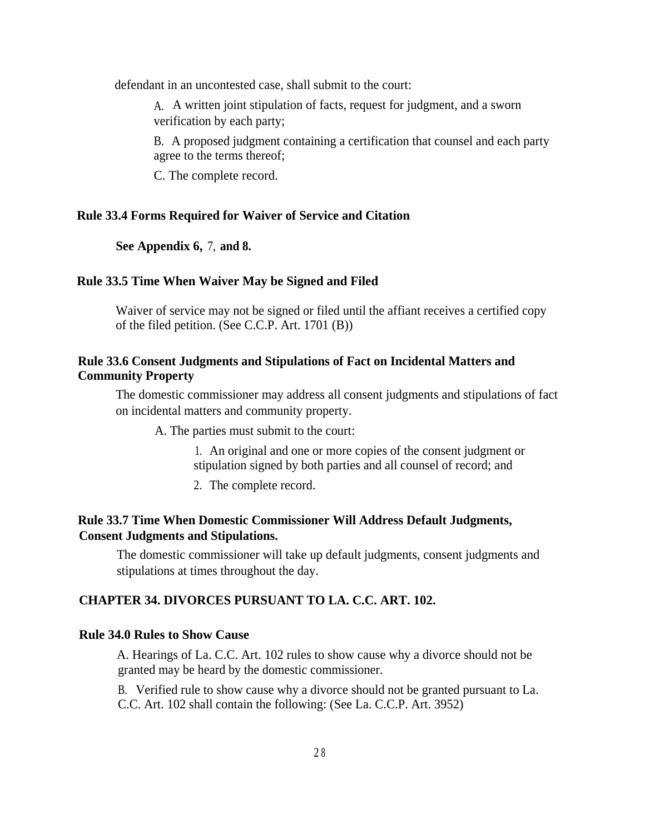defendant in an uncontested case, shall submit to the court:

A. A written joint stipulation of facts, request for judgment, and a sworn verification by each party;

B. A proposed judgment containing a certification that counsel and each party agree to the terms thereof;

C. The complete record.

#### **Rule 33.4 Forms Required for Waiver of Service and Citation**

**See Appendix 6,** 7, **and 8.**

#### **Rule 33.5 Time When Waiver May be Signed and Filed**

Waiver of service may not be signed or filed until the affiant receives a certified copy of the filed petition. (See C.C.P. Art. 1701 (B))

#### **Rule 33.6 Consent Judgments and Stipulations of Fact on Incidental Matters and Community Property**

The domestic commissioner may address all consent judgments and stipulations of fact on incidental matters and community property.

A. The parties must submit to the court:

1. An original and one or more copies of the consent judgment or stipulation signed by both parties and all counsel of record; and

2. The complete record.

#### **Rule 33.7 Time When Domestic Commissioner Will Address Default Judgments, Consent Judgments and Stipulations.**

The domestic commissioner will take up default judgments, consent judgments and stipulations at times throughout the day.

#### **CHAPTER 34. DIVORCES PURSUANT TO LA. C.C. ART. 102.**

#### **Rule 34.0 Rules to Show Cause**

A. Hearings of La. C.C. Art. 102 rules to show cause why a divorce should not be granted may be heard by the domestic commissioner.

B. Verified rule to show cause why a divorce should not be granted pursuant to La. C.C. Art. 102 shall contain the following: (See La. C.C.P. Art. 3952)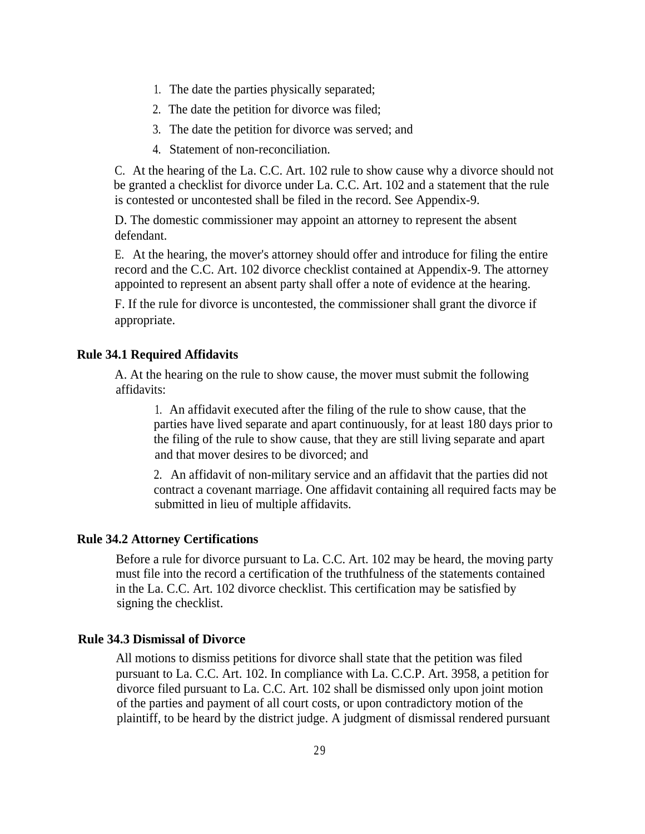- 1. The date the parties physically separated;
- 2. The date the petition for divorce was filed;
- 3. The date the petition for divorce was served; and
- 4. Statement of non-reconciliation.

C. At the hearing of the La. C.C. Art. 102 rule to show cause why a divorce should not be granted a checklist for divorce under La. C.C. Art. 102 and a statement that the rule is contested or uncontested shall be filed in the record. See Appendix-9.

D. The domestic commissioner may appoint an attorney to represent the absent defendant.

E. At the hearing, the mover's attorney should offer and introduce for filing the entire record and the C.C. Art. 102 divorce checklist contained at Appendix-9. The attorney appointed to represent an absent party shall offer a note of evidence at the hearing.

F. If the rule for divorce is uncontested, the commissioner shall grant the divorce if appropriate.

#### **Rule 34.1 Required Affidavits**

A. At the hearing on the rule to show cause, the mover must submit the following affidavits:

1. An affidavit executed after the filing of the rule to show cause, that the parties have lived separate and apart continuously, for at least 180 days prior to the filing of the rule to show cause, that they are still living separate and apart and that mover desires to be divorced; and

2. An affidavit of non-military service and an affidavit that the parties did not contract a covenant marriage. One affidavit containing all required facts may be submitted in lieu of multiple affidavits.

#### **Rule 34.2 Attorney Certifications**

Before a rule for divorce pursuant to La. C.C. Art. 102 may be heard, the moving party must file into the record a certification of the truthfulness of the statements contained in the La. C.C. Art. 102 divorce checklist. This certification may be satisfied by signing the checklist.

#### **Rule 34.3 Dismissal of Divorce**

All motions to dismiss petitions for divorce shall state that the petition was filed pursuant to La. C.C. Art. 102. In compliance with La. C.C.P. Art. 3958, a petition for divorce filed pursuant to La. C.C. Art. 102 shall be dismissed only upon joint motion of the parties and payment of all court costs, or upon contradictory motion of the plaintiff, to be heard by the district judge. A judgment of dismissal rendered pursuant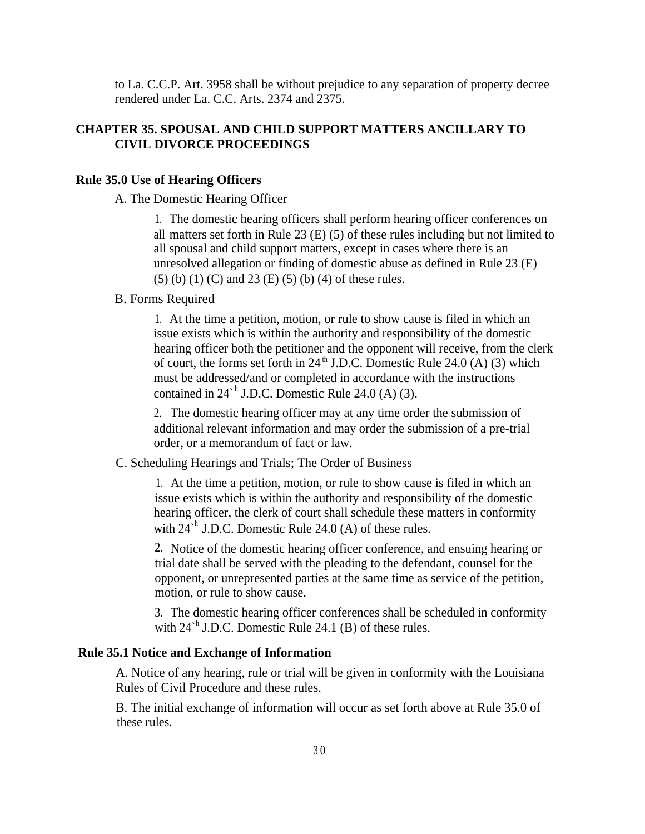to La. C.C.P. Art. 3958 shall be without prejudice to any separation of property decree rendered under La. C.C. Arts. 2374 and 2375.

#### **CHAPTER 35. SPOUSAL AND CHILD SUPPORT MATTERS ANCILLARY TO CIVIL DIVORCE PROCEEDINGS**

#### **Rule 35.0 Use of Hearing Officers**

A. The Domestic Hearing Officer

1. The domestic hearing officers shall perform hearing officer conferences on all matters set forth in Rule 23 (E) (5) of these rules including but not limited to all spousal and child support matters, except in cases where there is an unresolved allegation or finding of domestic abuse as defined in Rule 23 (E) (5) (b) (1) (C) and 23 (E) (5) (b) (4) of these rules.

#### B. Forms Required

1. At the time a petition, motion, or rule to show cause is filed in which an issue exists which is within the authority and responsibility of the domestic hearing officer both the petitioner and the opponent will receive, from the clerk of court, the forms set forth in  $24<sup>th</sup>$  J.D.C. Domestic Rule 24.0 (A) (3) which must be addressed/and or completed in accordance with the instructions contained in  $24^{\text{th}}$  J.D.C. Domestic Rule 24.0 (A) (3).

2. The domestic hearing officer may at any time order the submission of additional relevant information and may order the submission of a pre-trial order, or a memorandum of fact or law.

C. Scheduling Hearings and Trials; The Order of Business

1. At the time a petition, motion, or rule to show cause is filed in which an issue exists which is within the authority and responsibility of the domestic hearing officer, the clerk of court shall schedule these matters in conformity with  $24^{\text{th}}$  J.D.C. Domestic Rule 24.0 (A) of these rules.

2. Notice of the domestic hearing officer conference, and ensuing hearing or trial date shall be served with the pleading to the defendant, counsel for the opponent, or unrepresented parties at the same time as service of the petition, motion, or rule to show cause.

3. The domestic hearing officer conferences shall be scheduled in conformity with  $24<sup>h</sup>$  J.D.C. Domestic Rule 24.1 (B) of these rules.

#### **Rule 35.1 Notice and Exchange of Information**

A. Notice of any hearing, rule or trial will be given in conformity with the Louisiana Rules of Civil Procedure and these rules.

B. The initial exchange of information will occur as set forth above at Rule 35.0 of these rules.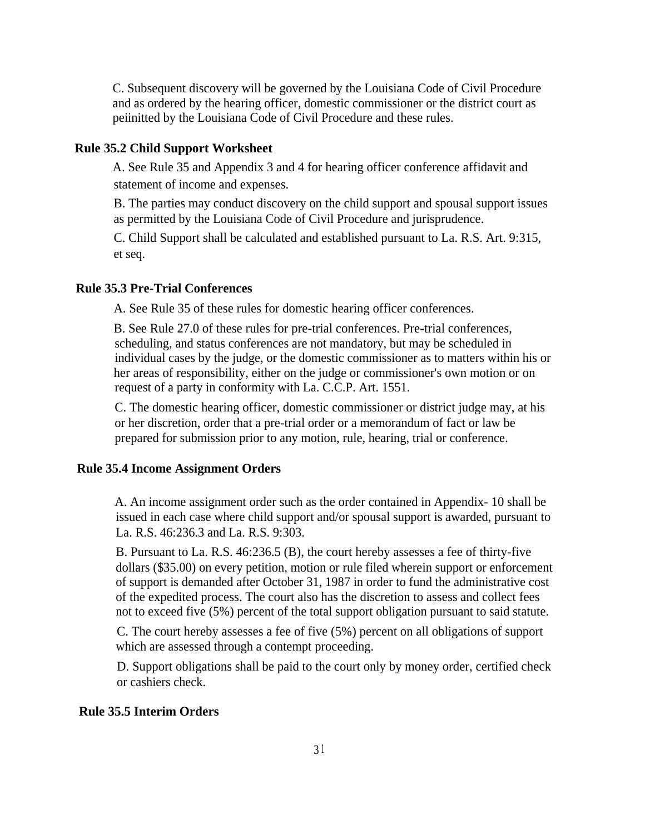C. Subsequent discovery will be governed by the Louisiana Code of Civil Procedure and as ordered by the hearing officer, domestic commissioner or the district court as peiinitted by the Louisiana Code of Civil Procedure and these rules.

#### **Rule 35.2 Child Support Worksheet**

A. See Rule 35 and Appendix 3 and 4 for hearing officer conference affidavit and statement of income and expenses.

B. The parties may conduct discovery on the child support and spousal support issues as permitted by the Louisiana Code of Civil Procedure and jurisprudence.

C. Child Support shall be calculated and established pursuant to La. R.S. Art. 9:315, et seq.

#### **Rule 35.3 Pre-Trial Conferences**

A. See Rule 35 of these rules for domestic hearing officer conferences.

B. See Rule 27.0 of these rules for pre-trial conferences. Pre-trial conferences, scheduling, and status conferences are not mandatory, but may be scheduled in individual cases by the judge, or the domestic commissioner as to matters within his or her areas of responsibility, either on the judge or commissioner's own motion or on request of a party in conformity with La. C.C.P. Art. 1551.

C. The domestic hearing officer, domestic commissioner or district judge may, at his or her discretion, order that a pre-trial order or a memorandum of fact or law be prepared for submission prior to any motion, rule, hearing, trial or conference.

#### **Rule 35.4 Income Assignment Orders**

A. An income assignment order such as the order contained in Appendix- 10 shall be issued in each case where child support and/or spousal support is awarded, pursuant to La. R.S. 46:236.3 and La. R.S. 9:303.

B. Pursuant to La. R.S. 46:236.5 (B), the court hereby assesses a fee of thirty-five dollars (\$35.00) on every petition, motion or rule filed wherein support or enforcement of support is demanded after October 31, 1987 in order to fund the administrative cost of the expedited process. The court also has the discretion to assess and collect fees not to exceed five (5%) percent of the total support obligation pursuant to said statute.

C. The court hereby assesses a fee of five (5%) percent on all obligations of support which are assessed through a contempt proceeding.

D. Support obligations shall be paid to the court only by money order, certified check or cashiers check.

#### **Rule 35.5 Interim Orders**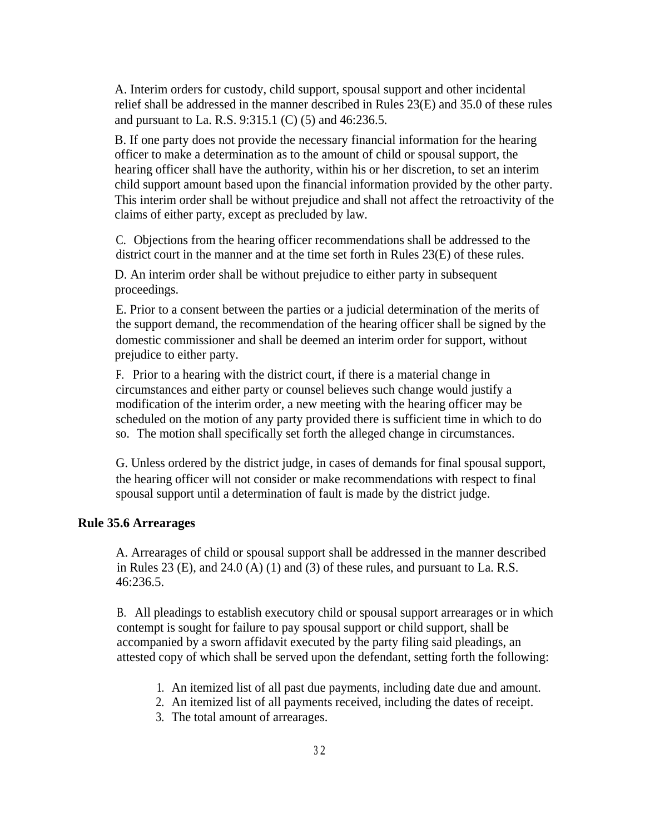A. Interim orders for custody, child support, spousal support and other incidental relief shall be addressed in the manner described in Rules 23(E) and 35.0 of these rules and pursuant to La. R.S. 9:315.1 (C) (5) and 46:236.5.

B. If one party does not provide the necessary financial information for the hearing officer to make a determination as to the amount of child or spousal support, the hearing officer shall have the authority, within his or her discretion, to set an interim child support amount based upon the financial information provided by the other party. This interim order shall be without prejudice and shall not affect the retroactivity of the claims of either party, except as precluded by law.

C. Objections from the hearing officer recommendations shall be addressed to the district court in the manner and at the time set forth in Rules 23(E) of these rules.

D. An interim order shall be without prejudice to either party in subsequent proceedings.

E. Prior to a consent between the parties or a judicial determination of the merits of the support demand, the recommendation of the hearing officer shall be signed by the domestic commissioner and shall be deemed an interim order for support, without prejudice to either party.

F. Prior to a hearing with the district court, if there is a material change in circumstances and either party or counsel believes such change would justify a modification of the interim order, a new meeting with the hearing officer may be scheduled on the motion of any party provided there is sufficient time in which to do so. The motion shall specifically set forth the alleged change in circumstances.

G. Unless ordered by the district judge, in cases of demands for final spousal support, the hearing officer will not consider or make recommendations with respect to final spousal support until a determination of fault is made by the district judge.

#### **Rule 35.6 Arrearages**

A. Arrearages of child or spousal support shall be addressed in the manner described in Rules 23 (E), and 24.0 (A) (1) and (3) of these rules, and pursuant to La. R.S. 46:236.5.

B. All pleadings to establish executory child or spousal support arrearages or in which contempt is sought for failure to pay spousal support or child support, shall be accompanied by a sworn affidavit executed by the party filing said pleadings, an attested copy of which shall be served upon the defendant, setting forth the following:

- 1. An itemized list of all past due payments, including date due and amount.
- 2. An itemized list of all payments received, including the dates of receipt.
- 3. The total amount of arrearages.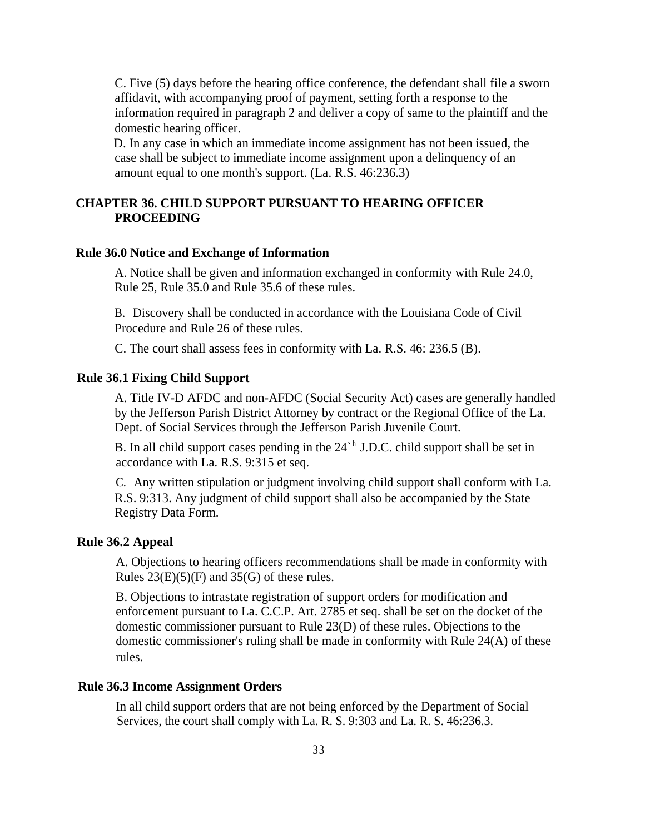C. Five (5) days before the hearing office conference, the defendant shall file a sworn affidavit, with accompanying proof of payment, setting forth a response to the information required in paragraph 2 and deliver a copy of same to the plaintiff and the domestic hearing officer.

D. In any case in which an immediate income assignment has not been issued, the case shall be subject to immediate income assignment upon a delinquency of an amount equal to one month's support. (La. R.S. 46:236.3)

#### **CHAPTER 36. CHILD SUPPORT PURSUANT TO HEARING OFFICER PROCEEDING**

#### **Rule 36.0 Notice and Exchange of Information**

A. Notice shall be given and information exchanged in conformity with Rule 24.0, Rule 25, Rule 35.0 and Rule 35.6 of these rules.

B. Discovery shall be conducted in accordance with the Louisiana Code of Civil Procedure and Rule 26 of these rules.

C. The court shall assess fees in conformity with La. R.S. 46: 236.5 (B).

#### **Rule 36.1 Fixing Child Support**

A. Title IV-D AFDC and non-AFDC (Social Security Act) cases are generally handled by the Jefferson Parish District Attorney by contract or the Regional Office of the La. Dept. of Social Services through the Jefferson Parish Juvenile Court.

B. In all child support cases pending in the  $24^h$  J.D.C. child support shall be set in accordance with La. R.S. 9:315 et seq.

C. Any written stipulation or judgment involving child support shall conform with La. R.S. 9:313. Any judgment of child support shall also be accompanied by the State Registry Data Form.

#### **Rule 36.2 Appeal**

A. Objections to hearing officers recommendations shall be made in conformity with Rules  $23(E)(5)(F)$  and  $35(G)$  of these rules.

B. Objections to intrastate registration of support orders for modification and enforcement pursuant to La. C.C.P. Art. 2785 et seq. shall be set on the docket of the domestic commissioner pursuant to Rule 23(D) of these rules. Objections to the domestic commissioner's ruling shall be made in conformity with Rule 24(A) of these rules.

#### **Rule 36.3 Income Assignment Orders**

In all child support orders that are not being enforced by the Department of Social Services, the court shall comply with La. R. S. 9:303 and La. R. S. 46:236.3.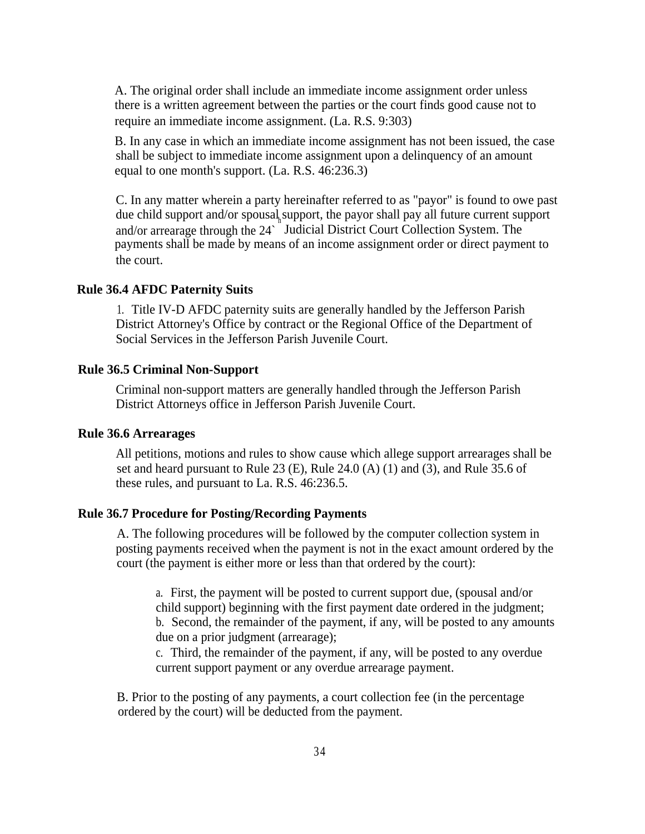A. The original order shall include an immediate income assignment order unless there is a written agreement between the parties or the court finds good cause not to require an immediate income assignment. (La. R.S. 9:303)

B. In any case in which an immediate income assignment has not been issued, the case shall be subject to immediate income assignment upon a delinquency of an amount equal to one month's support. (La. R.S. 46:236.3)

C. In any matter wherein a party hereinafter referred to as "payor" is found to owe past due child support and/or spousal support, the payor shall pay all future current support and/or arrearage through the 24<sup>°</sup> Judicial District Court Collection System. The payments shall be made by means of an income assignment order or direct payment to the court.

#### **Rule 36.4 AFDC Paternity Suits**

1. Title IV-D AFDC paternity suits are generally handled by the Jefferson Parish District Attorney's Office by contract or the Regional Office of the Department of Social Services in the Jefferson Parish Juvenile Court.

#### **Rule 36.5 Criminal Non-Support**

Criminal non-support matters are generally handled through the Jefferson Parish District Attorneys office in Jefferson Parish Juvenile Court.

#### **Rule 36.6 Arrearages**

All petitions, motions and rules to show cause which allege support arrearages shall be set and heard pursuant to Rule 23 (E), Rule 24.0 (A) (1) and (3), and Rule 35.6 of these rules, and pursuant to La. R.S. 46:236.5.

#### **Rule 36.7 Procedure for Posting/Recording Payments**

A. The following procedures will be followed by the computer collection system in posting payments received when the payment is not in the exact amount ordered by the court (the payment is either more or less than that ordered by the court):

a. First, the payment will be posted to current support due, (spousal and/or child support) beginning with the first payment date ordered in the judgment; b. Second, the remainder of the payment, if any, will be posted to any amounts due on a prior judgment (arrearage);

c. Third, the remainder of the payment, if any, will be posted to any overdue current support payment or any overdue arrearage payment.

B. Prior to the posting of any payments, a court collection fee (in the percentage ordered by the court) will be deducted from the payment.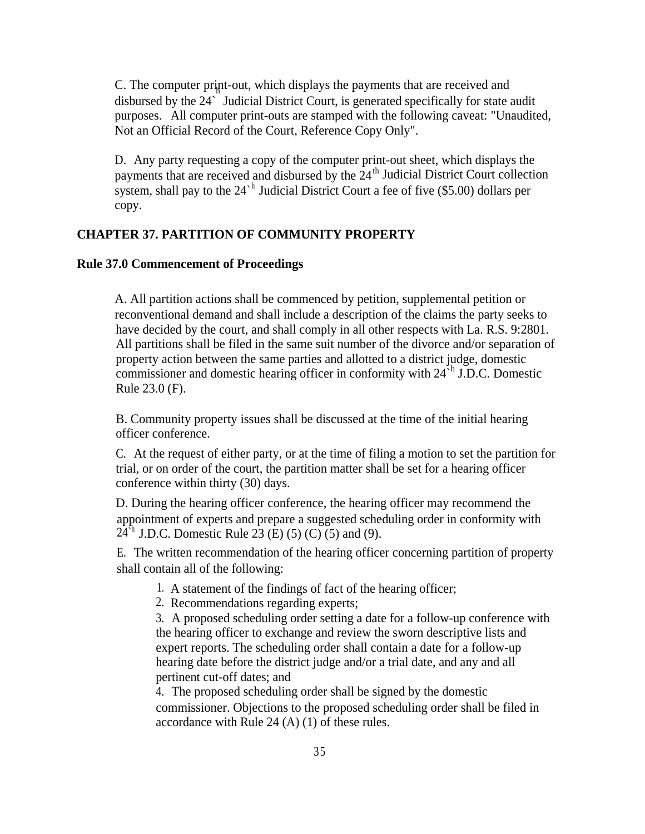C. The computer print-out, which displays the payments that are received and h disbursed by the 24` Judicial District Court, is generated specifically for state audit purposes. All computer print-outs are stamped with the following caveat: "Unaudited, Not an Official Record of the Court, Reference Copy Only".

D. Any party requesting a copy of the computer print-out sheet, which displays the payments that are received and disbursed by the  $24<sup>th</sup>$  Judicial District Court collection system, shall pay to the  $24^h$  Judicial District Court a fee of five (\$5.00) dollars per copy.

#### **CHAPTER 37. PARTITION OF COMMUNITY PROPERTY**

#### **Rule 37.0 Commencement of Proceedings**

A. All partition actions shall be commenced by petition, supplemental petition or reconventional demand and shall include a description of the claims the party seeks to have decided by the court, and shall comply in all other respects with La. R.S. 9:2801. All partitions shall be filed in the same suit number of the divorce and/or separation of property action between the same parties and allotted to a district judge, domestic commissioner and domestic hearing officer in conformity with  $24<sup>th</sup>$  J.D.C. Domestic Rule 23.0 (F).

B. Community property issues shall be discussed at the time of the initial hearing officer conference.

C. At the request of either party, or at the time of filing a motion to set the partition for trial, or on order of the court, the partition matter shall be set for a hearing officer conference within thirty (30) days.

D. During the hearing officer conference, the hearing officer may recommend the appointment of experts and prepare a suggested scheduling order in conformity with  $24<sup>h</sup>$  J.D.C. Domestic Rule 23 (E) (5) (C) (5) and (9).

E. The written recommendation of the hearing officer concerning partition of property shall contain all of the following:

1. A statement of the findings of fact of the hearing officer;

2. Recommendations regarding experts;

3. A proposed scheduling order setting a date for a follow-up conference with the hearing officer to exchange and review the sworn descriptive lists and expert reports. The scheduling order shall contain a date for a follow-up hearing date before the district judge and/or a trial date, and any and all pertinent cut-off dates; and

4. The proposed scheduling order shall be signed by the domestic commissioner. Objections to the proposed scheduling order shall be filed in accordance with Rule 24 (A) (1) of these rules.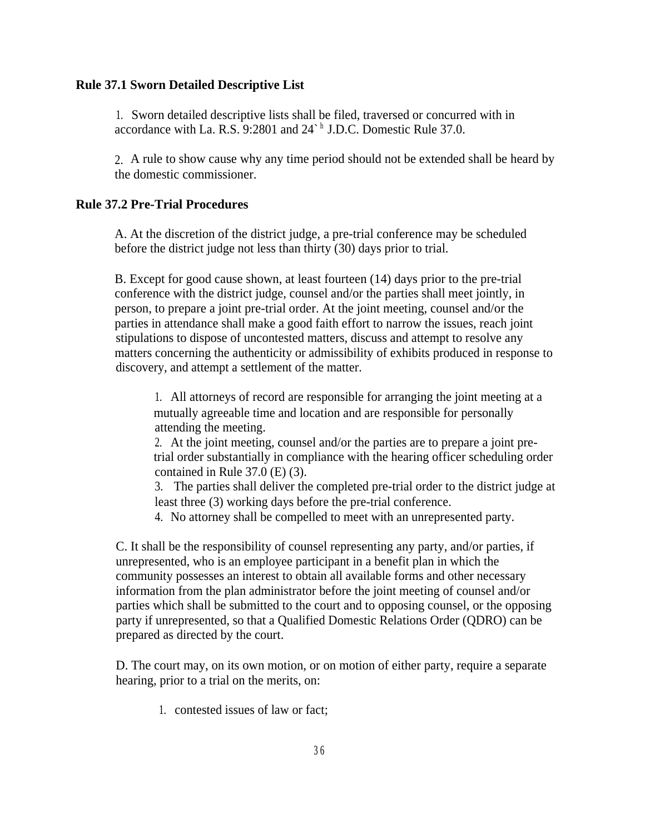#### **Rule 37.1 Sworn Detailed Descriptive List**

1. Sworn detailed descriptive lists shall be filed, traversed or concurred with in accordance with La. R.S. 9:2801 and 24<sup>sh</sup> J.D.C. Domestic Rule 37.0.

2. A rule to show cause why any time period should not be extended shall be heard by the domestic commissioner.

#### **Rule 37.2 Pre-Trial Procedures**

A. At the discretion of the district judge, a pre-trial conference may be scheduled before the district judge not less than thirty (30) days prior to trial.

B. Except for good cause shown, at least fourteen (14) days prior to the pre-trial conference with the district judge, counsel and/or the parties shall meet jointly, in person, to prepare a joint pre-trial order. At the joint meeting, counsel and/or the parties in attendance shall make a good faith effort to narrow the issues, reach joint stipulations to dispose of uncontested matters, discuss and attempt to resolve any matters concerning the authenticity or admissibility of exhibits produced in response to discovery, and attempt a settlement of the matter.

1. All attorneys of record are responsible for arranging the joint meeting at a mutually agreeable time and location and are responsible for personally attending the meeting.

2. At the joint meeting, counsel and/or the parties are to prepare a joint pretrial order substantially in compliance with the hearing officer scheduling order contained in Rule 37.0 (E) (3).

3. The parties shall deliver the completed pre-trial order to the district judge at least three (3) working days before the pre-trial conference.

4. No attorney shall be compelled to meet with an unrepresented party.

C. It shall be the responsibility of counsel representing any party, and/or parties, if unrepresented, who is an employee participant in a benefit plan in which the community possesses an interest to obtain all available forms and other necessary information from the plan administrator before the joint meeting of counsel and/or parties which shall be submitted to the court and to opposing counsel, or the opposing party if unrepresented, so that a Qualified Domestic Relations Order (QDRO) can be prepared as directed by the court.

D. The court may, on its own motion, or on motion of either party, require a separate hearing, prior to a trial on the merits, on:

1. contested issues of law or fact;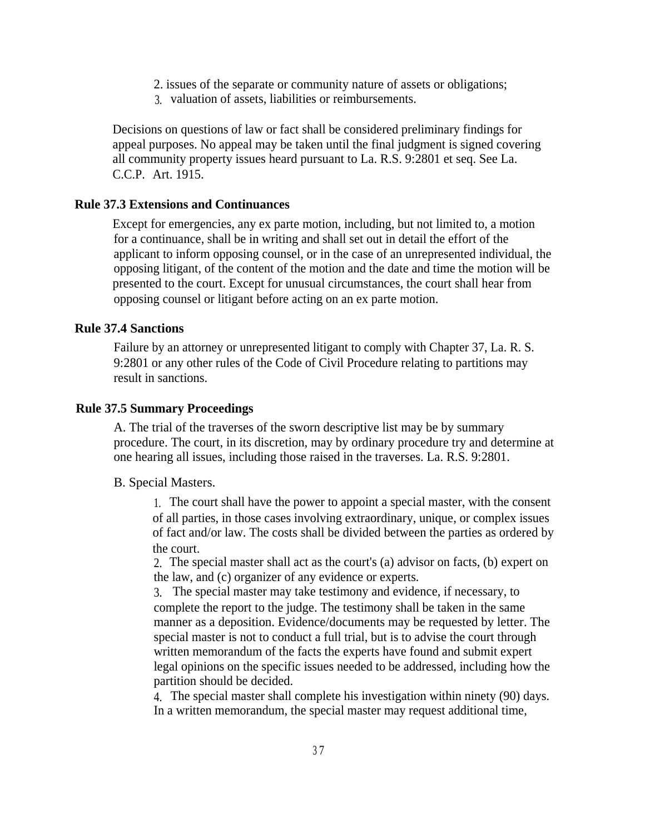- 2. issues of the separate or community nature of assets or obligations;
- 3. valuation of assets, liabilities or reimbursements.

Decisions on questions of law or fact shall be considered preliminary findings for appeal purposes. No appeal may be taken until the final judgment is signed covering all community property issues heard pursuant to La. R.S. 9:2801 et seq. See La. C.C.P. Art. 1915.

#### **Rule 37.3 Extensions and Continuances**

Except for emergencies, any ex parte motion, including, but not limited to, a motion for a continuance, shall be in writing and shall set out in detail the effort of the applicant to inform opposing counsel, or in the case of an unrepresented individual, the opposing litigant, of the content of the motion and the date and time the motion will be presented to the court. Except for unusual circumstances, the court shall hear from opposing counsel or litigant before acting on an ex parte motion.

#### **Rule 37.4 Sanctions**

Failure by an attorney or unrepresented litigant to comply with Chapter 37, La. R. S. 9:2801 or any other rules of the Code of Civil Procedure relating to partitions may result in sanctions.

#### **Rule 37.5 Summary Proceedings**

A. The trial of the traverses of the sworn descriptive list may be by summary procedure. The court, in its discretion, may by ordinary procedure try and determine at one hearing all issues, including those raised in the traverses. La. R.S. 9:2801.

#### B. Special Masters.

1. The court shall have the power to appoint a special master, with the consent of all parties, in those cases involving extraordinary, unique, or complex issues of fact and/or law. The costs shall be divided between the parties as ordered by the court.

2. The special master shall act as the court's (a) advisor on facts, (b) expert on the law, and (c) organizer of any evidence or experts.

3. The special master may take testimony and evidence, if necessary, to complete the report to the judge. The testimony shall be taken in the same manner as a deposition. Evidence/documents may be requested by letter. The special master is not to conduct a full trial, but is to advise the court through written memorandum of the facts the experts have found and submit expert legal opinions on the specific issues needed to be addressed, including how the partition should be decided.

4. The special master shall complete his investigation within ninety (90) days. In a written memorandum, the special master may request additional time,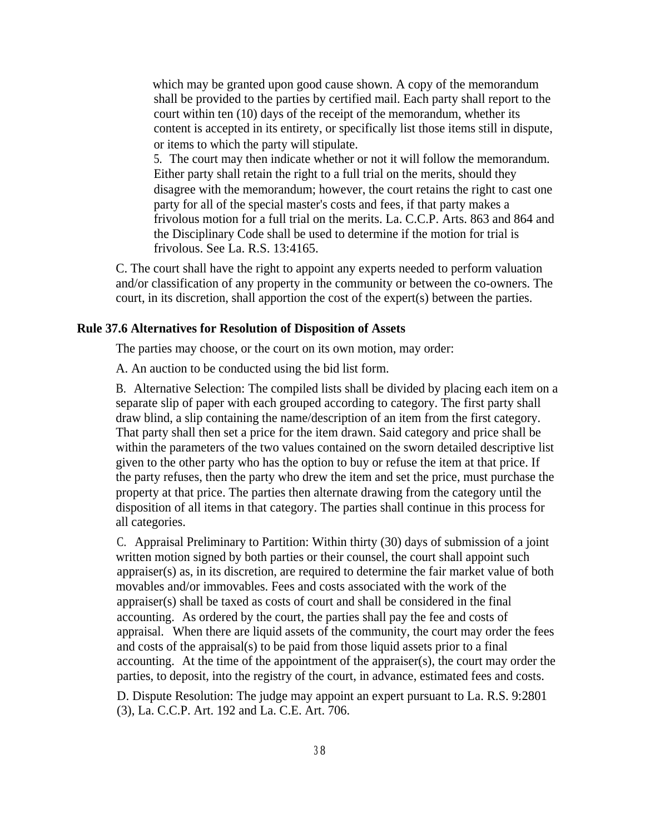which may be granted upon good cause shown. A copy of the memorandum shall be provided to the parties by certified mail. Each party shall report to the court within ten (10) days of the receipt of the memorandum, whether its content is accepted in its entirety, or specifically list those items still in dispute, or items to which the party will stipulate.

5. The court may then indicate whether or not it will follow the memorandum. Either party shall retain the right to a full trial on the merits, should they disagree with the memorandum; however, the court retains the right to cast one party for all of the special master's costs and fees, if that party makes a frivolous motion for a full trial on the merits. La. C.C.P. Arts. 863 and 864 and the Disciplinary Code shall be used to determine if the motion for trial is frivolous. See La. R.S. 13:4165.

C. The court shall have the right to appoint any experts needed to perform valuation and/or classification of any property in the community or between the co-owners. The court, in its discretion, shall apportion the cost of the expert(s) between the parties.

#### **Rule 37.6 Alternatives for Resolution of Disposition of Assets**

The parties may choose, or the court on its own motion, may order:

A. An auction to be conducted using the bid list form.

B. Alternative Selection: The compiled lists shall be divided by placing each item on a separate slip of paper with each grouped according to category. The first party shall draw blind, a slip containing the name/description of an item from the first category. That party shall then set a price for the item drawn. Said category and price shall be within the parameters of the two values contained on the sworn detailed descriptive list given to the other party who has the option to buy or refuse the item at that price. If the party refuses, then the party who drew the item and set the price, must purchase the property at that price. The parties then alternate drawing from the category until the disposition of all items in that category. The parties shall continue in this process for all categories.

C. Appraisal Preliminary to Partition: Within thirty (30) days of submission of a joint written motion signed by both parties or their counsel, the court shall appoint such appraiser(s) as, in its discretion, are required to determine the fair market value of both movables and/or immovables. Fees and costs associated with the work of the appraiser(s) shall be taxed as costs of court and shall be considered in the final accounting. As ordered by the court, the parties shall pay the fee and costs of appraisal. When there are liquid assets of the community, the court may order the fees and costs of the appraisal(s) to be paid from those liquid assets prior to a final accounting. At the time of the appointment of the appraiser(s), the court may order the parties, to deposit, into the registry of the court, in advance, estimated fees and costs.

D. Dispute Resolution: The judge may appoint an expert pursuant to La. R.S. 9:2801 (3), La. C.C.P. Art. 192 and La. C.E. Art. 706.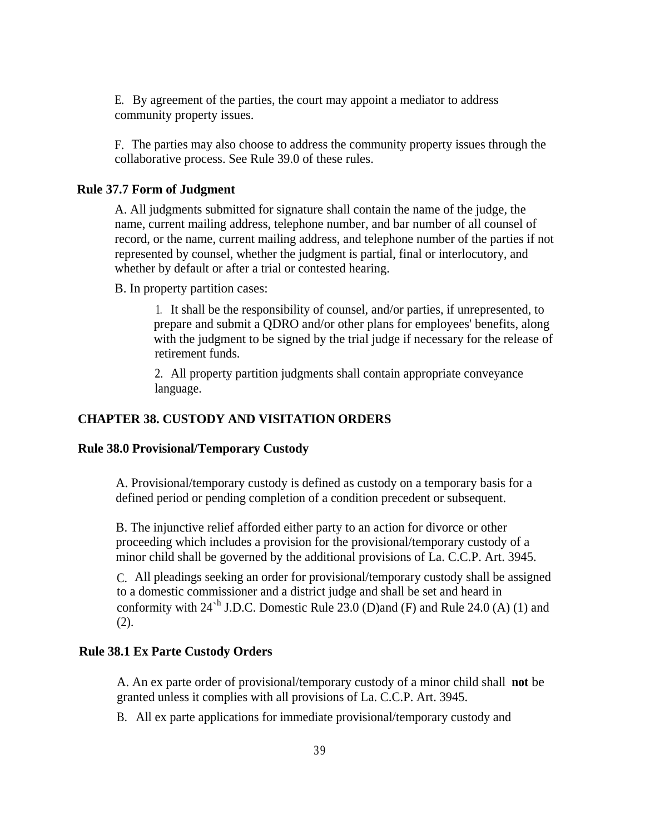E. By agreement of the parties, the court may appoint a mediator to address community property issues.

F. The parties may also choose to address the community property issues through the collaborative process. See Rule 39.0 of these rules.

#### **Rule 37.7 Form of Judgment**

A. All judgments submitted for signature shall contain the name of the judge, the name, current mailing address, telephone number, and bar number of all counsel of record, or the name, current mailing address, and telephone number of the parties if not represented by counsel, whether the judgment is partial, final or interlocutory, and whether by default or after a trial or contested hearing.

B. In property partition cases:

1. It shall be the responsibility of counsel, and/or parties, if unrepresented, to prepare and submit a QDRO and/or other plans for employees' benefits, along with the judgment to be signed by the trial judge if necessary for the release of retirement funds.

2. All property partition judgments shall contain appropriate conveyance language.

#### **CHAPTER 38. CUSTODY AND VISITATION ORDERS**

#### **Rule 38.0 Provisional/Temporary Custody**

A. Provisional/temporary custody is defined as custody on a temporary basis for a defined period or pending completion of a condition precedent or subsequent.

B. The injunctive relief afforded either party to an action for divorce or other proceeding which includes a provision for the provisional/temporary custody of a minor child shall be governed by the additional provisions of La. C.C.P. Art. 3945.

C. All pleadings seeking an order for provisional/temporary custody shall be assigned to a domestic commissioner and a district judge and shall be set and heard in conformity with  $24<sup>h</sup>$  J.D.C. Domestic Rule 23.0 (D)and (F) and Rule 24.0 (A) (1) and (2).

#### **Rule 38.1 Ex Parte Custody Orders**

A. An ex parte order of provisional/temporary custody of a minor child shall **not** be granted unless it complies with all provisions of La. C.C.P. Art. 3945.

B. All ex parte applications for immediate provisional/temporary custody and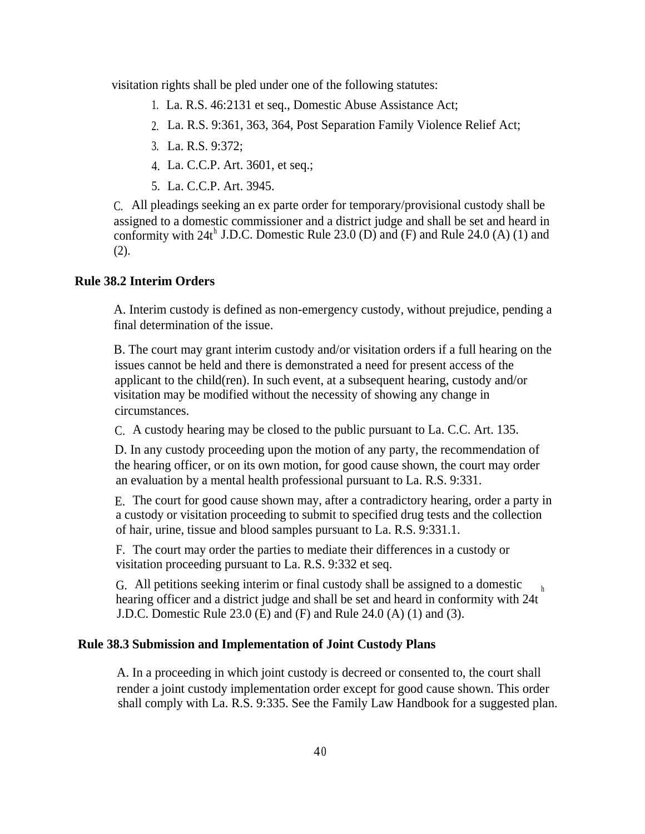visitation rights shall be pled under one of the following statutes:

- 1. La. R.S. 46:2131 et seq., Domestic Abuse Assistance Act;
- 2. La. R.S. 9:361, 363, 364, Post Separation Family Violence Relief Act;
- 3. La. R.S. 9:372;
- 4. La. C.C.P. Art. 3601, et seq.;
- 5. La. C.C.P. Art. 3945.

C. All pleadings seeking an ex parte order for temporary/provisional custody shall be assigned to a domestic commissioner and a district judge and shall be set and heard in conformity with  $24t^h$  J.D.C. Domestic Rule 23.0 (D) and (F) and Rule 24.0 (A) (1) and (2).

#### **Rule 38.2 Interim Orders**

A. Interim custody is defined as non-emergency custody, without prejudice, pending a final determination of the issue.

B. The court may grant interim custody and/or visitation orders if a full hearing on the issues cannot be held and there is demonstrated a need for present access of the applicant to the child(ren). In such event, at a subsequent hearing, custody and/or visitation may be modified without the necessity of showing any change in circumstances.

C. A custody hearing may be closed to the public pursuant to La. C.C. Art. 135.

D. In any custody proceeding upon the motion of any party, the recommendation of the hearing officer, or on its own motion, for good cause shown, the court may order an evaluation by a mental health professional pursuant to La. R.S. 9:331.

E. The court for good cause shown may, after a contradictory hearing, order a party in a custody or visitation proceeding to submit to specified drug tests and the collection of hair, urine, tissue and blood samples pursuant to La. R.S. 9:331.1.

F. The court may order the parties to mediate their differences in a custody or visitation proceeding pursuant to La. R.S. 9:332 et seq.

G. All petitions seeking interim or final custody shall be assigned to a domestic hearing officer and a district judge and shall be set and heard in conformity with 24t h J.D.C. Domestic Rule 23.0 (E) and (F) and Rule 24.0 (A) (1) and (3).

#### **Rule 38.3 Submission and Implementation of Joint Custody Plans**

A. In a proceeding in which joint custody is decreed or consented to, the court shall render a joint custody implementation order except for good cause shown. This order shall comply with La. R.S. 9:335. See the Family Law Handbook for a suggested plan.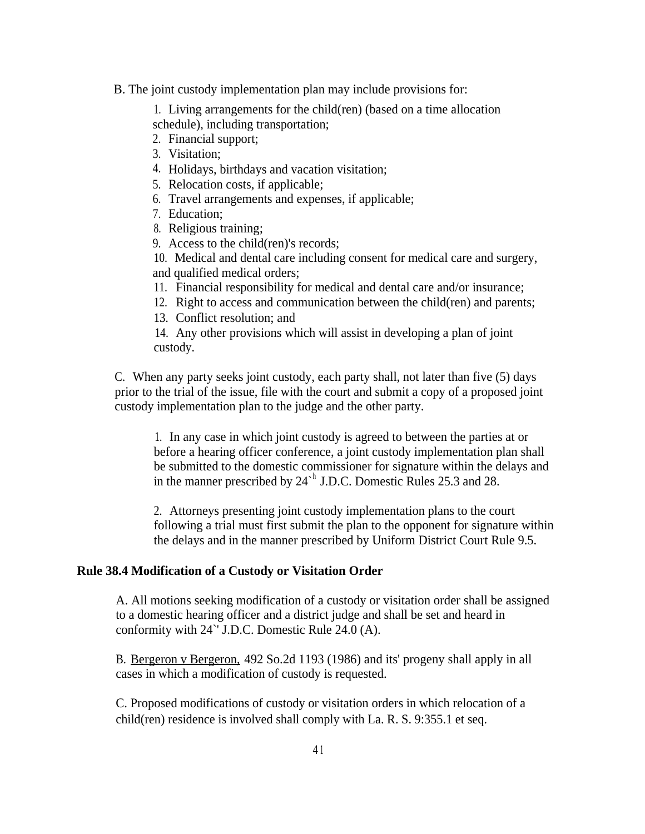B. The joint custody implementation plan may include provisions for:

1. Living arrangements for the child(ren) (based on a time allocation schedule), including transportation;

- 2. Financial support;
- 3. Visitation;
- 4. Holidays, birthdays and vacation visitation;
- 5. Relocation costs, if applicable;
- 6. Travel arrangements and expenses, if applicable;
- 7. Education;
- 8. Religious training;
- 9. Access to the child(ren)'s records;

10. Medical and dental care including consent for medical care and surgery, and qualified medical orders;

- 11. Financial responsibility for medical and dental care and/or insurance;
- 12. Right to access and communication between the child(ren) and parents;
- 13. Conflict resolution; and

14. Any other provisions which will assist in developing a plan of joint custody.

C. When any party seeks joint custody, each party shall, not later than five (5) days prior to the trial of the issue, file with the court and submit a copy of a proposed joint custody implementation plan to the judge and the other party.

1. In any case in which joint custody is agreed to between the parties at or before a hearing officer conference, a joint custody implementation plan shall be submitted to the domestic commissioner for signature within the delays and in the manner prescribed by  $24^h$  J.D.C. Domestic Rules 25.3 and 28.

2. Attorneys presenting joint custody implementation plans to the court following a trial must first submit the plan to the opponent for signature within the delays and in the manner prescribed by Uniform District Court Rule 9.5.

#### **Rule 38.4 Modification of a Custody or Visitation Order**

A. All motions seeking modification of a custody or visitation order shall be assigned to a domestic hearing officer and a district judge and shall be set and heard in conformity with 24`' J.D.C. Domestic Rule 24.0 (A).

B. Bergeron v Bergeron, 492 So.2d 1193 (1986) and its' progeny shall apply in all cases in which a modification of custody is requested.

C. Proposed modifications of custody or visitation orders in which relocation of a child(ren) residence is involved shall comply with La. R. S. 9:355.1 et seq.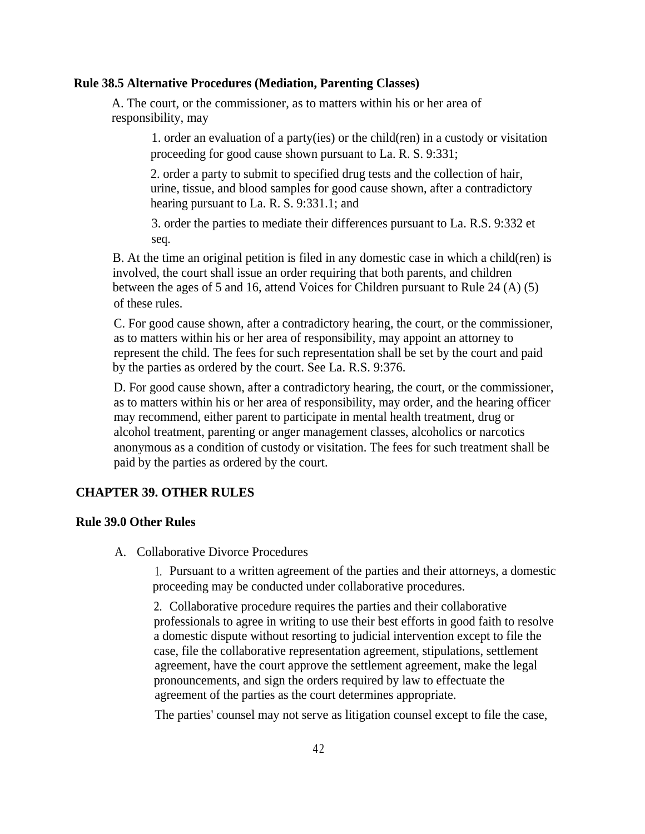#### **Rule 38.5 Alternative Procedures (Mediation, Parenting Classes)**

A. The court, or the commissioner, as to matters within his or her area of responsibility, may

> 1. order an evaluation of a party(ies) or the child(ren) in a custody or visitation proceeding for good cause shown pursuant to La. R. S. 9:331;

2. order a party to submit to specified drug tests and the collection of hair, urine, tissue, and blood samples for good cause shown, after a contradictory hearing pursuant to La. R. S. 9:331.1; and

3. order the parties to mediate their differences pursuant to La. R.S. 9:332 et seq.

B. At the time an original petition is filed in any domestic case in which a child(ren) is involved, the court shall issue an order requiring that both parents, and children between the ages of 5 and 16, attend Voices for Children pursuant to Rule 24 (A) (5) of these rules.

C. For good cause shown, after a contradictory hearing, the court, or the commissioner, as to matters within his or her area of responsibility, may appoint an attorney to represent the child. The fees for such representation shall be set by the court and paid by the parties as ordered by the court. See La. R.S. 9:376.

D. For good cause shown, after a contradictory hearing, the court, or the commissioner, as to matters within his or her area of responsibility, may order, and the hearing officer may recommend, either parent to participate in mental health treatment, drug or alcohol treatment, parenting or anger management classes, alcoholics or narcotics anonymous as a condition of custody or visitation. The fees for such treatment shall be paid by the parties as ordered by the court.

#### **CHAPTER 39. OTHER RULES**

#### **Rule 39.0 Other Rules**

A. Collaborative Divorce Procedures

1. Pursuant to a written agreement of the parties and their attorneys, a domestic proceeding may be conducted under collaborative procedures.

2. Collaborative procedure requires the parties and their collaborative professionals to agree in writing to use their best efforts in good faith to resolve a domestic dispute without resorting to judicial intervention except to file the case, file the collaborative representation agreement, stipulations, settlement agreement, have the court approve the settlement agreement, make the legal pronouncements, and sign the orders required by law to effectuate the agreement of the parties as the court determines appropriate.

The parties' counsel may not serve as litigation counsel except to file the case,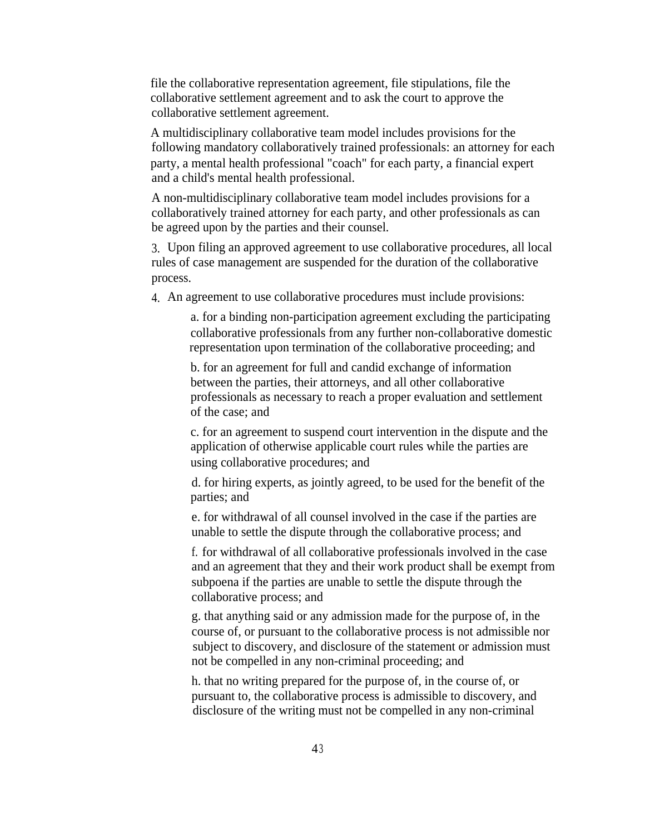file the collaborative representation agreement, file stipulations, file the collaborative settlement agreement and to ask the court to approve the collaborative settlement agreement.

A multidisciplinary collaborative team model includes provisions for the following mandatory collaboratively trained professionals: an attorney for each party, a mental health professional "coach" for each party, a financial expert and a child's mental health professional.

A non-multidisciplinary collaborative team model includes provisions for a collaboratively trained attorney for each party, and other professionals as can be agreed upon by the parties and their counsel.

3. Upon filing an approved agreement to use collaborative procedures, all local rules of case management are suspended for the duration of the collaborative process.

4. An agreement to use collaborative procedures must include provisions:

a. for a binding non-participation agreement excluding the participating collaborative professionals from any further non-collaborative domestic representation upon termination of the collaborative proceeding; and

b. for an agreement for full and candid exchange of information between the parties, their attorneys, and all other collaborative professionals as necessary to reach a proper evaluation and settlement of the case; and

c. for an agreement to suspend court intervention in the dispute and the application of otherwise applicable court rules while the parties are using collaborative procedures; and

d. for hiring experts, as jointly agreed, to be used for the benefit of the parties; and

e. for withdrawal of all counsel involved in the case if the parties are unable to settle the dispute through the collaborative process; and

f. for withdrawal of all collaborative professionals involved in the case and an agreement that they and their work product shall be exempt from subpoena if the parties are unable to settle the dispute through the collaborative process; and

g. that anything said or any admission made for the purpose of, in the course of, or pursuant to the collaborative process is not admissible nor subject to discovery, and disclosure of the statement or admission must not be compelled in any non-criminal proceeding; and

h. that no writing prepared for the purpose of, in the course of, or pursuant to, the collaborative process is admissible to discovery, and disclosure of the writing must not be compelled in any non-criminal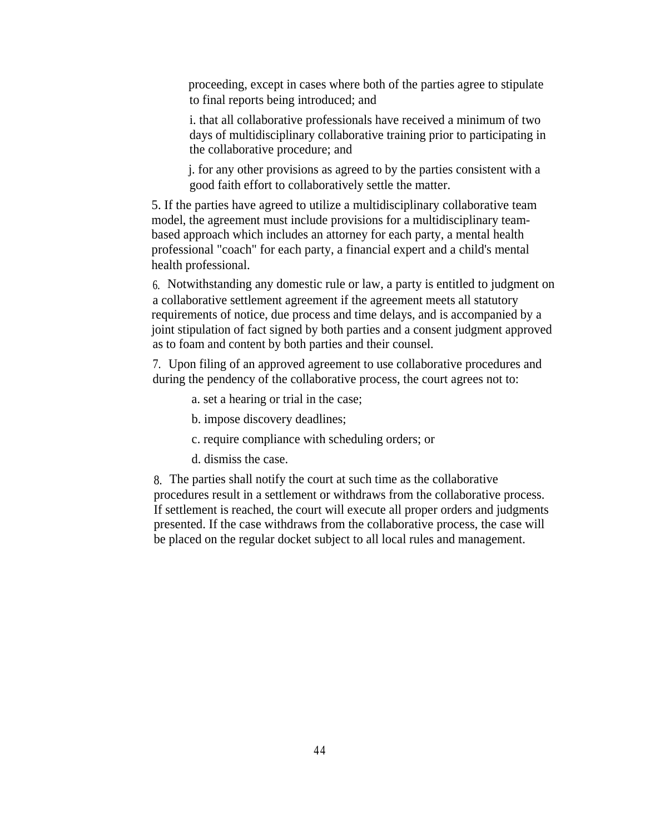proceeding, except in cases where both of the parties agree to stipulate to final reports being introduced; and

i. that all collaborative professionals have received a minimum of two days of multidisciplinary collaborative training prior to participating in the collaborative procedure; and

j. for any other provisions as agreed to by the parties consistent with a good faith effort to collaboratively settle the matter.

5. If the parties have agreed to utilize a multidisciplinary collaborative team model, the agreement must include provisions for a multidisciplinary teambased approach which includes an attorney for each party, a mental health professional "coach" for each party, a financial expert and a child's mental health professional.

6. Notwithstanding any domestic rule or law, a party is entitled to judgment on a collaborative settlement agreement if the agreement meets all statutory requirements of notice, due process and time delays, and is accompanied by a joint stipulation of fact signed by both parties and a consent judgment approved as to foam and content by both parties and their counsel.

7. Upon filing of an approved agreement to use collaborative procedures and during the pendency of the collaborative process, the court agrees not to:

- a. set a hearing or trial in the case;
- b. impose discovery deadlines;
- c. require compliance with scheduling orders; or
- d. dismiss the case.

8. The parties shall notify the court at such time as the collaborative procedures result in a settlement or withdraws from the collaborative process. If settlement is reached, the court will execute all proper orders and judgments presented. If the case withdraws from the collaborative process, the case will be placed on the regular docket subject to all local rules and management.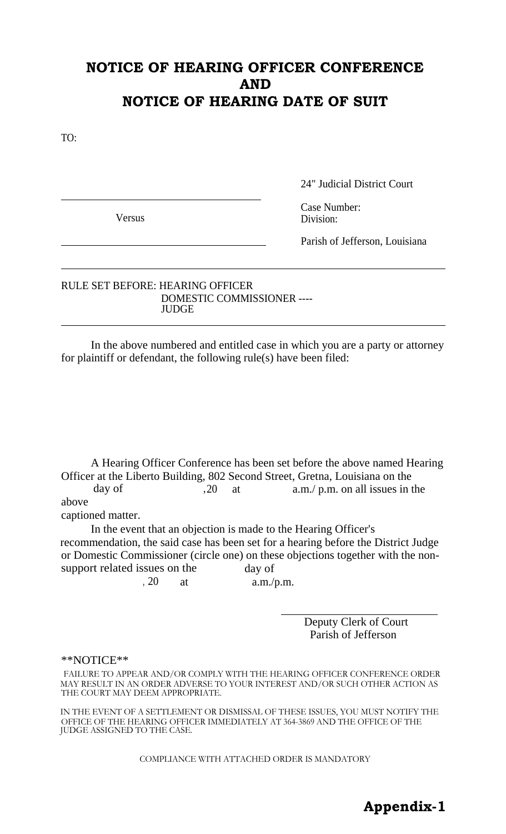# **NOTICE OF HEARING OFFICER CONFERENCE AND NOTICE OF HEARING DATE OF SUIT**

TO:

24" Judicial District Court

Case Number: Versus Division:

Parish of Jefferson, Louisiana

## RULE SET BEFORE: HEARING OFFICER DOMESTIC COMMISSIONER ---- **JUDGE**

In the above numbered and entitled case in which you are a party or attorney for plaintiff or defendant, the following rule(s) have been filed:

A Hearing Officer Conference has been set before the above named Hearing Officer at the Liberto Building, 802 Second Street, Gretna, Louisiana on the day of  $,20$  at a.m./ p.m. on all issues in the

above

captioned matter.

In the event that an objection is made to the Hearing Officer's recommendation, the said case has been set for a hearing before the District Judge or Domestic Commissioner (circle one) on these objections together with the nonsupport related issues on the day of

, 20 at a.m./p.m.

Deputy Clerk of Court Parish of Jefferson

#### \*\*NOTICE\*\*

FAILURE TO APPEAR AND/OR COMPLY WITH THE HEARING OFFICER CONFERENCE ORDER MAY RESULT IN AN ORDER ADVERSE TO YOUR INTEREST AND/OR SUCH OTHER ACTION AS THE COURT MAY DEEM APPROPRIATE.

IN THE EVENT OF A SETTLEMENT OR DISMISSAL OF THESE ISSUES, YOU MUST NOTIFY THE OFFICE OF THE HEARING OFFICER IMMEDIATELY AT 364-3869 AND THE OFFICE OF THE JUDGE ASSIGNED TO THE CASE.

COMPLIANCE WITH ATTACHED ORDER IS MANDATORY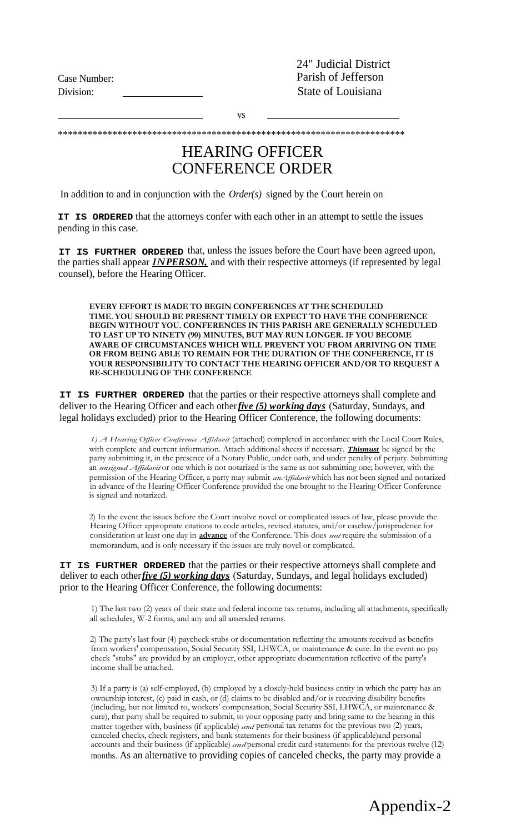24" Judicial District Case Number: Parish of Jefferson Division: State of Louisiana

vs

\*\*\*\*\*\*\*\*\*\*\*\*\*\*\*\*\*\*\*\*\*\*\*\*\*\*\*\*\*\*\*\*\*\*\*\*\*\*\*\*\*\*\*\*\*\*\*\*\*\*\*\*\*\*\*\*\*\*\*\*\*\*\*\*\*\*\*\*\*\*

# HEARING OFFICER CONFERENCE ORDER

In addition to and in conjunction with the *Order(s)* signed by the Court herein on

**IT IS ORDERED** that the attorneys confer with each other in an attempt to settle the issues pending in this case.

**IT IS FURTHER ORDERED** that, unless the issues before the Court have been agreed upon, the parties shall appear *INPERSON,* and with their respective attorneys (if represented by legal counsel), before the Hearing Officer.

**EVERY EFFORT IS MADE TO BEGIN CONFERENCES AT THE SCHEDULED TIME. YOU SHOULD BE PRESENT TIMELY OR EXPECT TO HAVE THE CONFERENCE BEGIN WITHOUT YOU. CONFERENCES IN THIS PARISH ARE GENERALLY SCHEDULED TO LAST UP TO NINETY (90) MINUTES, BUT MAY RUN LONGER. IF YOU BECOME AWARE OF CIRCUMSTANCES WHICH WILL PREVENT YOU FROM ARRIVING ON TIME OR FROM BEING ABLE TO REMAIN FOR THE DURATION OF THE CONFERENCE, IT IS YOUR RESPONSIBILITY TO CONTACT THE HEARING OFFICER AND/OR TO REQUEST A RE-SCHEDULING OF THE CONFERENCE**

**IT IS FURTHER ORDERED** that the parties or their respective attorneys shall complete and deliver to the Hearing Officer and each other*five (5) working days* (Saturday, Sundays, and legal holidays excluded) prior to the Hearing Officer Conference, the following documents:

*1) A Hearing Officer Conference Affidavit* (attached) completed in accordance with the Local Court Rules, with complete and current information. Attach additional sheets if necessary. *Thismust* be signed by the party submitting it, in the presence of a Notary Public, under oath, and under penalty of perjury. Submitting an *unsigned Affidavit* or one which is not notarized is the same as not submitting one; however, with the permission of the Hearing Officer, a party may submit *anAffidavit*which has not been signed and notarized in advance of the Hearing Officer Conference provided the one brought to the Hearing Officer Conference is signed and notarized.

2) In the event the issues before the Court involve novel or complicated issues of law, please provide the Hearing Officer appropriate citations to code articles, revised statutes, and/or caselaw/jurisprudence for consideration at least one day in **advance** of the Conference. This does *not*require the submission of a memorandum, and is only necessary if the issues are truly novel or complicated.

#### **IT IS FURTHER ORDERED** that the parties or their respective attorneys shall complete and deliver to each other*five (5) working days* (Saturday, Sundays, and legal holidays excluded) prior to the Hearing Officer Conference, the following documents:

1) The last two (2) years of their state and federal income tax returns, including all attachments, specifically all schedules, W-2 forms, and any and all amended returns.

2) The party's last four (4) paycheck stubs or documentation reflecting the amounts received as benefits from workers' compensation, Social Security SSI, LHWCA, or maintenance & cure. In the event no pay check "stubs" are provided by an employer, other appropriate documentation reflective of the party's income shall be attached.

3) If a party is (a) self-employed, (b) employed by a closely-held business entity in which the party has an ownership interest, (c) paid in cash, or (d) claims to be disabled and/or is receiving disability benefits (including, but not limited to, workers' compensation, Social Security SSI, LHWCA, or maintenance & cure), that party shall be required to submit, to your opposing party and bring same to the hearing in this matter together with, business (if applicable) *and* personal tax returns for the previous two (2) years, canceled checks, check registers, and bank statements for their business (if applicable)and personal accounts and their business (if applicable) *and* personal credit card statements for the previous twelve (12) months. As an alternative to providing copies of canceled checks, the party may provide a

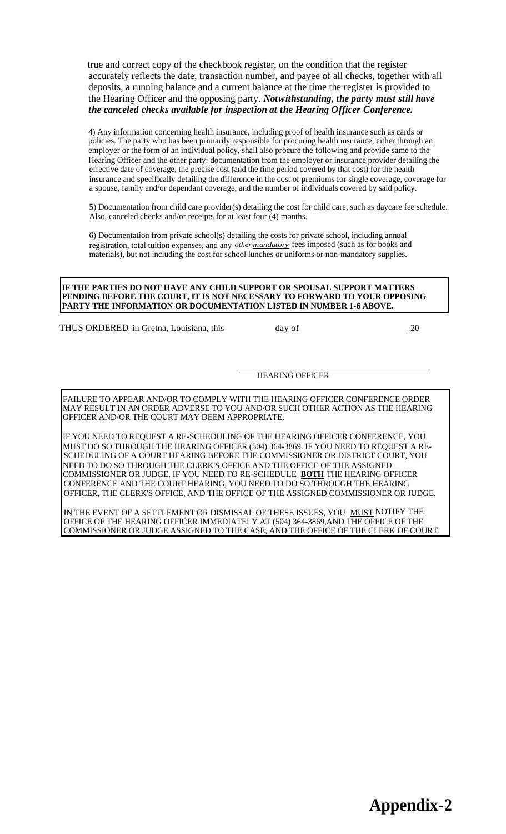true and correct copy of the checkbook register, on the condition that the register accurately reflects the date, transaction number, and payee of all checks, together with all deposits, a running balance and a current balance at the time the register is provided to the Hearing Officer and the opposing party. *Notwithstanding, the party must still have the canceled checks available for inspection at the Hearing Officer Conference.*

4) Any information concerning health insurance, including proof of health insurance such as cards or policies. The party who has been primarily responsible for procuring health insurance, either through an employer or the form of an individual policy, shall also procure the following and provide same to the Hearing Officer and the other party: documentation from the employer or insurance provider detailing the effective date of coverage, the precise cost (and the time period covered by that cost) for the health insurance and specifically detailing the difference in the cost of premiums for single coverage, coverage for a spouse, family and/or dependant coverage, and the number of individuals covered by said policy.

5) Documentation from child care provider(s) detailing the cost for child care, such as daycare fee schedule. Also, canceled checks and/or receipts for at least four (4) months.

6) Documentation from private school(s) detailing the costs for private school, including annual registration, total tuition expenses, and any *other mandatory* fees imposed (such as for books and materials), but not including the cost for school lunches or uniforms or non-mandatory supplies.

#### **IF THE PARTIES DO NOT HAVE ANY CHILD SUPPORT OR SPOUSAL SUPPORT MATTERS PENDING BEFORE THE COURT, IT IS NOT NECESSARY TO FORWARD TO YOUR OPPOSING PARTY THE INFORMATION OR DOCUMENTATION LISTED IN NUMBER 1-6 ABOVE.**

THUS ORDERED in Gretna, Louisiana, this day of , 20

#### HEARING OFFICER

FAILURE TO APPEAR AND/OR TO COMPLY WITH THE HEARING OFFICER CONFERENCE ORDER MAY RESULT IN AN ORDER ADVERSE TO YOU AND/OR SUCH OTHER ACTION AS THE HEARING OFFICER AND/OR THE COURT MAY DEEM APPROPRIATE.

IF YOU NEED TO REQUEST A RE-SCHEDULING OF THE HEARING OFFICER CONFERENCE, YOU MUST DO SO THROUGH THE HEARING OFFICER (504) 364-3869. IF YOU NEED TO REQUEST A RE-SCHEDULING OF A COURT HEARING BEFORE THE COMMISSIONER OR DISTRICT COURT, YOU NEED TO DO SO THROUGH THE CLERK'S OFFICE AND THE OFFICE OF THE ASSIGNED COMMISSIONER OR JUDGE. IF YOU NEED TO RE-SCHEDULE **BOTH** THE HEARING OFFICER CONFERENCE AND THE COURT HEARING, YOU NEED TO DO SO THROUGH THE HEARING OFFICER, THE CLERK'S OFFICE, AND THE OFFICE OF THE ASSIGNED COMMISSIONER OR JUDGE.

IN THE EVENT OF A SETTLEMENT OR DISMISSAL OF THESE ISSUES, YOU KELLY NOTIFY THE OFFICE OF THE HEARING OFFICER IMMEDIATELY AT (504) 364-3869,AND THE OFFICE OF THE COMMISSIONER OR JUDGE ASSIGNED TO THE CASE, AND THE OFFICE OF THE CLERK OF COURT.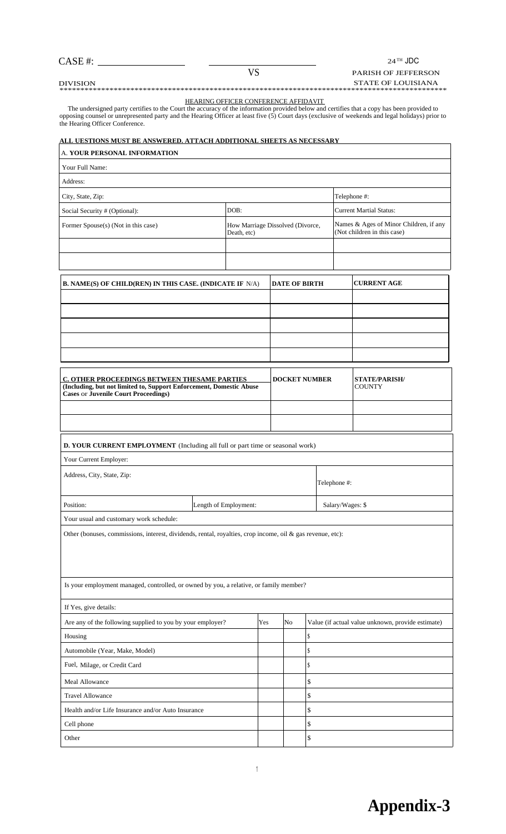$24\,^{\mathrm{TH}}$  JDC

#### PARISH OF JEFFERSON

 $\mathsf{l}$ 

CASE #:

VS

DIVISION STATE OF LOUISIANA \*\*\*\*\*\*\*\*\*\*\*\*\*\*\*\*\*\*\*\*\*\*\*\*\*\*\*\*\*\*\*\*\*\*\*\*\*\*\*\*\*\*\*\*\*\*\*\*\*\*\*\*\*\*\*\*\*\*\*\*\*\*\*\*\*\*\*\*\*\*\*\*\*\*\*\*\*\*\*\*\*\*\*\*\*\*\*\*\*\*\*\*\*

HEARING OFFICER CONFERENCE AFFIDAVIT

The undersigned party certifies to the Court the accuracy of the information provided below and certifies that a copy has been provided to opposing counsel or unrepresented party and the Hearing Officer at least five (5) Court days (exclusive of weekends and legal holidays) prior to the Hearing Officer Conference.

#### **ALL UESTIONS MUST BE ANSWERED. ATTACH ADDITIONAL SHEETS AS NECESSARY**

| A. YOUR PERSONAL INFORMATION                                                                                                                                                                                                        |                                                 |     |                      |    |                  |                                                                       |  |  |
|-------------------------------------------------------------------------------------------------------------------------------------------------------------------------------------------------------------------------------------|-------------------------------------------------|-----|----------------------|----|------------------|-----------------------------------------------------------------------|--|--|
| Your Full Name:                                                                                                                                                                                                                     |                                                 |     |                      |    |                  |                                                                       |  |  |
| Address:                                                                                                                                                                                                                            |                                                 |     |                      |    |                  |                                                                       |  |  |
| City, State, Zip:                                                                                                                                                                                                                   |                                                 |     |                      |    |                  | Telephone #:                                                          |  |  |
| Social Security # (Optional):                                                                                                                                                                                                       | DOB:                                            |     |                      |    |                  | <b>Current Martial Status:</b>                                        |  |  |
| Former Spouse(s) (Not in this case)                                                                                                                                                                                                 | How Marriage Dissolved (Divorce,<br>Death, etc) |     |                      |    |                  | Names & Ages of Minor Children, if any<br>(Not children in this case) |  |  |
|                                                                                                                                                                                                                                     |                                                 |     |                      |    |                  |                                                                       |  |  |
|                                                                                                                                                                                                                                     |                                                 |     |                      |    |                  |                                                                       |  |  |
| <b>B. NAME(S) OF CHILD(REN) IN THIS CASE. (INDICATE IF N/A)</b>                                                                                                                                                                     |                                                 |     | <b>DATE OF BIRTH</b> |    |                  | <b>CURRENT AGE</b>                                                    |  |  |
|                                                                                                                                                                                                                                     |                                                 |     |                      |    |                  |                                                                       |  |  |
|                                                                                                                                                                                                                                     |                                                 |     |                      |    |                  |                                                                       |  |  |
|                                                                                                                                                                                                                                     |                                                 |     |                      |    |                  |                                                                       |  |  |
|                                                                                                                                                                                                                                     |                                                 |     |                      |    |                  |                                                                       |  |  |
|                                                                                                                                                                                                                                     |                                                 |     |                      |    |                  |                                                                       |  |  |
| C. OTHER PROCEEDINGS BETWEEN THESAME PARTIES<br><b>DOCKET NUMBER</b><br><b>STATE/PARISH/</b><br>(Including, but not limited to, Support Enforcement, Domestic Abuse<br><b>COUNTY</b><br><b>Cases or Juvenile Court Proceedings)</b> |                                                 |     |                      |    |                  |                                                                       |  |  |
|                                                                                                                                                                                                                                     |                                                 |     |                      |    |                  |                                                                       |  |  |
|                                                                                                                                                                                                                                     |                                                 |     |                      |    |                  |                                                                       |  |  |
|                                                                                                                                                                                                                                     |                                                 |     |                      |    |                  |                                                                       |  |  |
| D. YOUR CURRENT EMPLOYMENT (Including all full or part time or seasonal work)                                                                                                                                                       |                                                 |     |                      |    |                  |                                                                       |  |  |
| Your Current Employer:                                                                                                                                                                                                              |                                                 |     |                      |    |                  |                                                                       |  |  |
| Address, City, State, Zip:                                                                                                                                                                                                          |                                                 |     |                      |    | Telephone #:     |                                                                       |  |  |
| Position:                                                                                                                                                                                                                           | Length of Employment:                           |     |                      |    | Salary/Wages: \$ |                                                                       |  |  |
| Your usual and customary work schedule:                                                                                                                                                                                             |                                                 |     |                      |    |                  |                                                                       |  |  |
| Other (bonuses, commissions, interest, dividends, rental, royalties, crop income, oil & gas revenue, etc):                                                                                                                          |                                                 |     |                      |    |                  |                                                                       |  |  |
|                                                                                                                                                                                                                                     |                                                 |     |                      |    |                  |                                                                       |  |  |
|                                                                                                                                                                                                                                     |                                                 |     |                      |    |                  |                                                                       |  |  |
| Is your employment managed, controlled, or owned by you, a relative, or family member?                                                                                                                                              |                                                 |     |                      |    |                  |                                                                       |  |  |
| If Yes, give details:                                                                                                                                                                                                               |                                                 |     |                      |    |                  |                                                                       |  |  |
| Are any of the following supplied to you by your employer?                                                                                                                                                                          |                                                 | Yes | No                   |    |                  | Value (if actual value unknown, provide estimate)                     |  |  |
| Housing                                                                                                                                                                                                                             |                                                 |     |                      | \$ |                  |                                                                       |  |  |
| Automobile (Year, Make, Model)                                                                                                                                                                                                      |                                                 |     |                      | \$ |                  |                                                                       |  |  |
| Fuel, Milage, or Credit Card                                                                                                                                                                                                        |                                                 |     |                      | \$ |                  |                                                                       |  |  |
| <b>Meal Allowance</b>                                                                                                                                                                                                               |                                                 |     |                      | \$ |                  |                                                                       |  |  |
| <b>Travel Allowance</b>                                                                                                                                                                                                             |                                                 |     |                      | \$ |                  |                                                                       |  |  |
| Health and/or Life Insurance and/or Auto Insurance                                                                                                                                                                                  |                                                 |     |                      | \$ |                  |                                                                       |  |  |
| Cell phone                                                                                                                                                                                                                          |                                                 |     |                      | \$ |                  |                                                                       |  |  |
| Other                                                                                                                                                                                                                               |                                                 |     |                      | \$ |                  |                                                                       |  |  |

1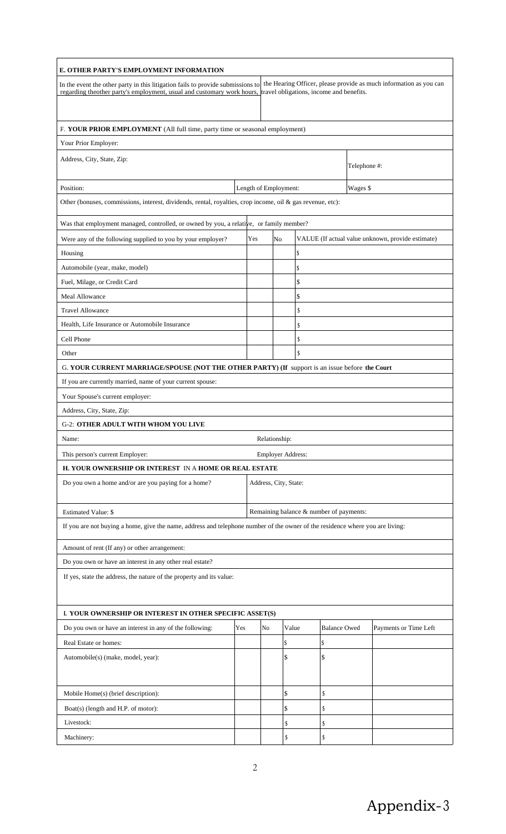| E. OTHER PARTY'S EMPLOYMENT INFORMATION                                                                                       |     |  |                          |       |                                         |                     |              |                                                                    |
|-------------------------------------------------------------------------------------------------------------------------------|-----|--|--------------------------|-------|-----------------------------------------|---------------------|--------------|--------------------------------------------------------------------|
| In the event the other party in this litigation fails to provide submissions to                                               |     |  |                          |       |                                         |                     |              | the Hearing Officer, please provide as much information as you can |
| regarding the other party's employment, usual and customary work hours, travel obligations, income and benefits.              |     |  |                          |       |                                         |                     |              |                                                                    |
|                                                                                                                               |     |  |                          |       |                                         |                     |              |                                                                    |
| F. YOUR PRIOR EMPLOYMENT (All full time, party time or seasonal employment)                                                   |     |  |                          |       |                                         |                     |              |                                                                    |
| Your Prior Employer:                                                                                                          |     |  |                          |       |                                         |                     |              |                                                                    |
| Address, City, State, Zip:                                                                                                    |     |  |                          |       |                                         |                     |              |                                                                    |
|                                                                                                                               |     |  |                          |       |                                         |                     | Telephone #: |                                                                    |
| Length of Employment:<br>Wages \$<br>Position:                                                                                |     |  |                          |       |                                         |                     |              |                                                                    |
| Other (bonuses, commissions, interest, dividends, rental, royalties, crop income, oil & gas revenue, etc):                    |     |  |                          |       |                                         |                     |              |                                                                    |
|                                                                                                                               |     |  |                          |       |                                         |                     |              |                                                                    |
| Was that employment managed, controlled, or owned by you, a relative, or family member?                                       |     |  |                          |       |                                         |                     |              |                                                                    |
| Yes<br>VALUE (If actual value unknown, provide estimate)<br>Were any of the following supplied to you by your employer?<br>No |     |  |                          |       |                                         |                     |              |                                                                    |
| Housing                                                                                                                       |     |  |                          |       | \$                                      |                     |              |                                                                    |
| Automobile (year, make, model)                                                                                                |     |  |                          |       | \$                                      |                     |              |                                                                    |
| Fuel, Milage, or Credit Card                                                                                                  |     |  |                          |       | \$                                      |                     |              |                                                                    |
| Meal Allowance                                                                                                                |     |  |                          |       | \$                                      |                     |              |                                                                    |
| <b>Travel Allowance</b>                                                                                                       |     |  |                          |       | \$                                      |                     |              |                                                                    |
| Health, Life Insurance or Automobile Insurance                                                                                |     |  |                          |       | \$                                      |                     |              |                                                                    |
| Cell Phone                                                                                                                    |     |  |                          |       | \$                                      |                     |              |                                                                    |
| Other                                                                                                                         |     |  |                          |       | S                                       |                     |              |                                                                    |
| G. YOUR CURRENT MARRIAGE/SPOUSE (NOT THE OTHER PARTY) (If support is an issue before the Court                                |     |  |                          |       |                                         |                     |              |                                                                    |
| If you are currently married, name of your current spouse:                                                                    |     |  |                          |       |                                         |                     |              |                                                                    |
| Your Spouse's current employer:                                                                                               |     |  |                          |       |                                         |                     |              |                                                                    |
| Address, City, State, Zip:                                                                                                    |     |  |                          |       |                                         |                     |              |                                                                    |
| <b>G-2: OTHER ADULT WITH WHOM YOU LIVE</b>                                                                                    |     |  |                          |       |                                         |                     |              |                                                                    |
| Name:                                                                                                                         |     |  | Relationship:            |       |                                         |                     |              |                                                                    |
| This person's current Employer:                                                                                               |     |  | <b>Employer Address:</b> |       |                                         |                     |              |                                                                    |
| H. YOUR OWNERSHIP OR INTEREST IN A HOME OR REAL ESTATE                                                                        |     |  |                          |       |                                         |                     |              |                                                                    |
| Do you own a home and/or are you paying for a home?                                                                           |     |  | Address, City, State:    |       |                                         |                     |              |                                                                    |
|                                                                                                                               |     |  |                          |       |                                         |                     |              |                                                                    |
| <b>Estimated Value: \$</b>                                                                                                    |     |  |                          |       | Remaining balance & number of payments: |                     |              |                                                                    |
| If you are not buying a home, give the name, address and telephone number of the owner of the residence where you are living: |     |  |                          |       |                                         |                     |              |                                                                    |
|                                                                                                                               |     |  |                          |       |                                         |                     |              |                                                                    |
| Amount of rent (If any) or other arrangement:                                                                                 |     |  |                          |       |                                         |                     |              |                                                                    |
| Do you own or have an interest in any other real estate?                                                                      |     |  |                          |       |                                         |                     |              |                                                                    |
| If yes, state the address, the nature of the property and its value:                                                          |     |  |                          |       |                                         |                     |              |                                                                    |
|                                                                                                                               |     |  |                          |       |                                         |                     |              |                                                                    |
| I. YOUR OWNERSHIP OR INTEREST IN OTHER SPECIFIC ASSET(S)                                                                      |     |  |                          |       |                                         |                     |              |                                                                    |
| Do you own or have an interest in any of the following:                                                                       | Yes |  | No                       | Value |                                         | <b>Balance Owed</b> |              | Payments or Time Left                                              |
| Real Estate or homes:                                                                                                         |     |  |                          | \$    | \$                                      |                     |              |                                                                    |
| Automobile(s) (make, model, year):                                                                                            |     |  |                          | \$    | \$                                      |                     |              |                                                                    |
|                                                                                                                               |     |  |                          |       |                                         |                     |              |                                                                    |
|                                                                                                                               |     |  |                          |       |                                         |                     |              |                                                                    |
| Mobile Home(s) (brief description):                                                                                           |     |  |                          | \$    | \$                                      |                     |              |                                                                    |
| Boat(s) (length and H.P. of motor):                                                                                           |     |  |                          | \$    | \$                                      |                     |              |                                                                    |
| Livestock:                                                                                                                    |     |  |                          | \$    | \$                                      |                     |              |                                                                    |
| Machinery:                                                                                                                    |     |  |                          | S     | \$                                      |                     |              |                                                                    |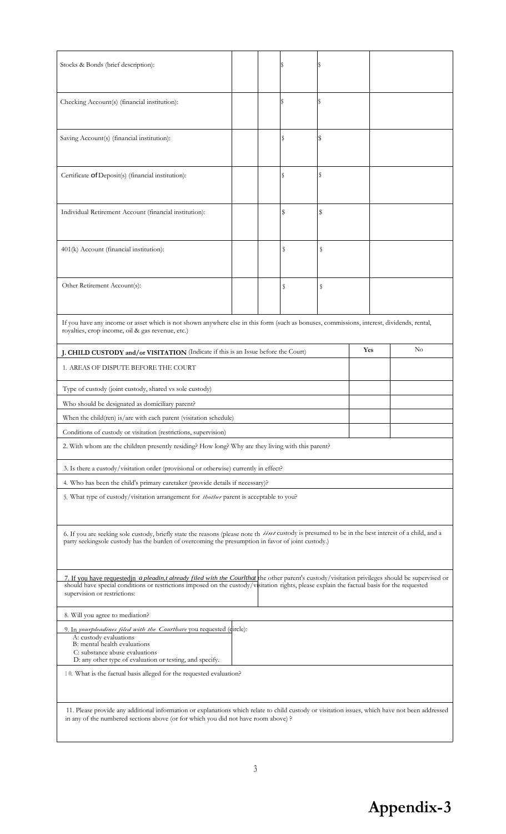| Stocks & Bonds (brief description):                                                                                                                                                                                                                                                                                             |  |  | IS  |    |     |  |          |
|---------------------------------------------------------------------------------------------------------------------------------------------------------------------------------------------------------------------------------------------------------------------------------------------------------------------------------|--|--|-----|----|-----|--|----------|
| Checking Account(s) (financial institution):                                                                                                                                                                                                                                                                                    |  |  | l\$ |    |     |  |          |
| Saving Account(s) (financial institution):                                                                                                                                                                                                                                                                                      |  |  | S   | s  |     |  |          |
| Certificate of Deposit(s) (financial institution):                                                                                                                                                                                                                                                                              |  |  | S   | \$ |     |  |          |
| Individual Retirement Account (financial institution):                                                                                                                                                                                                                                                                          |  |  | \$  | \$ |     |  |          |
| 401(k) Account (financial institution):                                                                                                                                                                                                                                                                                         |  |  | s   | s  |     |  |          |
| Other Retirement Account(s):                                                                                                                                                                                                                                                                                                    |  |  | S   | S  |     |  |          |
| If you have any income or asset which is not shown anywhere else in this form (such as bonuses, commissions, interest, dividends, rental,<br>royalties, crop income, oil & gas revenue, etc.)                                                                                                                                   |  |  |     |    |     |  |          |
| J. CHILD CUSTODY and/or VISITATION (Indicate if this is an Issue before the Court)                                                                                                                                                                                                                                              |  |  |     |    | Yes |  | $\rm No$ |
| 1. AREAS OF DISPUTE BEFORE THE COURT                                                                                                                                                                                                                                                                                            |  |  |     |    |     |  |          |
| Type of custody (joint custody, shared vs sole custody)                                                                                                                                                                                                                                                                         |  |  |     |    |     |  |          |
| Who should be designated as domiciliary parent?                                                                                                                                                                                                                                                                                 |  |  |     |    |     |  |          |
| When the child(ren) is/are with each parent (visitation schedule)                                                                                                                                                                                                                                                               |  |  |     |    |     |  |          |
| Conditions of custody or visitation (restrictions, supervision)                                                                                                                                                                                                                                                                 |  |  |     |    |     |  |          |
| 2. With whom are the children presently residing? How long? Why are they living with this parent?                                                                                                                                                                                                                               |  |  |     |    |     |  |          |
| 3. Is there a custody/visitation order (provisional or otherwise) currently in effect?                                                                                                                                                                                                                                          |  |  |     |    |     |  |          |
| 4. Who has been the child's primary caretaker (provide details if necessary)?                                                                                                                                                                                                                                                   |  |  |     |    |     |  |          |
| 5. What type of custody/visitation arrangement for <i>thother</i> parent is acceptable to you?                                                                                                                                                                                                                                  |  |  |     |    |     |  |          |
| 6. If you are seeking sole custody, briefly state the reasons (please note th iint custody is presumed to be in the best interest of a child, and a<br>party seekingsole custody has the burden of overcoming the presumption in favor of joint custody.)                                                                       |  |  |     |    |     |  |          |
| 7. If you have requestedin a pleadin, t already filed with the Courthat the other parent's custody/visitation privileges should be supervised or<br>should have special conditions or restrictions imposed on the custody/visitation rights, please explain the factual basis for the requested<br>supervision or restrictions: |  |  |     |    |     |  |          |
| 8. Will you agree to mediation?                                                                                                                                                                                                                                                                                                 |  |  |     |    |     |  |          |
| 9. In yourpleadines filed with the Courthave you requested (dircle):<br>A: custody evaluations<br>B: mental health evaluations<br>C: substance abuse evaluations<br>D: any other type of evaluation or testing, and specify.                                                                                                    |  |  |     |    |     |  |          |
| 10. What is the factual basis alleged for the requested evaluation?                                                                                                                                                                                                                                                             |  |  |     |    |     |  |          |
| 11. Please provide any additional information or explanations which relate to child custody or visitation issues, which have not been addressed<br>in any of the numbered sections above (or for which you did not have room above) ?                                                                                           |  |  |     |    |     |  |          |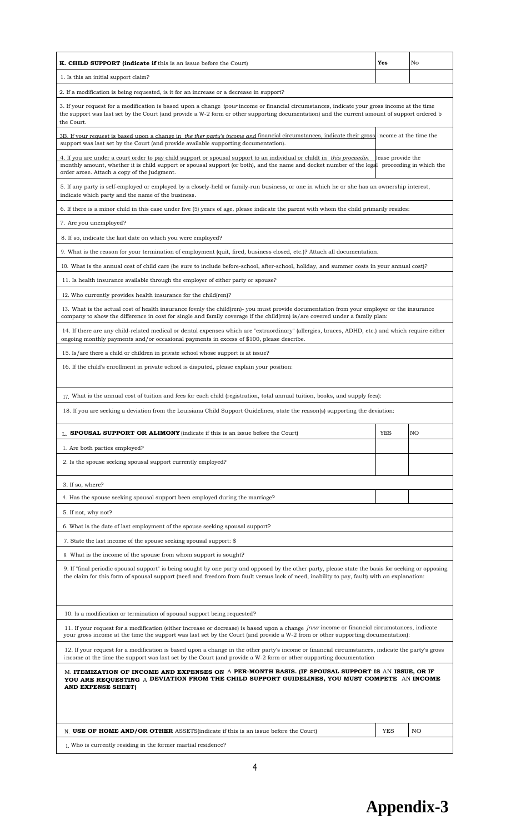| K. CHILD SUPPORT (indicate if this is an issue before the Court)                                                                                                                                                                                                                                                                             | Yes        | No |  |  |  |  |
|----------------------------------------------------------------------------------------------------------------------------------------------------------------------------------------------------------------------------------------------------------------------------------------------------------------------------------------------|------------|----|--|--|--|--|
| 1. Is this an initial support claim?                                                                                                                                                                                                                                                                                                         |            |    |  |  |  |  |
| 2. If a modification is being requested, is it for an increase or a decrease in support?                                                                                                                                                                                                                                                     |            |    |  |  |  |  |
| 3. If your request for a modification is based upon a change <i>ipour</i> income or financial circumstances, indicate your gross income at the time<br>the support was last set by the Court (and provide a W-2 form or other supporting documentation) and the current amount of support ordered b<br>the Court.                            |            |    |  |  |  |  |
| 3B. If your request is based upon a change in the ther party's income and financial circumstances, indicate their gross income at the time the<br>support was last set by the Court (and provide available supporting documentation).                                                                                                        |            |    |  |  |  |  |
| 4. If you are under a court order to pay child support or spousal support to an individual or childt in this proceed in<br>lease provide the<br>monthly amount, whether it is child support or spousal support (or both), and the name and docket number of the legal proceeding in which the<br>order arose. Attach a copy of the judgment. |            |    |  |  |  |  |
| 5. If any party is self-employed or employed by a closely-held or family-run business, or one in which he or she has an ownership interest,<br>indicate which party and the name of the business.                                                                                                                                            |            |    |  |  |  |  |
| 6. If there is a minor child in this case under five (5) years of age, please indicate the parent with whom the child primarily resides:                                                                                                                                                                                                     |            |    |  |  |  |  |
| 7. Are you unemployed?                                                                                                                                                                                                                                                                                                                       |            |    |  |  |  |  |
| 8. If so, indicate the last date on which you were employed?                                                                                                                                                                                                                                                                                 |            |    |  |  |  |  |
| 9. What is the reason for your termination of employment (quit, fired, business closed, etc.)? Attach all documentation.                                                                                                                                                                                                                     |            |    |  |  |  |  |
| 10. What is the annual cost of child care (be sure to include before-school, after-school, holiday, and summer costs in your annual cost)?                                                                                                                                                                                                   |            |    |  |  |  |  |
| 11. Is health insurance available through the employer of either party or spouse?                                                                                                                                                                                                                                                            |            |    |  |  |  |  |
| 12. Who currently provides health insurance for the child(ren)?                                                                                                                                                                                                                                                                              |            |    |  |  |  |  |
| 13. What is the actual cost of health insurance fovnly the child(ren)- you must provide documentation from your employer or the insurance<br>company to show the difference in cost for single and family coverage if the child(ren) is/are covered under a family plan:                                                                     |            |    |  |  |  |  |
| 14. If there are any child-related medical or dental expenses which are "extraordinary" (allergies, braces, ADHD, etc.) and which require either<br>ongoing monthly payments and/or occasional payments in excess of \$100, please describe.                                                                                                 |            |    |  |  |  |  |
| 15. Is/are there a child or children in private school whose support is at issue?                                                                                                                                                                                                                                                            |            |    |  |  |  |  |
| 16. If the child's enrollment in private school is disputed, please explain your position:                                                                                                                                                                                                                                                   |            |    |  |  |  |  |
| 17. What is the annual cost of tuition and fees for each child (registration, total annual tuition, books, and supply fees):                                                                                                                                                                                                                 |            |    |  |  |  |  |
| 18. If you are seeking a deviation from the Louisiana Child Support Guidelines, state the reason(s) supporting the deviation:                                                                                                                                                                                                                |            |    |  |  |  |  |
| L. SPOUSAL SUPPORT OR ALIMONY (indicate if this is an issue before the Court)                                                                                                                                                                                                                                                                | <b>YES</b> | NO |  |  |  |  |
| 1. Are both parties employed?                                                                                                                                                                                                                                                                                                                |            |    |  |  |  |  |
| 2. Is the spouse seeking spousal support currently employed?                                                                                                                                                                                                                                                                                 |            |    |  |  |  |  |
| 3. If so, where?                                                                                                                                                                                                                                                                                                                             |            |    |  |  |  |  |
| 4. Has the spouse seeking spousal support been employed during the marriage?                                                                                                                                                                                                                                                                 |            |    |  |  |  |  |
| 5. If not, why not?                                                                                                                                                                                                                                                                                                                          |            |    |  |  |  |  |
| 6. What is the date of last employment of the spouse seeking spousal support?                                                                                                                                                                                                                                                                |            |    |  |  |  |  |
| 7. State the last income of the spouse seeking spousal support: \$                                                                                                                                                                                                                                                                           |            |    |  |  |  |  |
| 8. What is the income of the spouse from whom support is sought?                                                                                                                                                                                                                                                                             |            |    |  |  |  |  |
| 9. If "final periodic spousal support" is being sought by one party and opposed by the other party, please state the basis for seeking or opposing<br>the claim for this form of spousal support (need and freedom from fault versus lack of need, inability to pay, fault) with an explanation:                                             |            |    |  |  |  |  |
| 10. Is a modification or termination of spousal support being requested?                                                                                                                                                                                                                                                                     |            |    |  |  |  |  |
| 11. If your request for a modification (either increase or decrease) is based upon a change jrvur income or financial circumstances, indicate<br>your gross income at the time the support was last set by the Court (and provide a W-2 from or other supporting documentation):                                                             |            |    |  |  |  |  |
| 12. If your request for a modification is based upon a change in the other party's income or financial circumstances, indicate the party's gross<br>income at the time the support was last set by the Court (and provide a W-2 form or other supporting documentation                                                                       |            |    |  |  |  |  |
| M. ITEMIZATION OF INCOME AND EXPENSES ON A PER-MONTH BASIS. (IF SPOUSAL SUPPORT IS AN ISSUE, OR IF<br>YOU ARE REQUESTING A DEVIATION FROM THE CHILD SUPPORT GUIDELINES, YOU MUST COMPETE AN INCOME<br>AND EXPENSE SHEET)                                                                                                                     |            |    |  |  |  |  |
|                                                                                                                                                                                                                                                                                                                                              |            |    |  |  |  |  |
|                                                                                                                                                                                                                                                                                                                                              |            |    |  |  |  |  |
| N. USE OF HOME AND/OR OTHER ASSETS (indicate if this is an issue before the Court)<br>1. Who is currently residing in the former martial residence?                                                                                                                                                                                          | <b>YES</b> | NO |  |  |  |  |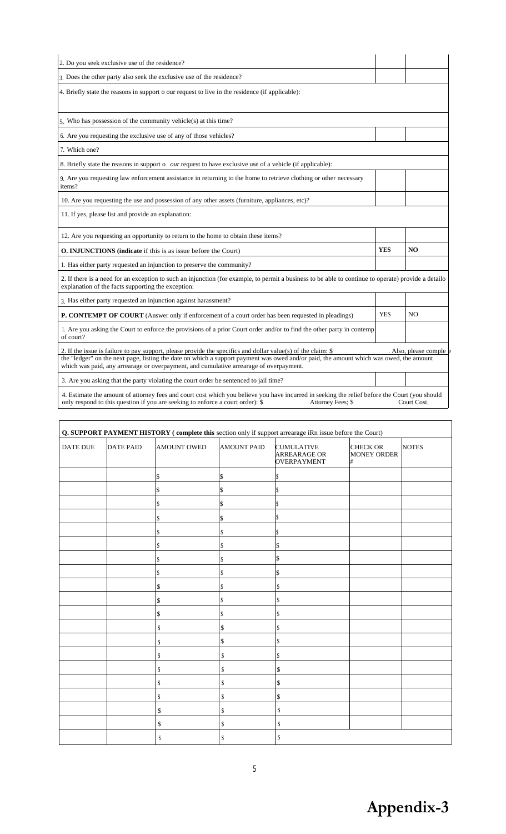| 2. Do you seek exclusive use of the residence?                                                                                                                                                                                                                                                                                                    |            |                       |
|---------------------------------------------------------------------------------------------------------------------------------------------------------------------------------------------------------------------------------------------------------------------------------------------------------------------------------------------------|------------|-----------------------|
| 3. Does the other party also seek the exclusive use of the residence?                                                                                                                                                                                                                                                                             |            |                       |
| 4. Briefly state the reasons in support o our request to live in the residence (if applicable):                                                                                                                                                                                                                                                   |            |                       |
| 5. Who has possession of the community vehicle(s) at this time?                                                                                                                                                                                                                                                                                   |            |                       |
| 6. Are you requesting the exclusive use of any of those vehicles?                                                                                                                                                                                                                                                                                 |            |                       |
| 7. Which one?                                                                                                                                                                                                                                                                                                                                     |            |                       |
| 8. Briefly state the reasons in support o <i>our</i> request to have exclusive use of a vehicle (if applicable):                                                                                                                                                                                                                                  |            |                       |
| 9. Are you requesting law enforcement assistance in returning to the home to retrieve clothing or other necessary<br>items?                                                                                                                                                                                                                       |            |                       |
| 10. Are you requesting the use and possession of any other assets (furniture, appliances, etc)?                                                                                                                                                                                                                                                   |            |                       |
| 11. If yes, please list and provide an explanation:                                                                                                                                                                                                                                                                                               |            |                       |
| 12. Are you requesting an opportunity to return to the home to obtain these items?                                                                                                                                                                                                                                                                |            |                       |
| <b>O. INJUNCTIONS</b> (indicate if this is as issue before the Court)                                                                                                                                                                                                                                                                             | <b>YES</b> | N <sub>O</sub>        |
| 1. Has either party requested an injunction to preserve the community?                                                                                                                                                                                                                                                                            |            |                       |
| 2. If there is a need for an exception to such an injunction (for example, to permit a business to be able to continue to operate) provide a detailo<br>explanation of the facts supporting the exception:                                                                                                                                        |            |                       |
| 3. Has either party requested an injunction against harassment?                                                                                                                                                                                                                                                                                   |            |                       |
| <b>P. CONTEMPT OF COURT</b> (Answer only if enforcement of a court order has been requested in pleadings)                                                                                                                                                                                                                                         | <b>YES</b> | N <sub>O</sub>        |
| 1. Are you asking the Court to enforce the provisions of a prior Court order and/or to find the other party in contemp<br>of court?                                                                                                                                                                                                               |            |                       |
| 2. If the issue is failure to pay support, please provide the specifics and dollar value(s) of the claim: $\$<br>the "ledger" on the next page, listing the date on which a support payment was owed and/or paid, the amount which was owed, the amount<br>which was paid, any arrearage or overpayment, and cumulative arrearage of overpayment. |            | Also, please comple e |
| 3. Are you asking that the party violating the court order be sentenced to jail time?                                                                                                                                                                                                                                                             |            |                       |
| 4. Estimate the amount of attorney fees and court cost which you believe you have incurred in seeking the relief before the Court (you should<br>only respond to this question if you are seeking to enforce a court order): \$<br>Attorney Fees: \$                                                                                              |            | Court Cost.           |

| DATE DUE | <b>DATE PAID</b> | AMOUNT OWED | <b>AMOUNT PAID</b> | <b>CUMULATIVE</b><br><b>ARREARAGE OR</b><br><b>OVERPAYMENT</b> | <b>CHECK OR</b><br>MONEY ORDER<br># | <b>NOTES</b> |
|----------|------------------|-------------|--------------------|----------------------------------------------------------------|-------------------------------------|--------------|
|          |                  | S.          | $\vert$ \$         | \$                                                             |                                     |              |
|          |                  | \$          | \$                 | \$                                                             |                                     |              |
|          |                  | \$          | \$                 | \$                                                             |                                     |              |
|          |                  | \$          | \$                 | \$                                                             |                                     |              |
|          |                  | \$          | \$                 | \$                                                             |                                     |              |
|          |                  | \$          | \$                 | S                                                              |                                     |              |
|          |                  | \$          | \$                 | \$                                                             |                                     |              |
|          |                  | \$          | S                  | \$                                                             |                                     |              |
|          |                  | \$          | \$                 | \$                                                             |                                     |              |
|          |                  | \$          | $\mathbb S$        | \$                                                             |                                     |              |
|          |                  | \$          | \$                 | \$                                                             |                                     |              |
|          |                  | \$          | \$                 | \$                                                             |                                     |              |
|          |                  | \$          | \$                 | \$                                                             |                                     |              |
|          |                  | \$          | \$                 | \$                                                             |                                     |              |
|          |                  | \$          | \$                 | \$                                                             |                                     |              |
|          |                  | \$          | \$                 | \$                                                             |                                     |              |
|          |                  | \$          | $\mathbb{S}$       | \$                                                             |                                     |              |
|          |                  | \$          | $\mathbb{S}$       | \$                                                             |                                     |              |
|          |                  | \$          | $\mathbb{S}$       | \$                                                             |                                     |              |
|          |                  | S           | S                  | S                                                              |                                     |              |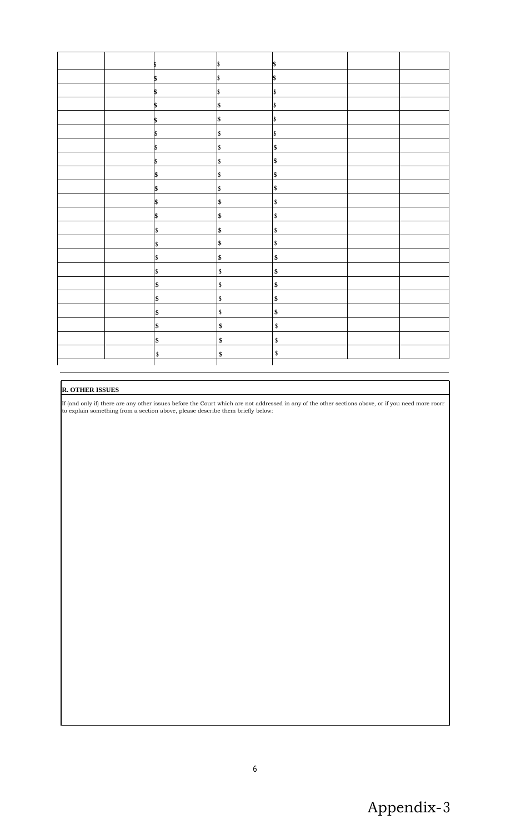|  |     |            | \$         |  |
|--|-----|------------|------------|--|
|  |     |            |            |  |
|  |     | l\$        | \$         |  |
|  |     |            | \$         |  |
|  |     | \$         | \$         |  |
|  |     | \$         | \$         |  |
|  |     | \$         | \$         |  |
|  |     | \$         | \$         |  |
|  |     | \$         | \$         |  |
|  | 1\$ | \$         | \$         |  |
|  | \$  | \$         | \$         |  |
|  | \$  | \$         | \$         |  |
|  | \$  | \$         | \$         |  |
|  | \$  | $\vert$ \$ | \$         |  |
|  | \$  | \$         | \$         |  |
|  | \$  | \$         | $\pmb{\$}$ |  |
|  | \$  | \$         | $\pmb{\$}$ |  |
|  | \$  | \$         | $\pmb{\$}$ |  |
|  | \$  | \$         | \$         |  |
|  | \$  | \$         | $\pmb{\$}$ |  |
|  | \$  | \$         | \$         |  |
|  | \$  | \$         | \$         |  |
|  | \$  | \$         | \$         |  |
|  |     |            |            |  |

# **R. OTHER ISSUES**

If (and only if) there are any other issues before the Court which are not addressed in any of the other sections above, or if you need more roorr to explain something from a section above, please describe them briefly below: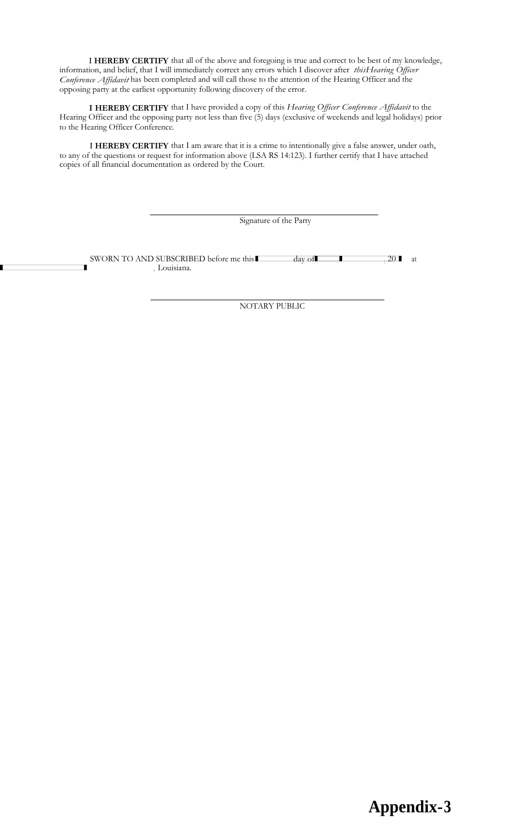**<sup>I</sup> HEREBY CERTIFY** that all of the above and foregoing is true and correct to be best of my knowledge, information, and belief, that I will immediately correct any errors which I discover after *thisHearing Officer Conference Affidavit* has been completed and will call those to the attention of the Hearing Officer and the opposing party at the earliest opportunity following discovery of the error.

**I HEREBY CERTIFY** that I have provided a copy of this *Hearing Officer Conference Affidavit* to the Hearing Officer and the opposing party not less than five (5) days (exclusive of weekends and legal holidays) prior to the Hearing Officer Conference.

**<sup>I</sup> HEREBY CERTIFY** that I am aware that it is a crime to intentionally give a false answer, under oath, to any of the questions or request for information above (LSA RS 14:123). I further certify that I have attached copies of all financial documentation as ordered by the Court. SWORN TO AND SUBSCRIBED before me this **I** day of **I** and the subset of all financial documentation as ordered by the Court.<br>Suppose of all financial documentation as ordered by the Court.<br>Signature of the Party<br>Signature

Signature of the Party

 $-20$  at , Louisiana.

NOTARY PUBLIC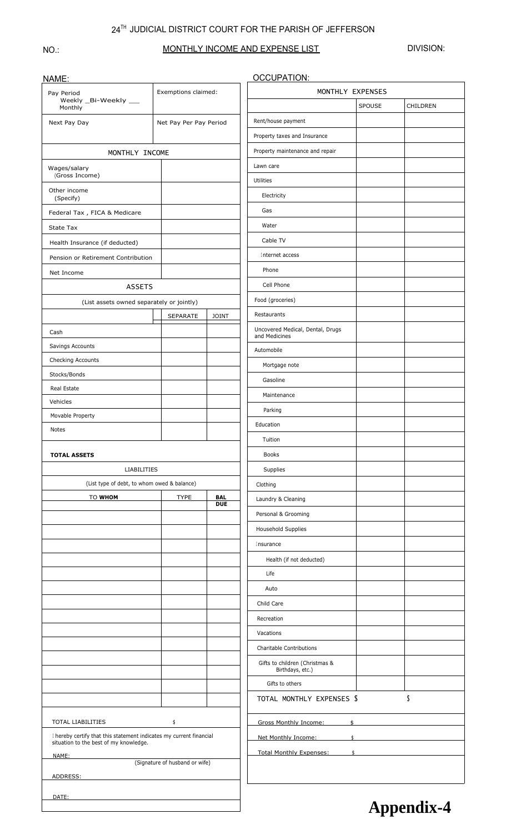#### $24^{\text{TH}}$  JUDICIAL DISTRICT COURT FOR THE PARISH OF JEFFERSON

#### NO.:

### MONTHLY INCOME AND EXPENSE LIST

DIVISION:

| NAME:                                                                                                         |                                |                          | <b>OCCUPATION:</b>                                 |                  |          |
|---------------------------------------------------------------------------------------------------------------|--------------------------------|--------------------------|----------------------------------------------------|------------------|----------|
| Pay Period                                                                                                    | Exemptions claimed:            |                          |                                                    | MONTHLY EXPENSES |          |
| Weekly _Bi-Weekly __<br>Monthly                                                                               |                                |                          |                                                    | SPOUSE           | CHILDREN |
| Next Pay Day                                                                                                  | Net Pay Per Pay Period         |                          | Rent/house payment                                 |                  |          |
|                                                                                                               |                                |                          | Property taxes and Insurance                       |                  |          |
| MONTHLY INCOME                                                                                                |                                |                          | Property maintenance and repair                    |                  |          |
| Wages/salary                                                                                                  |                                |                          | Lawn care                                          |                  |          |
| (Gross Income)                                                                                                |                                |                          | Utilities                                          |                  |          |
| Other income<br>(Specify)                                                                                     |                                |                          | Electricity                                        |                  |          |
| Federal Tax, FICA & Medicare                                                                                  |                                |                          | Gas                                                |                  |          |
| <b>State Tax</b>                                                                                              |                                |                          | Water                                              |                  |          |
| Health Insurance (if deducted)                                                                                |                                |                          | Cable TV                                           |                  |          |
| Pension or Retirement Contribution                                                                            |                                |                          | Internet access                                    |                  |          |
| Net Income                                                                                                    |                                |                          | Phone                                              |                  |          |
| <b>ASSETS</b>                                                                                                 |                                |                          | Cell Phone                                         |                  |          |
|                                                                                                               |                                |                          | Food (groceries)                                   |                  |          |
| (List assets owned separately or jointly)                                                                     |                                |                          | Restaurants                                        |                  |          |
|                                                                                                               | SEPARATE                       | <b>JOINT</b>             | Uncovered Medical, Dental, Drugs                   |                  |          |
| Cash                                                                                                          |                                |                          | and Medicines                                      |                  |          |
| Savings Accounts                                                                                              |                                |                          | Automobile                                         |                  |          |
| Checking Accounts                                                                                             |                                |                          | Mortgage note                                      |                  |          |
| Stocks/Bonds                                                                                                  |                                |                          | Gasoline                                           |                  |          |
| Real Estate<br>Vehicles                                                                                       |                                |                          | Maintenance                                        |                  |          |
| Movable Property                                                                                              |                                |                          | Parking                                            |                  |          |
| Notes                                                                                                         |                                |                          | Education                                          |                  |          |
|                                                                                                               |                                |                          | Tuition                                            |                  |          |
| <b>TOTAL ASSETS</b>                                                                                           |                                |                          | <b>Books</b>                                       |                  |          |
| <b>LIABILITIES</b>                                                                                            |                                |                          | Supplies                                           |                  |          |
| (List type of debt, to whom owed & balance)                                                                   |                                |                          | Clothing                                           |                  |          |
| TO WHOM                                                                                                       | <b>TYPE</b>                    | <b>BAL</b><br><b>DUE</b> | Laundry & Cleaning                                 |                  |          |
|                                                                                                               |                                |                          | Personal & Grooming                                |                  |          |
|                                                                                                               |                                |                          | Household Supplies                                 |                  |          |
|                                                                                                               |                                |                          | Insurance                                          |                  |          |
|                                                                                                               |                                |                          | Health (if not deducted)                           |                  |          |
|                                                                                                               |                                |                          | Life                                               |                  |          |
|                                                                                                               |                                |                          | Auto                                               |                  |          |
|                                                                                                               |                                |                          | Child Care                                         |                  |          |
|                                                                                                               |                                |                          | Recreation                                         |                  |          |
|                                                                                                               |                                |                          | Vacations                                          |                  |          |
|                                                                                                               |                                |                          | Charitable Contributions                           |                  |          |
|                                                                                                               |                                |                          |                                                    |                  |          |
|                                                                                                               |                                |                          | Gifts to children (Christmas &<br>Birthdays, etc.) |                  |          |
|                                                                                                               |                                |                          |                                                    |                  |          |
|                                                                                                               |                                |                          | Gifts to others                                    |                  |          |
|                                                                                                               |                                |                          | TOTAL MONTHLY EXPENSES \$                          |                  | \$       |
|                                                                                                               |                                |                          |                                                    |                  |          |
| <b>TOTAL LIABILITIES</b>                                                                                      | \$                             |                          | Gross Monthly Income:                              | \$               |          |
| I hereby certify that this statement indicates my current financial<br>situation to the best of my knowledge. |                                |                          | Net Monthly Income:                                | $\mathsf{\$}$    |          |
| NAME:                                                                                                         |                                |                          | <b>Total Monthly Expenses:</b>                     | $\ddagger$       |          |
| ADDRESS:                                                                                                      | (Signature of husband or wife) |                          |                                                    |                  |          |
| DATE:                                                                                                         |                                |                          |                                                    |                  |          |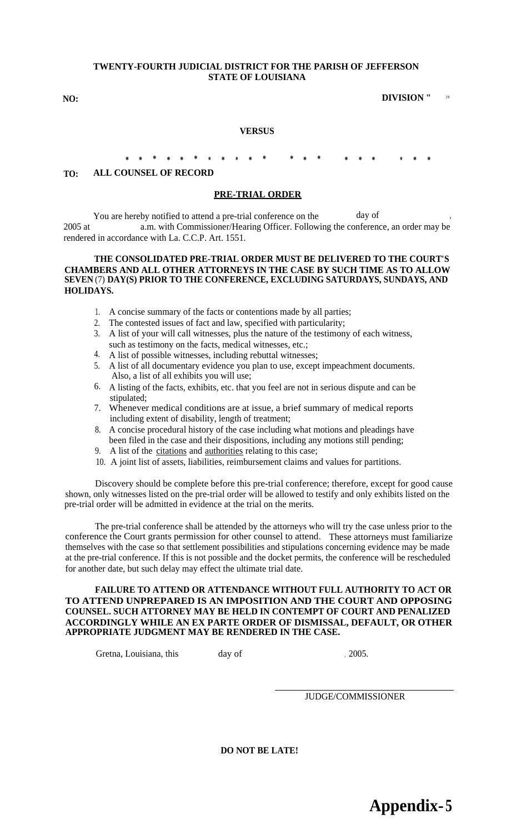#### **TWENTY-FOURTH JUDICIAL DISTRICT FOR THE PARISH OF JEFFERSON STATE OF LOUISIANA**

#### **NO: DIVISION "** 19

#### **VERSUS**

# **\* \* \* \* \* \* \* \* \* \* \* \* \* \* \* \* \* \* \* \***

#### **TO: ALL COUNSEL OF RECORD**

#### **PRE-TRIAL ORDER**

You are hereby notified to attend a pre-trial conference on the day of 2005 at a.m. with Commissioner/Hearing Officer. Following the conference, an order may be rendered in accordance with La. C.C.P. Art. 1551.

#### **THE CONSOLIDATED PRE-TRIAL ORDER MUST BE DELIVERED TO THE COURT'S CHAMBERS AND ALL OTHER ATTORNEYS IN THE CASE BY SUCH TIME AS TO ALLOW SEVEN** (7) **DAY(S) PRIOR TO THE CONFERENCE, EXCLUDING SATURDAYS, SUNDAYS, AND HOLIDAYS.**

- 1. A concise summary of the facts or contentions made by all parties;
- 2. The contested issues of fact and law, specified with particularity;
- 3. A list of your will call witnesses, plus the nature of the testimony of each witness, such as testimony on the facts, medical witnesses, etc.;
- 4. A list of possible witnesses, including rebuttal witnesses;
- 5. A list of all documentary evidence you plan to use, except impeachment documents. Also, a list of all exhibits you will use;
- 6. A listing of the facts, exhibits, etc. that you feel are not in serious dispute and can be stipulated;
- 7. Whenever medical conditions are at issue, a brief summary of medical reports including extent of disability, length of treatment;
- 8. A concise procedural history of the case including what motions and pleadings have been filed in the case and their dispositions, including any motions still pending;
- 9. A list of the citations and authorities relating to this case;
- 10. A joint list of assets, liabilities, reimbursement claims and values for partitions.

Discovery should be complete before this pre-trial conference; therefore, except for good cause shown, only witnesses listed on the pre-trial order will be allowed to testify and only exhibits listed on the pre-trial order will be admitted in evidence at the trial on the merits.

The pre-trial conference shall be attended by the attorneys who will try the case unless prior to the conference the Court grants permission for other counsel to attend. These attorneys must familiarize themselves with the case so that settlement possibilities and stipulations concerning evidence may be made at the pre-trial conference. If this is not possible and the docket permits, the conference will be rescheduled for another date, but such delay may effect the ultimate trial date.

#### **FAILURE TO ATTEND OR ATTENDANCE WITHOUT FULL AUTHORITY TO ACT OR TO ATTEND UNPREPARED IS AN IMPOSITION AND THE COURT AND OPPOSING COUNSEL. SUCH ATTORNEY MAY BE HELD IN CONTEMPT OF COURT AND PENALIZED ACCORDINGLY WHILE AN EX PARTE ORDER OF DISMISSAL, DEFAULT, OR OTHER APPROPRIATE JUDGMENT MAY BE RENDERED IN THE CASE.**

Gretna, Louisiana, this day of , 2005.

JUDGE/COMMISSIONER

**DO NOT BE LATE!**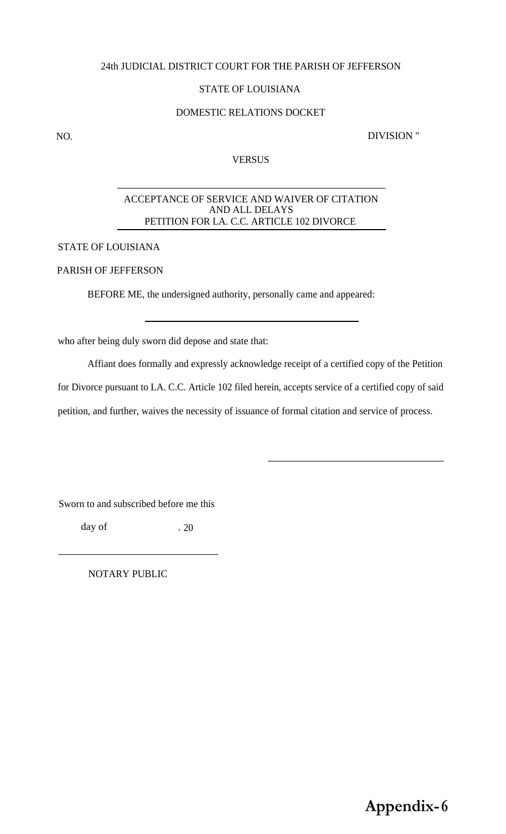#### 24th JUDICIAL DISTRICT COURT FOR THE PARISH OF JEFFERSON

#### STATE OF LOUISIANA

#### DOMESTIC RELATIONS DOCKET

NO. DIVISION "

#### **VERSUS**

#### ACCEPTANCE OF SERVICE AND WAIVER OF CITATION AND ALL DELAYS PETITION FOR LA. C.C. ARTICLE 102 DIVORCE

STATE OF LOUISIANA

## PARISH OF JEFFERSON

BEFORE ME, the undersigned authority, personally came and appeared:

who after being duly sworn did depose and state that:

Affiant does formally and expressly acknowledge receipt of a certified copy of the Petition for Divorce pursuant to LA. C.C. Article 102 filed herein, accepts service of a certified copy of said petition, and further, waives the necessity of issuance of formal citation and service of process.

Sworn to and subscribed before me this

day of  $, 20$ 

NOTARY PUBLIC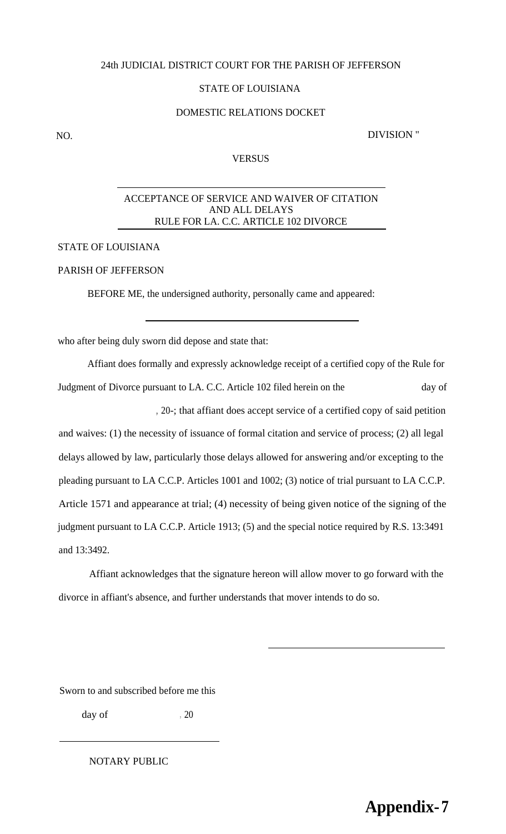#### 24th JUDICIAL DISTRICT COURT FOR THE PARISH OF JEFFERSON

#### STATE OF LOUISIANA

#### DOMESTIC RELATIONS DOCKET

NO. DIVISION "

#### **VERSUS**

#### ACCEPTANCE OF SERVICE AND WAIVER OF CITATION AND ALL DELAYS RULE FOR LA. C.C. ARTICLE 102 DIVORCE

#### STATE OF LOUISIANA

### PARISH OF JEFFERSON

BEFORE ME, the undersigned authority, personally came and appeared:

who after being duly sworn did depose and state that:

Affiant does formally and expressly acknowledge receipt of a certified copy of the Rule for Judgment of Divorce pursuant to LA. C.C. Article 102 filed herein on the day of , 20-; that affiant does accept service of a certified copy of said petition and waives: (1) the necessity of issuance of formal citation and service of process; (2) all legal delays allowed by law, particularly those delays allowed for answering and/or excepting to the pleading pursuant to LA C.C.P. Articles 1001 and 1002; (3) notice of trial pursuant to LA C.C.P. Article 1571 and appearance at trial; (4) necessity of being given notice of the signing of the judgment pursuant to LA C.C.P. Article 1913; (5) and the special notice required by R.S. 13:3491 and 13:3492.

Affiant acknowledges that the signature hereon will allow mover to go forward with the divorce in affiant's absence, and further understands that mover intends to do so.

Sworn to and subscribed before me this

day of  $, 20$ 

#### NOTARY PUBLIC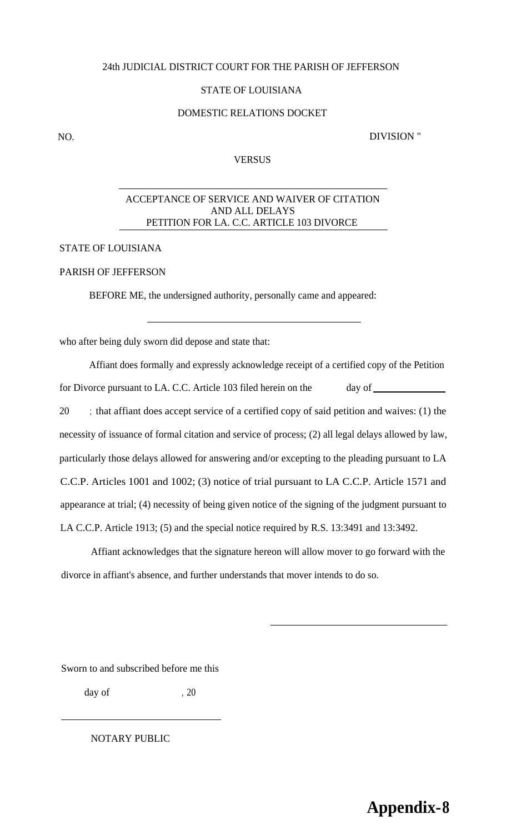#### 24th JUDICIAL DISTRICT COURT FOR THE PARISH OF JEFFERSON

#### STATE OF LOUISIANA

#### DOMESTIC RELATIONS DOCKET

NO. DIVISION "

#### VERSUS

#### ACCEPTANCE OF SERVICE AND WAIVER OF CITATION AND ALL DELAYS PETITION FOR LA. C.C. ARTICLE 103 DIVORCE

#### STATE OF LOUISIANA

## PARISH OF JEFFERSON

BEFORE ME, the undersigned authority, personally came and appeared:

who after being duly sworn did depose and state that:

| Affiant does formally and expressly acknowledge receipt of a certified copy of the Petition           |
|-------------------------------------------------------------------------------------------------------|
| for Divorce pursuant to LA. C.C. Article 103 filed herein on the                                      |
| 20<br>; that affiant does accept service of a certified copy of said petition and waives: (1) the     |
| necessity of issuance of formal citation and service of process; (2) all legal delays allowed by law, |
| particularly those delays allowed for answering and/or excepting to the pleading pursuant to LA       |
| C.C.P. Articles 1001 and 1002; (3) notice of trial pursuant to LA C.C.P. Article 1571 and             |
| appearance at trial; (4) necessity of being given notice of the signing of the judgment pursuant to   |
| LA C.C.P. Article 1913; (5) and the special notice required by R.S. 13:3491 and 13:3492.              |

Affiant acknowledges that the signature hereon will allow mover to go forward with the divorce in affiant's absence, and further understands that mover intends to do so.

Sworn to and subscribed before me this

day of  $, 20$ 

NOTARY PUBLIC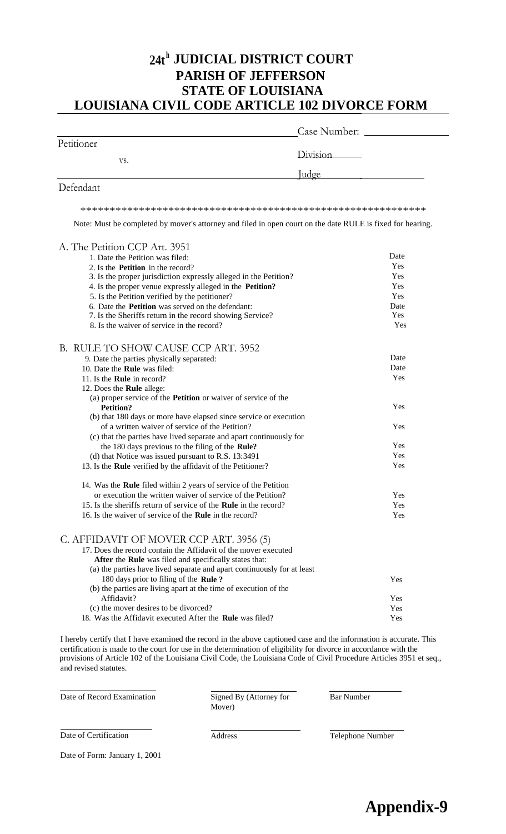# **24t <sup>h</sup> JUDICIAL DISTRICT COURT PARISH OF JEFFERSON STATE OF LOUISIANA LOUISIANA CIVIL CODE ARTICLE 102 DIVORCE FORM**

|            | Case Number: |
|------------|--------------|
| Petitioner |              |
| VS.        | Division     |
|            | <u>Judge</u> |
| Defendant  |              |

\*\*\*\*\*\*\*\*\*\*\*\*\*\*\*\*\*\*\*\*\*\*\*\*\*\*\*\*\*\*\*\*\*\*\*\*\*\*\*\*\*\*\*\*\*\*\*\*\*\*\*\*\*\*\*\*\*\*\*

Note: Must be completed by mover's attorney and filed in open court on the date RULE is fixed for hearing.

| A. The Petition CCP Art. 3951                                           |      |
|-------------------------------------------------------------------------|------|
| 1. Date the Petition was filed:                                         | Date |
| 2. Is the <b>Petition</b> in the record?                                | Yes  |
| 3. Is the proper jurisdiction expressly alleged in the Petition?        | Yes  |
| 4. Is the proper venue expressly alleged in the Petition?               | Yes  |
| 5. Is the Petition verified by the petitioner?                          | Yes  |
| 6. Date the <b>Petition</b> was served on the defendant:                | Date |
| 7. Is the Sheriffs return in the record showing Service?                | Yes  |
| 8. Is the waiver of service in the record?                              | Yes  |
| B. RULE TO SHOW CAUSE CCP ART. 3952                                     |      |
| 9. Date the parties physically separated:                               | Date |
| 10. Date the Rule was filed:                                            | Date |
| 11. Is the <b>Rule</b> in record?                                       | Yes  |
| 12. Does the Rule allege:                                               |      |
| (a) proper service of the <b>Petition</b> or waiver of service of the   |      |
| <b>Petition?</b>                                                        | Yes  |
| (b) that 180 days or more have elapsed since service or execution       |      |
| of a written waiver of service of the Petition?                         | Yes  |
| (c) that the parties have lived separate and apart continuously for     |      |
| the 180 days previous to the filing of the Rule?                        | Yes  |
| (d) that Notice was issued pursuant to R.S. 13:3491                     | Yes  |
| 13. Is the Rule verified by the affidavit of the Petitioner?            | Yes  |
| 14. Was the Rule filed within 2 years of service of the Petition        |      |
| or execution the written waiver of service of the Petition?             | Yes  |
| 15. Is the sheriffs return of service of the Rule in the record?        | Yes  |
| 16. Is the waiver of service of the <b>Rule</b> in the record?          | Yes  |
| C. AFFIDAVIT OF MOVER CCP ART. 3956 (5)                                 |      |
| 17. Does the record contain the Affidavit of the mover executed         |      |
| After the Rule was filed and specifically states that:                  |      |
| (a) the parties have lived separate and apart continuously for at least |      |
| 180 days prior to filing of the Rule?                                   | Yes  |
| (b) the parties are living apart at the time of execution of the        |      |
| Affidavit?                                                              | Yes  |
| (c) the mover desires to be divorced?                                   | Yes  |
| 18. Was the Affidavit executed After the Rule was filed?                | Yes  |

I hereby certify that I have examined the record in the above captioned case and the information is accurate. This certification is made to the court for use in the determination of eligibility for divorce in accordance with the provisions of Article 102 of the Louisiana Civil Code, the Louisiana Code of Civil Procedure Articles 3951 et seq., and revised statutes.

| Date of Record Examination | Signed By (Attorney for<br>Mover) | Bar Number |  |
|----------------------------|-----------------------------------|------------|--|
|                            |                                   |            |  |

Date of Certification Address Address Telephone Number

Date of Form: January 1, 2001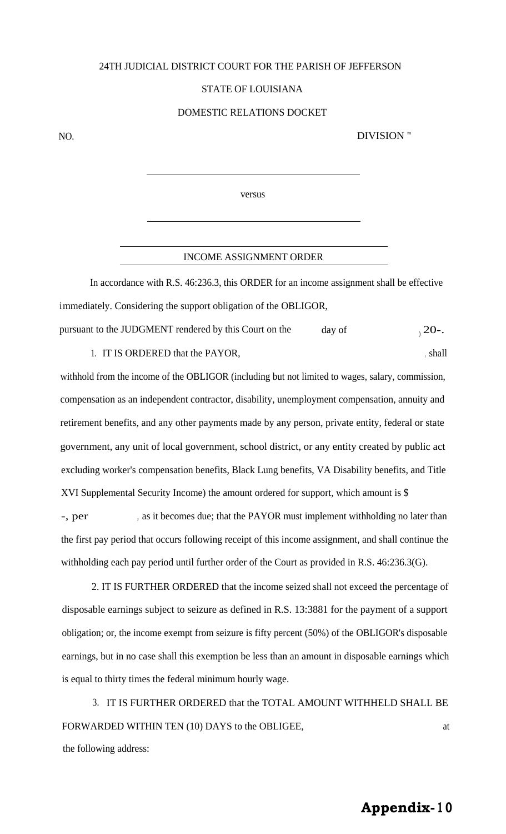#### 24TH JUDICIAL DISTRICT COURT FOR THE PARISH OF JEFFERSON

#### STATE OF LOUISIANA

#### DOMESTIC RELATIONS DOCKET

NO. DIVISION "

versus

#### INCOME ASSIGNMENT ORDER

In accordance with R.S. 46:236.3, this ORDER for an income assignment shall be effective immediately. Considering the support obligation of the OBLIGOR, pursuant to the JUDGMENT rendered by this Court on the day of  $\sqrt{20}$ .

1. IT IS ORDERED that the PAYOR, the shall be shall as a shall shall be shall be shall be shall be shall be shall be shall be shall be shall be shall be shall be shall be shall be shall be shall be shall be shall be shall

withhold from the income of the OBLIGOR (including but not limited to wages, salary, commission, compensation as an independent contractor, disability, unemployment compensation, annuity and retirement benefits, and any other payments made by any person, private entity, federal or state government, any unit of local government, school district, or any entity created by public act excluding worker's compensation benefits, Black Lung benefits, VA Disability benefits, and Title XVI Supplemental Security Income) the amount ordered for support, which amount is \$

-, per , as it becomes due; that the PAYOR must implement withholding no later than the first pay period that occurs following receipt of this income assignment, and shall continue the withholding each pay period until further order of the Court as provided in R.S. 46:236.3(G).

2. IT IS FURTHER ORDERED that the income seized shall not exceed the percentage of disposable earnings subject to seizure as defined in R.S. 13:3881 for the payment of a support obligation; or, the income exempt from seizure is fifty percent (50%) of the OBLIGOR's disposable earnings, but in no case shall this exemption be less than an amount in disposable earnings which is equal to thirty times the federal minimum hourly wage.

3. IT IS FURTHER ORDERED that the TOTAL AMOUNT WITHHELD SHALL BE FORWARDED WITHIN TEN (10) DAYS to the OBLIGEE, at the following address:

# **Appendix- <sup>1</sup> 0**